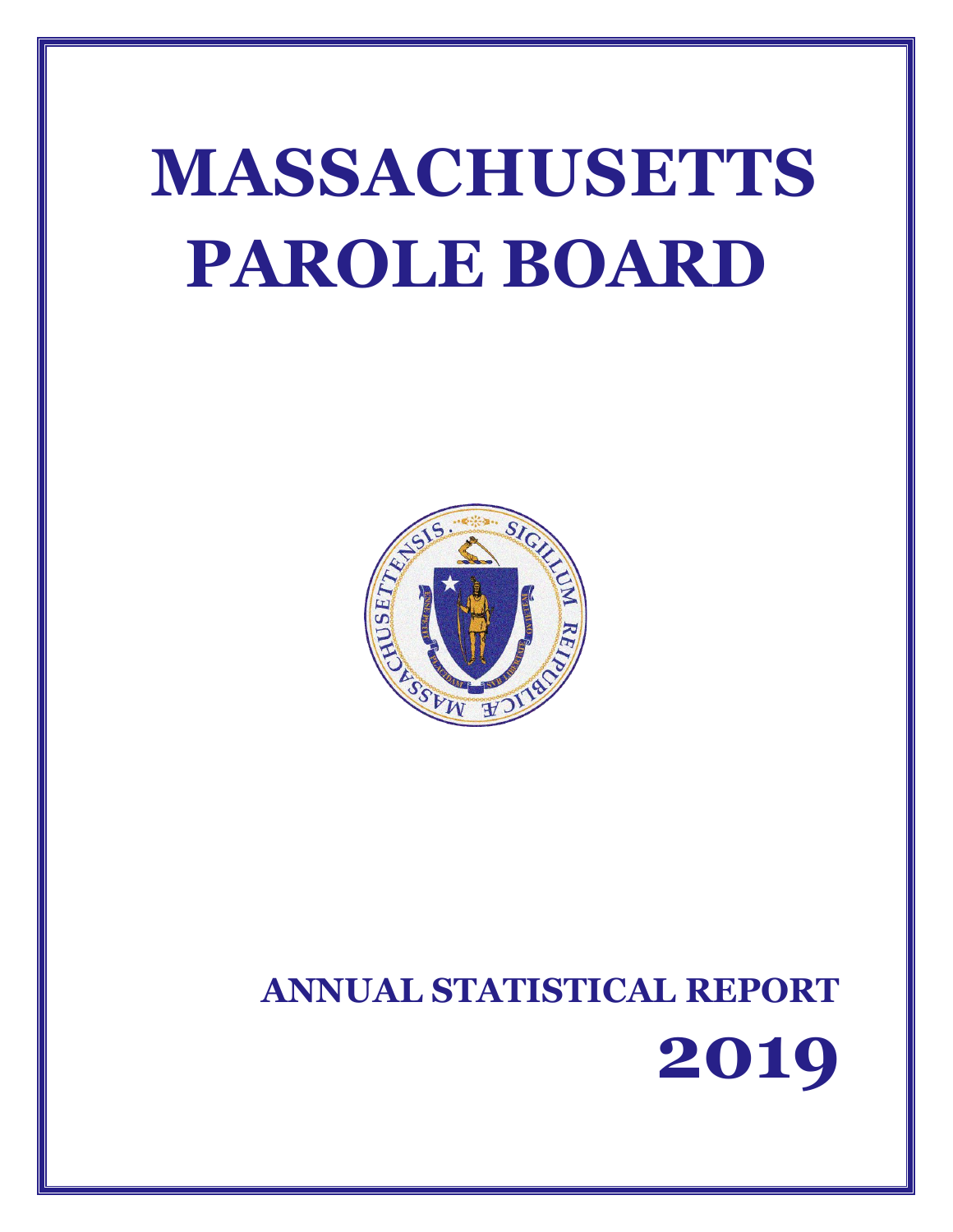# **MASSACHUSETTS PAROLE BOARD**



# **ANNUAL STATISTICAL REPORT 2019**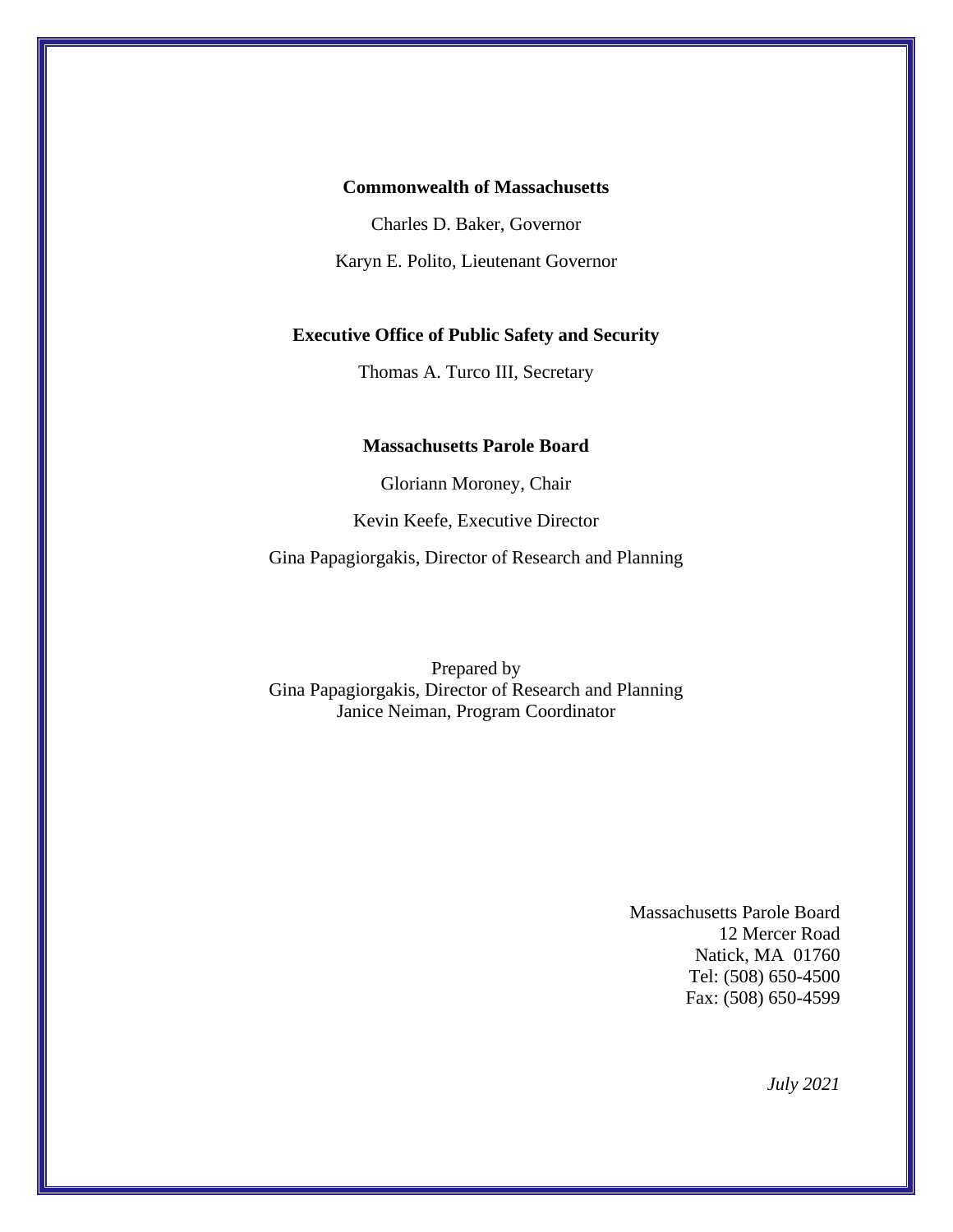#### **Commonwealth of Massachusetts**

Charles D. Baker, Governor

Karyn E. Polito, Lieutenant Governor

#### **Executive Office of Public Safety and Security**

Thomas A. Turco III, Secretary

#### **Massachusetts Parole Board**

Gloriann Moroney, Chair

Kevin Keefe, Executive Director

Gina Papagiorgakis, Director of Research and Planning

Prepared by Gina Papagiorgakis, Director of Research and Planning Janice Neiman, Program Coordinator

> Massachusetts Parole Board 12 Mercer Road Natick, MA 01760 Tel: (508) 650-4500 Fax: (508) 650-4599

> > *July 2021*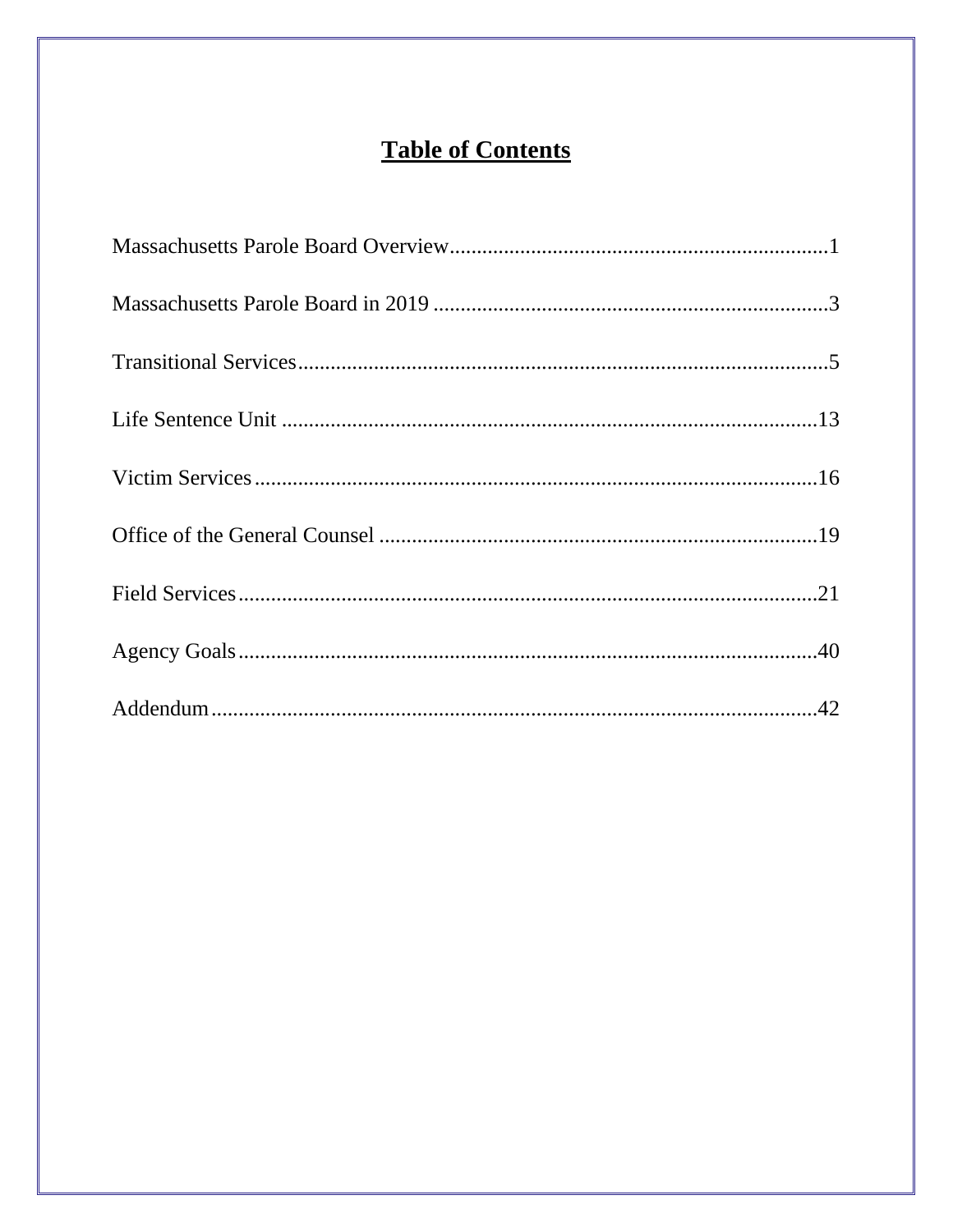# **Table of Contents**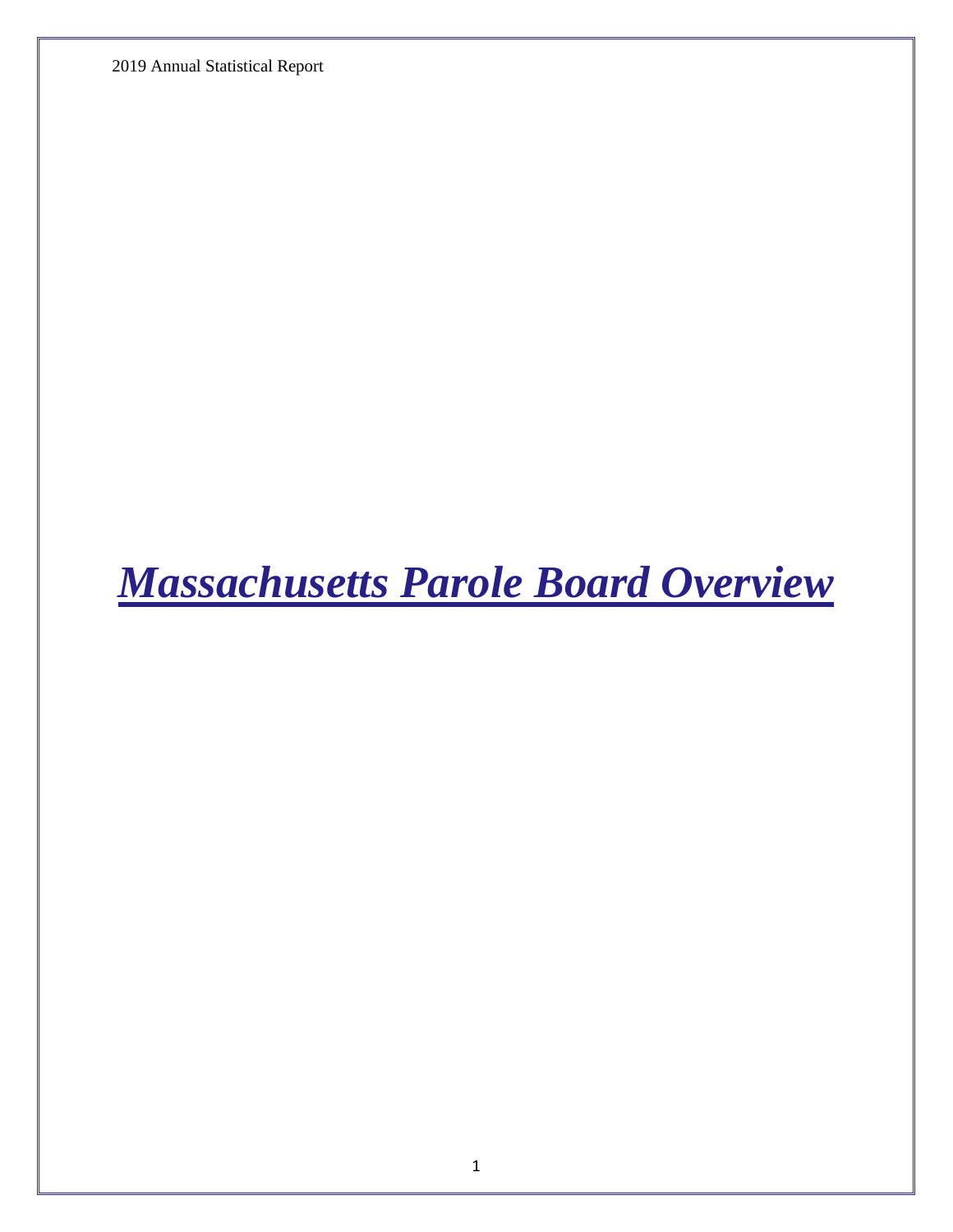2019 Annual Statistical Report

<span id="page-3-0"></span>*Massachusetts Parole Board Overview*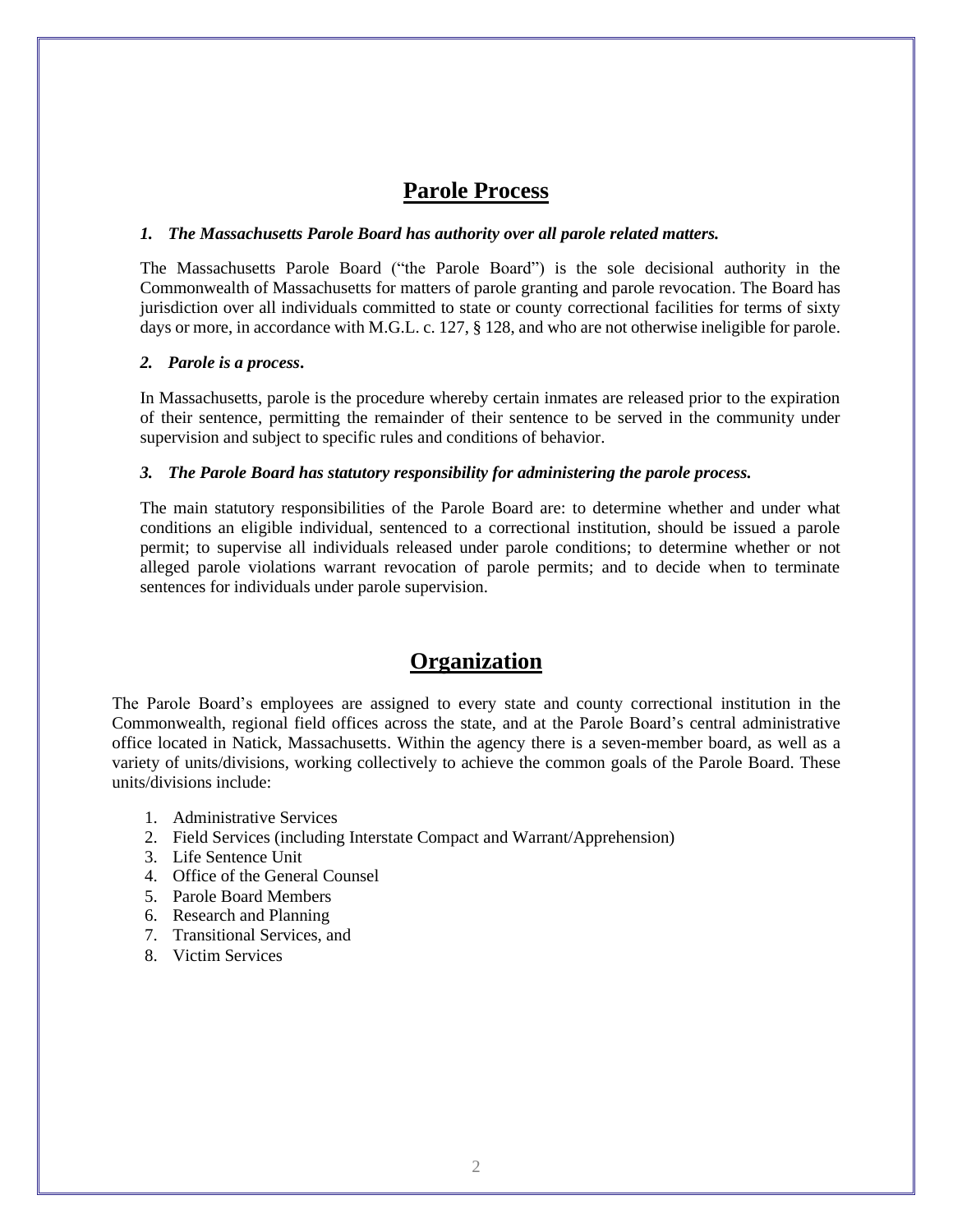#### **Parole Process**

#### *1. The Massachusetts Parole Board has authority over all parole related matters.*

The Massachusetts Parole Board ("the Parole Board") is the sole decisional authority in the Commonwealth of Massachusetts for matters of parole granting and parole revocation. The Board has jurisdiction over all individuals committed to state or county correctional facilities for terms of sixty days or more, in accordance with M.G.L. c. 127, § 128, and who are not otherwise ineligible for parole.

#### *2. Parole is a process***.**

In Massachusetts, parole is the procedure whereby certain inmates are released prior to the expiration of their sentence, permitting the remainder of their sentence to be served in the community under supervision and subject to specific rules and conditions of behavior.

#### *3. The Parole Board has statutory responsibility for administering the parole process.*

The main statutory responsibilities of the Parole Board are: to determine whether and under what conditions an eligible individual, sentenced to a correctional institution, should be issued a parole permit; to supervise all individuals released under parole conditions; to determine whether or not alleged parole violations warrant revocation of parole permits; and to decide when to terminate sentences for individuals under parole supervision.

#### **Organization**

The Parole Board's employees are assigned to every state and county correctional institution in the Commonwealth, regional field offices across the state, and at the Parole Board's central administrative office located in Natick, Massachusetts. Within the agency there is a seven-member board, as well as a variety of units/divisions, working collectively to achieve the common goals of the Parole Board. These units/divisions include:

- 1. Administrative Services
- 2. Field Services (including Interstate Compact and Warrant/Apprehension)
- 3. Life Sentence Unit
- 4. Office of the General Counsel
- 5. Parole Board Members
- 6. Research and Planning
- 7. Transitional Services, and
- 8. Victim Services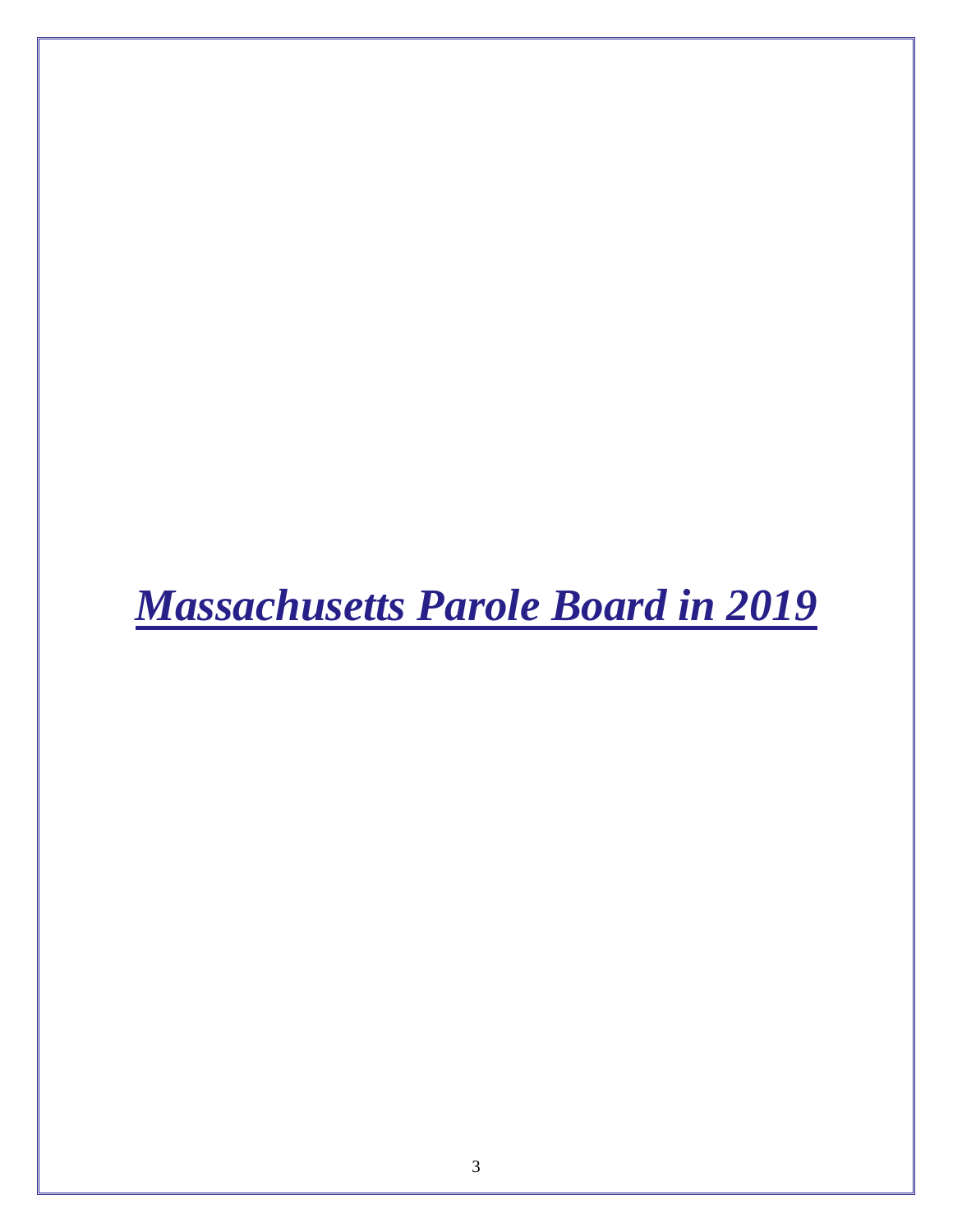<span id="page-5-0"></span>*Massachusetts Parole Board in 2019*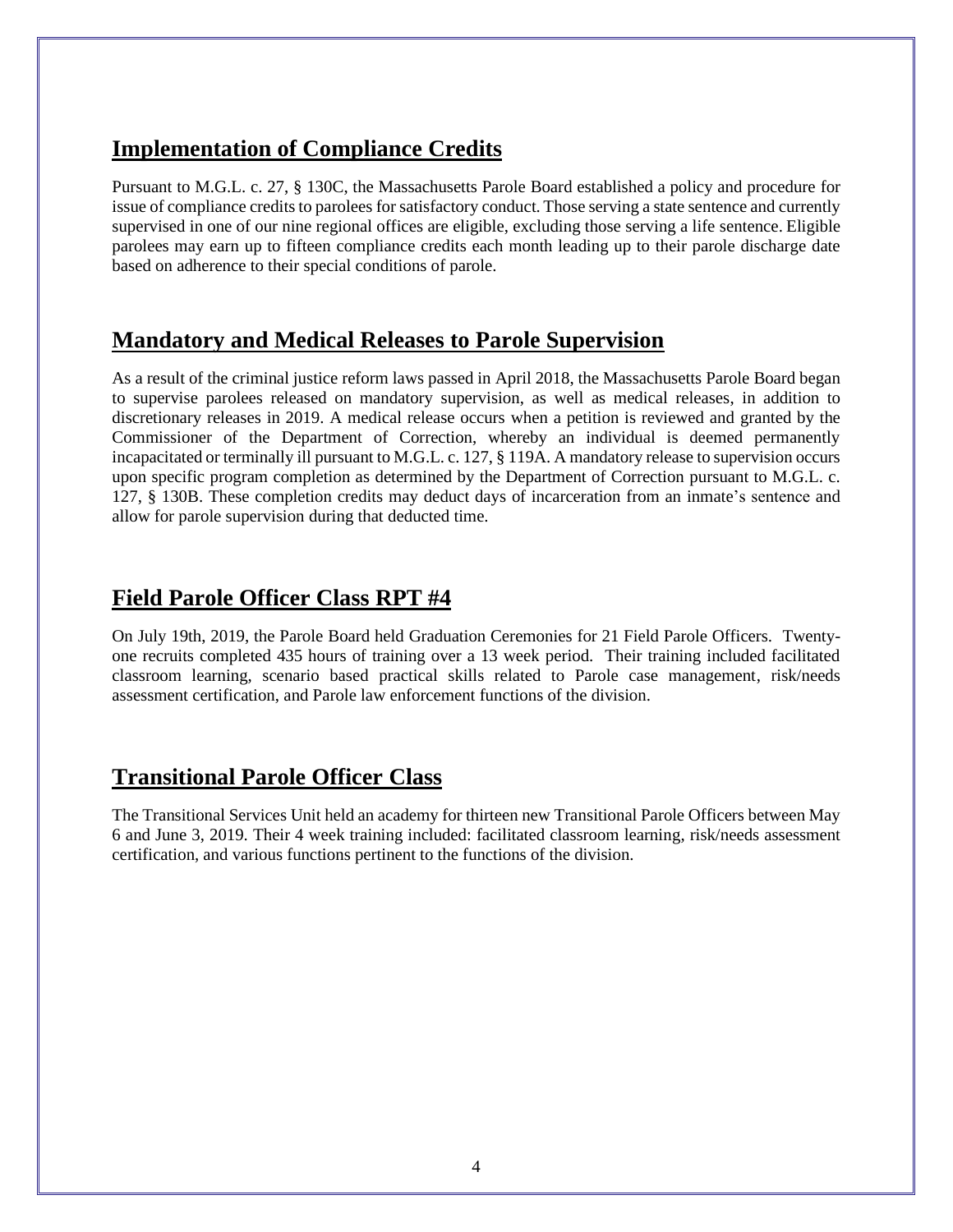# **Implementation of Compliance Credits**

Pursuant to M.G.L. c. 27, § 130C, the Massachusetts Parole Board established a policy and procedure for issue of compliance credits to parolees for satisfactory conduct. Those serving a state sentence and currently supervised in one of our nine regional offices are eligible, excluding those serving a life sentence. Eligible parolees may earn up to fifteen compliance credits each month leading up to their parole discharge date based on adherence to their special conditions of parole.

### **Mandatory and Medical Releases to Parole Supervision**

As a result of the criminal justice reform laws passed in April 2018, the Massachusetts Parole Board began to supervise parolees released on mandatory supervision, as well as medical releases, in addition to discretionary releases in 2019. A medical release occurs when a petition is reviewed and granted by the Commissioner of the Department of Correction, whereby an individual is deemed permanently incapacitated or terminally ill pursuant to M.G.L. c. 127, § 119A. A mandatory release to supervision occurs upon specific program completion as determined by the Department of Correction pursuant to M.G.L. c. 127, § 130B. These completion credits may deduct days of incarceration from an inmate's sentence and allow for parole supervision during that deducted time.

# **Field Parole Officer Class RPT #4**

On July 19th, 2019, the Parole Board held Graduation Ceremonies for 21 Field Parole Officers. Twentyone recruits completed 435 hours of training over a 13 week period. Their training included facilitated classroom learning, scenario based practical skills related to Parole case management, risk/needs assessment certification, and Parole law enforcement functions of the division.

# **Transitional Parole Officer Class**

The Transitional Services Unit held an academy for thirteen new Transitional Parole Officers between May 6 and June 3, 2019. Their 4 week training included: facilitated classroom learning, risk/needs assessment certification, and various functions pertinent to the functions of the division.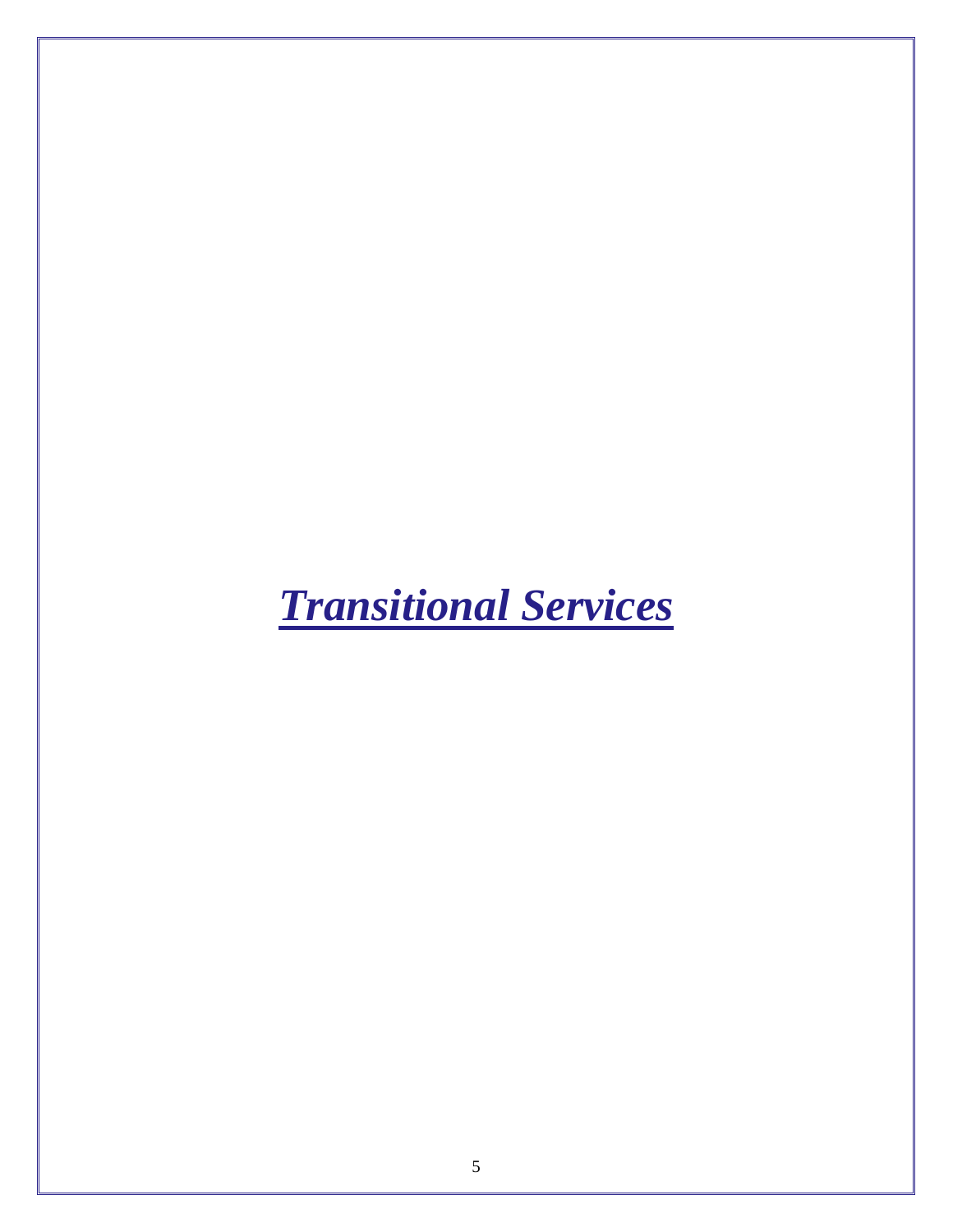# <span id="page-7-0"></span>*Transitional Services*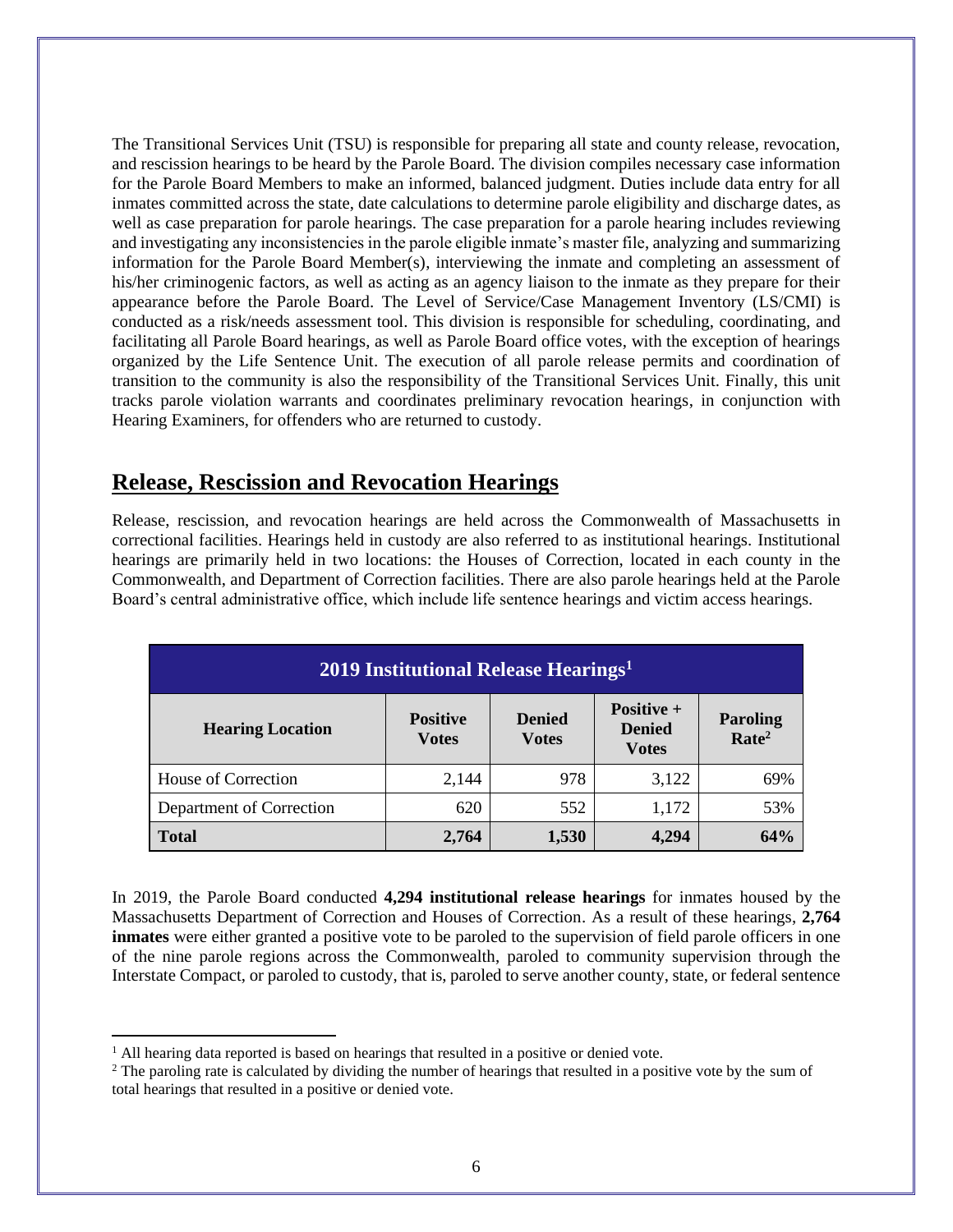The Transitional Services Unit (TSU) is responsible for preparing all state and county release, revocation, and rescission hearings to be heard by the Parole Board. The division compiles necessary case information for the Parole Board Members to make an informed, balanced judgment. Duties include data entry for all inmates committed across the state, date calculations to determine parole eligibility and discharge dates, as well as case preparation for parole hearings. The case preparation for a parole hearing includes reviewing and investigating any inconsistencies in the parole eligible inmate's master file, analyzing and summarizing information for the Parole Board Member(s), interviewing the inmate and completing an assessment of his/her criminogenic factors, as well as acting as an agency liaison to the inmate as they prepare for their appearance before the Parole Board. The Level of Service/Case Management Inventory (LS/CMI) is conducted as a risk/needs assessment tool. This division is responsible for scheduling, coordinating, and facilitating all Parole Board hearings, as well as Parole Board office votes, with the exception of hearings organized by the Life Sentence Unit. The execution of all parole release permits and coordination of transition to the community is also the responsibility of the Transitional Services Unit. Finally, this unit tracks parole violation warrants and coordinates preliminary revocation hearings, in conjunction with Hearing Examiners, for offenders who are returned to custody.

#### **Release, Rescission and Revocation Hearings**

Release, rescission, and revocation hearings are held across the Commonwealth of Massachusetts in correctional facilities. Hearings held in custody are also referred to as institutional hearings. Institutional hearings are primarily held in two locations: the Houses of Correction, located in each county in the Commonwealth, and Department of Correction facilities. There are also parole hearings held at the Parole Board's central administrative office, which include life sentence hearings and victim access hearings.

| 2019 Institutional Release Hearings <sup>1</sup>                                                                                                                                    |       |     |       |     |  |
|-------------------------------------------------------------------------------------------------------------------------------------------------------------------------------------|-------|-----|-------|-----|--|
| Positive +<br><b>Positive</b><br><b>Denied</b><br><b>Paroling</b><br><b>Hearing Location</b><br><b>Denied</b><br>Rate <sup>2</sup><br><b>Votes</b><br><b>V</b> otes<br><b>Votes</b> |       |     |       |     |  |
| House of Correction                                                                                                                                                                 | 2,144 | 978 | 3,122 | 69% |  |
| Department of Correction                                                                                                                                                            | 620   | 552 | 1,172 | 53% |  |
| 64%<br>4.294<br><b>Total</b><br>1,530<br>2,764                                                                                                                                      |       |     |       |     |  |

In 2019, the Parole Board conducted **4,294 institutional release hearings** for inmates housed by the Massachusetts Department of Correction and Houses of Correction. As a result of these hearings, **2,764 inmates** were either granted a positive vote to be paroled to the supervision of field parole officers in one of the nine parole regions across the Commonwealth, paroled to community supervision through the Interstate Compact, or paroled to custody, that is, paroled to serve another county, state, or federal sentence

<sup>&</sup>lt;sup>1</sup> All hearing data reported is based on hearings that resulted in a positive or denied vote.

<sup>&</sup>lt;sup>2</sup> The paroling rate is calculated by dividing the number of hearings that resulted in a positive vote by the sum of total hearings that resulted in a positive or denied vote.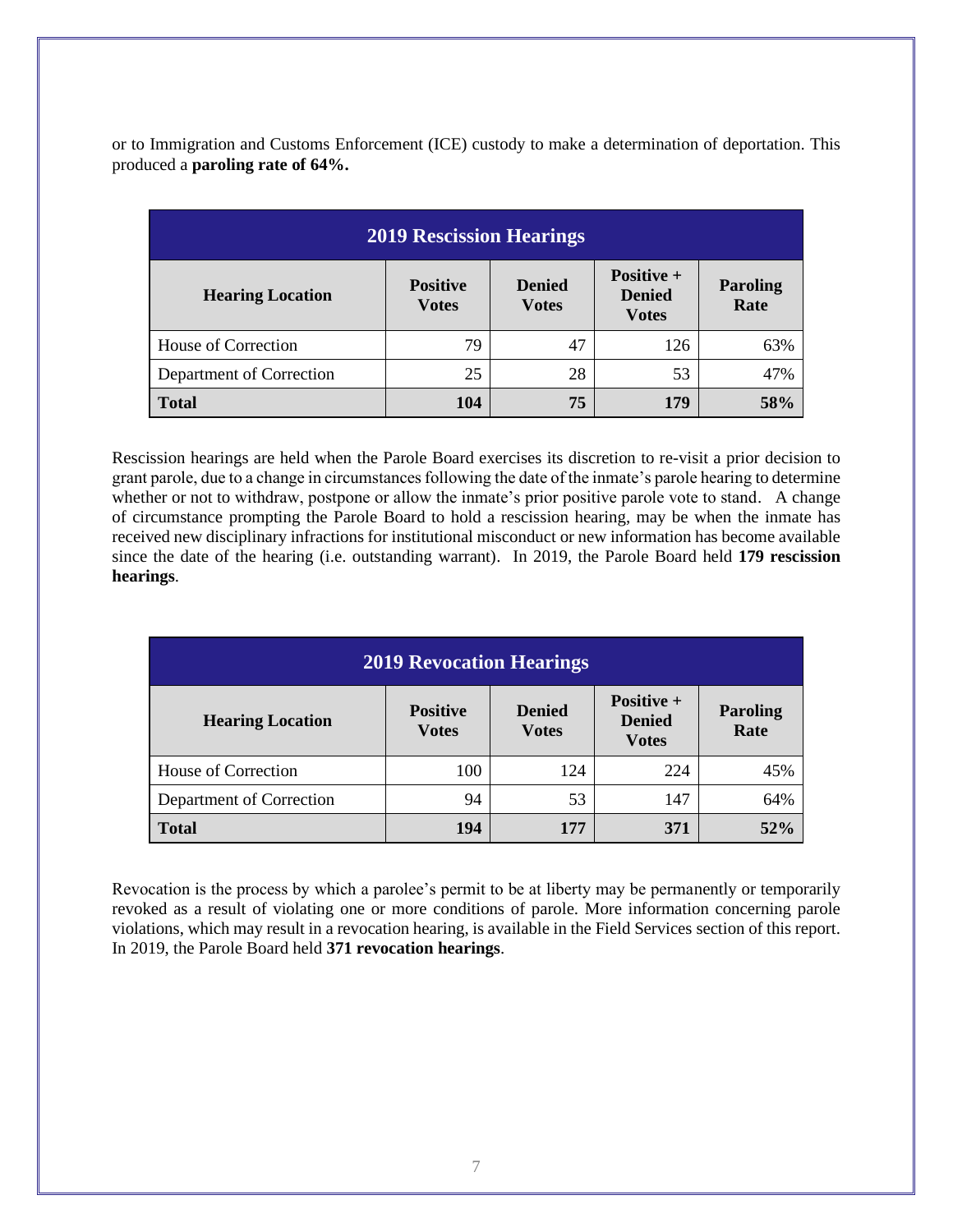or to Immigration and Customs Enforcement (ICE) custody to make a determination of deportation. This produced a **paroling rate of 64%.**

| <b>2019 Rescission Hearings</b> |                                 |                               |                                             |                         |
|---------------------------------|---------------------------------|-------------------------------|---------------------------------------------|-------------------------|
| <b>Hearing Location</b>         | <b>Positive</b><br><b>Votes</b> | <b>Denied</b><br><b>Votes</b> | Positive +<br><b>Denied</b><br><b>Votes</b> | <b>Paroling</b><br>Rate |
| House of Correction             | 79                              | 47                            | 126                                         | 63%                     |
| Department of Correction        | 25                              | 28                            | 53                                          | 47%                     |
| <b>Total</b>                    | 104                             | 75                            | 179                                         | 58%                     |

Rescission hearings are held when the Parole Board exercises its discretion to re-visit a prior decision to grant parole, due to a change in circumstances following the date of the inmate's parole hearing to determine whether or not to withdraw, postpone or allow the inmate's prior positive parole vote to stand. A change of circumstance prompting the Parole Board to hold a rescission hearing, may be when the inmate has received new disciplinary infractions for institutional misconduct or new information has become available since the date of the hearing (i.e. outstanding warrant). In 2019, the Parole Board held **179 rescission hearings**.

| <b>2019 Revocation Hearings</b>                                                                                                                                         |     |     |     |     |  |
|-------------------------------------------------------------------------------------------------------------------------------------------------------------------------|-----|-----|-----|-----|--|
| Positive $+$<br><b>Positive</b><br><b>Denied</b><br><b>Paroling</b><br><b>Hearing Location</b><br><b>Denied</b><br>Rate<br><b>Votes</b><br><b>Votes</b><br><b>Votes</b> |     |     |     |     |  |
| House of Correction                                                                                                                                                     | 100 | 124 | 224 | 45% |  |
| Department of Correction                                                                                                                                                | 94  | 53  | 147 | 64% |  |
| <b>Total</b>                                                                                                                                                            | 194 | 177 | 371 | 52% |  |

Revocation is the process by which a parolee's permit to be at liberty may be permanently or temporarily revoked as a result of violating one or more conditions of parole. More information concerning parole violations, which may result in a revocation hearing, is available in the Field Services section of this report. In 2019, the Parole Board held **371 revocation hearings**.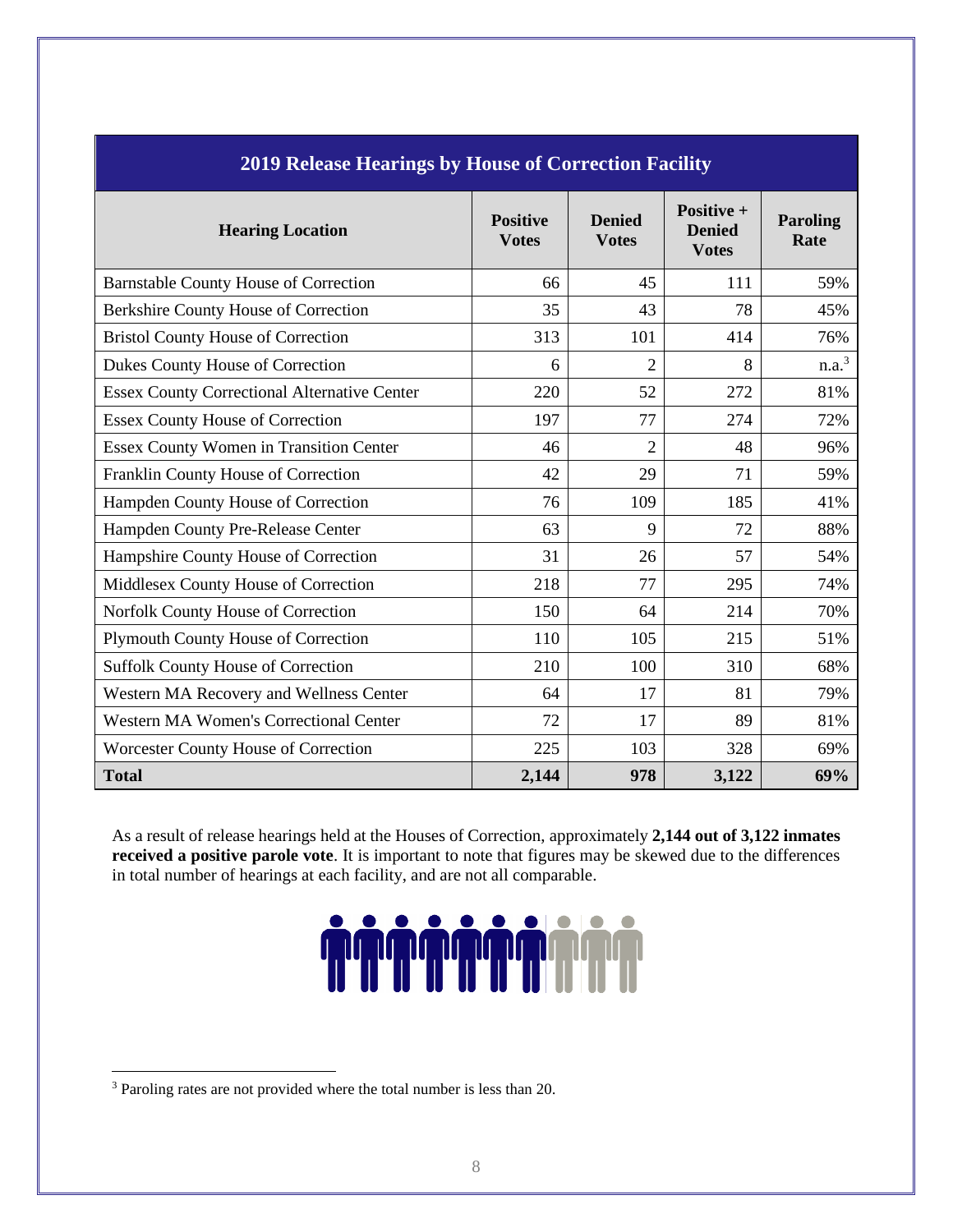| 2019 Release Hearings by House of Correction Facility |                                 |                               |                                             |                         |  |
|-------------------------------------------------------|---------------------------------|-------------------------------|---------------------------------------------|-------------------------|--|
| <b>Hearing Location</b>                               | <b>Positive</b><br><b>Votes</b> | <b>Denied</b><br><b>Votes</b> | Positive +<br><b>Denied</b><br><b>Votes</b> | <b>Paroling</b><br>Rate |  |
| <b>Barnstable County House of Correction</b>          | 66                              | 45                            | 111                                         | 59%                     |  |
| Berkshire County House of Correction                  | 35                              | 43                            | 78                                          | 45%                     |  |
| <b>Bristol County House of Correction</b>             | 313                             | 101                           | 414                                         | 76%                     |  |
| Dukes County House of Correction                      | 6                               | 2                             | 8                                           | n.a. <sup>3</sup>       |  |
| <b>Essex County Correctional Alternative Center</b>   | 220                             | 52                            | 272                                         | 81%                     |  |
| <b>Essex County House of Correction</b>               | 197                             | 77                            | 274                                         | 72%                     |  |
| <b>Essex County Women in Transition Center</b>        | 46                              | $\overline{2}$                | 48                                          | 96%                     |  |
| Franklin County House of Correction                   | 42                              | 29                            | 71                                          | 59%                     |  |
| Hampden County House of Correction                    | 76                              | 109                           | 185                                         | 41%                     |  |
| Hampden County Pre-Release Center                     | 63                              | 9                             | 72                                          | 88%                     |  |
| Hampshire County House of Correction                  | 31                              | 26                            | 57                                          | 54%                     |  |
| Middlesex County House of Correction                  | 218                             | 77                            | 295                                         | 74%                     |  |
| Norfolk County House of Correction                    | 150                             | 64                            | 214                                         | 70%                     |  |
| Plymouth County House of Correction                   | 110                             | 105                           | 215                                         | 51%                     |  |
| <b>Suffolk County House of Correction</b>             | 210                             | 100                           | 310                                         | 68%                     |  |
| Western MA Recovery and Wellness Center               | 64                              | 17                            | 81                                          | 79%                     |  |
| <b>Western MA Women's Correctional Center</b>         | 72                              | 17                            | 89                                          | 81%                     |  |
| Worcester County House of Correction                  | 225                             | 103                           | 328                                         | 69%                     |  |
| <b>Total</b>                                          | 2,144                           | 978                           | 3,122                                       | 69%                     |  |

#### **2019 Release Hearings by House of Correction Facility**

As a result of release hearings held at the Houses of Correction, approximately **2,144 out of 3,122 inmates received a positive parole vote**. It is important to note that figures may be skewed due to the differences in total number of hearings at each facility, and are not all comparable.

# **TTTTTTTTT**

<sup>3</sup> Paroling rates are not provided where the total number is less than 20.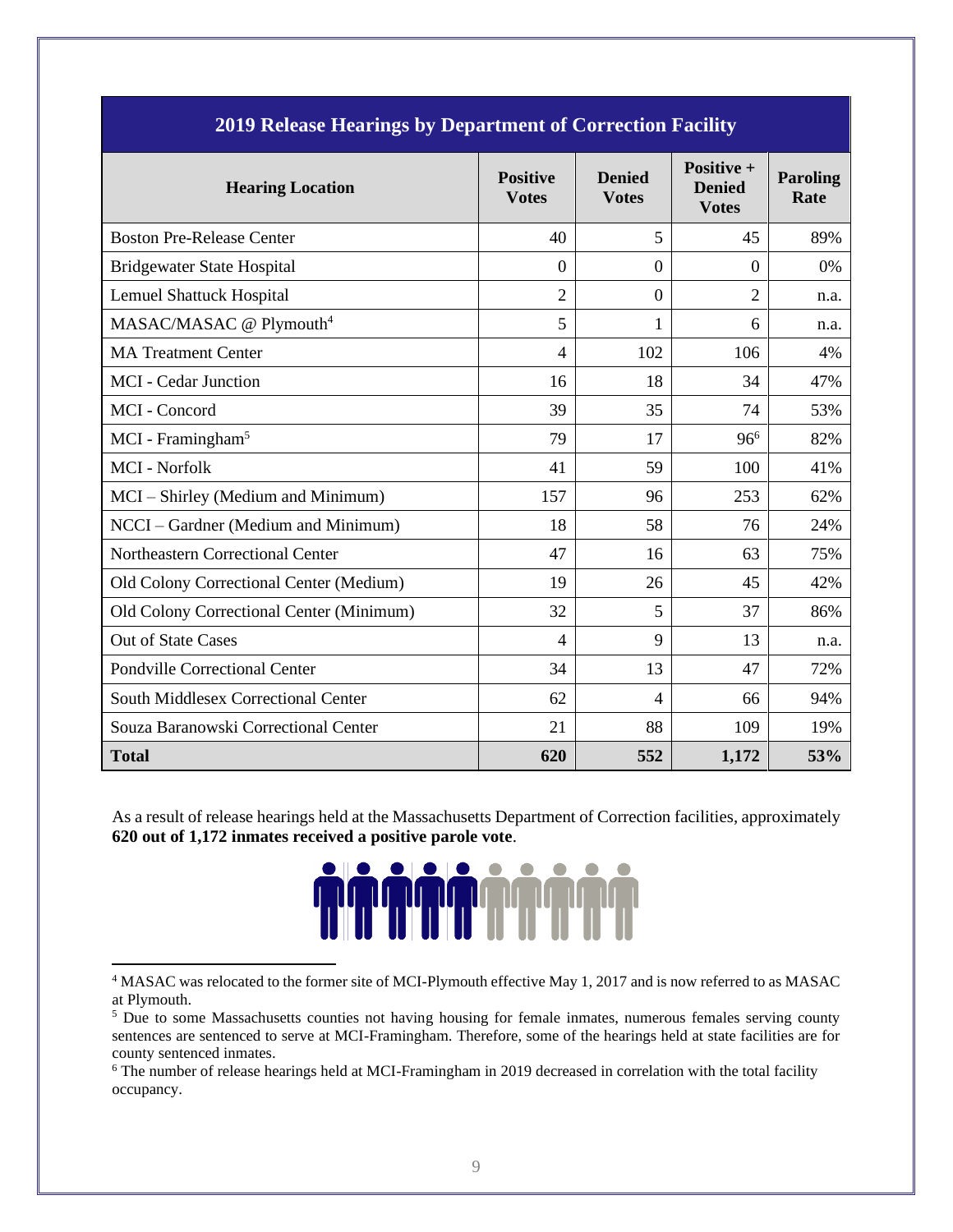| 2017 Refease Healings by Department of Correction Pacifity |                                 |                               |                                             |                         |  |  |
|------------------------------------------------------------|---------------------------------|-------------------------------|---------------------------------------------|-------------------------|--|--|
| <b>Hearing Location</b>                                    | <b>Positive</b><br><b>Votes</b> | <b>Denied</b><br><b>Votes</b> | Positive +<br><b>Denied</b><br><b>Votes</b> | <b>Paroling</b><br>Rate |  |  |
| <b>Boston Pre-Release Center</b>                           | 40                              | 5                             | 45                                          | 89%                     |  |  |
| <b>Bridgewater State Hospital</b>                          | $\overline{0}$                  | $\overline{0}$                | $\theta$                                    | $0\%$                   |  |  |
| <b>Lemuel Shattuck Hospital</b>                            | $\overline{2}$                  | $\boldsymbol{0}$              | $\overline{2}$                              | n.a.                    |  |  |
| MASAC/MASAC @ Plymouth <sup>4</sup>                        | 5                               | 1                             | 6                                           | n.a.                    |  |  |
| <b>MA Treatment Center</b>                                 | $\overline{4}$                  | 102                           | 106                                         | 4%                      |  |  |
| <b>MCI</b> - Cedar Junction                                | 16                              | 18                            | 34                                          | 47%                     |  |  |
| MCI - Concord                                              | 39                              | 35                            | 74                                          | 53%                     |  |  |
| MCI - Framingham <sup>5</sup>                              | 79                              | 17                            | $96^{6}$                                    | 82%                     |  |  |
| <b>MCI</b> - Norfolk                                       | 41                              | 59                            | 100                                         | 41%                     |  |  |
| MCI – Shirley (Medium and Minimum)                         | 157                             | 96                            | 253                                         | 62%                     |  |  |
| NCCI - Gardner (Medium and Minimum)                        | 18                              | 58                            | 76                                          | 24%                     |  |  |
| Northeastern Correctional Center                           | 47                              | 16                            | 63                                          | 75%                     |  |  |
| Old Colony Correctional Center (Medium)                    | 19                              | 26                            | 45                                          | 42%                     |  |  |
| Old Colony Correctional Center (Minimum)                   | 32                              | 5                             | 37                                          | 86%                     |  |  |
| <b>Out of State Cases</b>                                  | 4                               | 9                             | 13                                          | n.a.                    |  |  |
| <b>Pondville Correctional Center</b>                       | 34                              | 13                            | 47                                          | 72%                     |  |  |
| <b>South Middlesex Correctional Center</b>                 | 62                              | $\overline{\mathcal{A}}$      | 66                                          | 94%                     |  |  |
| Souza Baranowski Correctional Center                       | 21                              | 88                            | 109                                         | 19%                     |  |  |
| <b>Total</b>                                               | 620                             | 552                           | 1,172                                       | 53%                     |  |  |

**2019 Release Hearings by Department of Correction Facility**

As a result of release hearings held at the Massachusetts Department of Correction facilities, approximately **620 out of 1,172 inmates received a positive parole vote**.



<sup>4</sup> MASAC was relocated to the former site of MCI-Plymouth effective May 1, 2017 and is now referred to as MASAC at Plymouth.

<sup>&</sup>lt;sup>5</sup> Due to some Massachusetts counties not having housing for female inmates, numerous females serving county sentences are sentenced to serve at MCI-Framingham. Therefore, some of the hearings held at state facilities are for county sentenced inmates.

<sup>&</sup>lt;sup>6</sup> The number of release hearings held at MCI-Framingham in 2019 decreased in correlation with the total facility occupancy.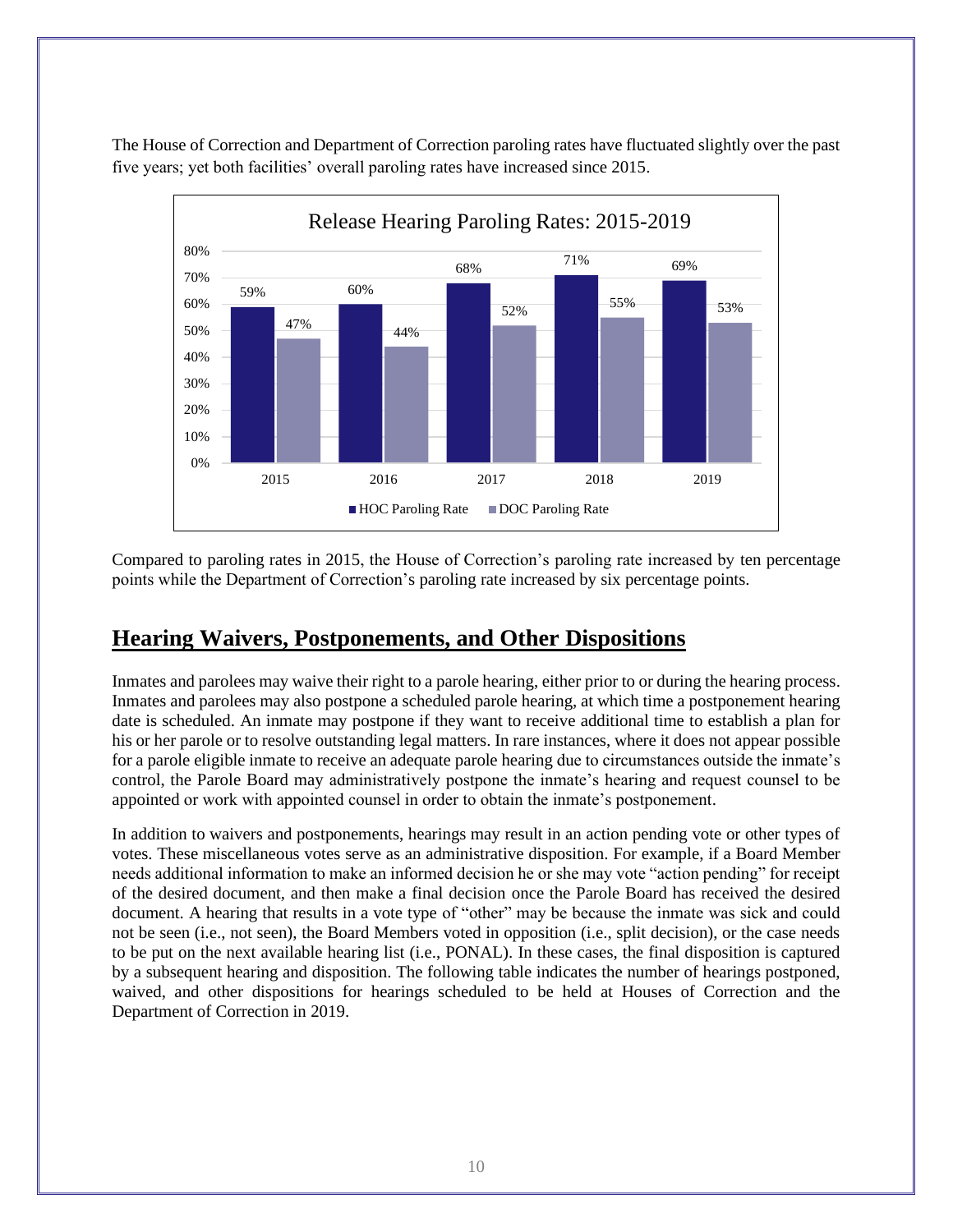The House of Correction and Department of Correction paroling rates have fluctuated slightly over the past five years; yet both facilities' overall paroling rates have increased since 2015.



Compared to paroling rates in 2015, the House of Correction's paroling rate increased by ten percentage points while the Department of Correction's paroling rate increased by six percentage points.

#### **Hearing Waivers, Postponements, and Other Dispositions**

Inmates and parolees may waive their right to a parole hearing, either prior to or during the hearing process. Inmates and parolees may also postpone a scheduled parole hearing, at which time a postponement hearing date is scheduled. An inmate may postpone if they want to receive additional time to establish a plan for his or her parole or to resolve outstanding legal matters. In rare instances, where it does not appear possible for a parole eligible inmate to receive an adequate parole hearing due to circumstances outside the inmate's control, the Parole Board may administratively postpone the inmate's hearing and request counsel to be appointed or work with appointed counsel in order to obtain the inmate's postponement.

In addition to waivers and postponements, hearings may result in an action pending vote or other types of votes. These miscellaneous votes serve as an administrative disposition. For example, if a Board Member needs additional information to make an informed decision he or she may vote "action pending" for receipt of the desired document, and then make a final decision once the Parole Board has received the desired document. A hearing that results in a vote type of "other" may be because the inmate was sick and could not be seen (i.e., not seen), the Board Members voted in opposition (i.e., split decision), or the case needs to be put on the next available hearing list (i.e., PONAL). In these cases, the final disposition is captured by a subsequent hearing and disposition. The following table indicates the number of hearings postponed, waived, and other dispositions for hearings scheduled to be held at Houses of Correction and the Department of Correction in 2019.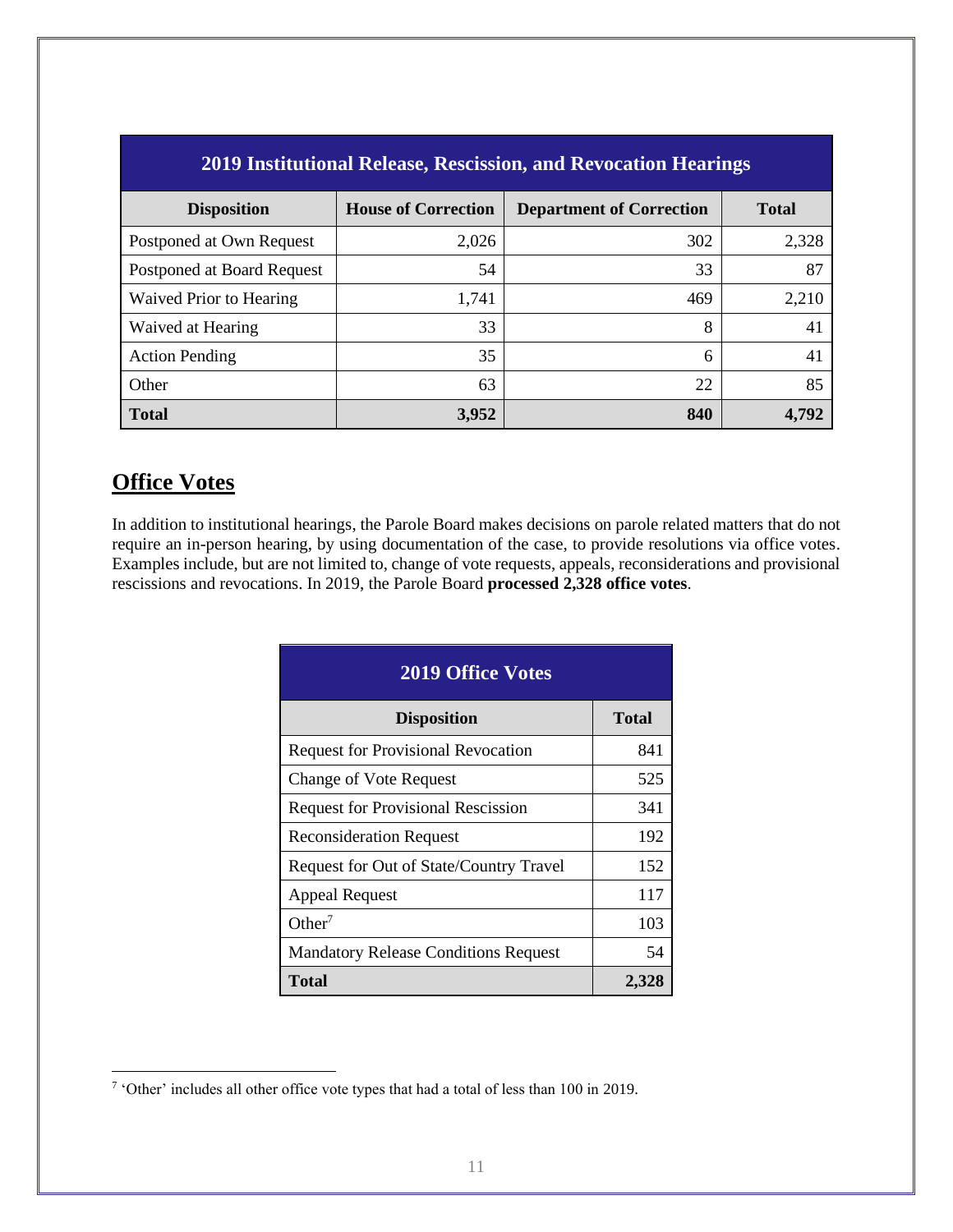| <b>2019 Institutional Release, Rescission, and Revocation Hearings</b> |                            |                                 |              |  |
|------------------------------------------------------------------------|----------------------------|---------------------------------|--------------|--|
| <b>Disposition</b>                                                     | <b>House of Correction</b> | <b>Department of Correction</b> | <b>Total</b> |  |
| Postponed at Own Request                                               | 2,026                      | 302                             | 2,328        |  |
| Postponed at Board Request                                             | 54                         | 33                              | 87           |  |
| Waived Prior to Hearing                                                | 1,741                      | 469                             | 2,210        |  |
| Waived at Hearing                                                      | 33                         | 8                               | 41           |  |
| <b>Action Pending</b>                                                  | 35                         | 6                               | 41           |  |
| Other                                                                  | 63                         | 22                              | 85           |  |
| <b>Total</b>                                                           | 3,952                      | 840                             | 4,792        |  |

# **Office Votes**

In addition to institutional hearings, the Parole Board makes decisions on parole related matters that do not require an in-person hearing, by using documentation of the case, to provide resolutions via office votes. Examples include, but are not limited to, change of vote requests, appeals, reconsiderations and provisional rescissions and revocations. In 2019, the Parole Board **processed 2,328 office votes**.

| <b>2019 Office Votes</b>                    |              |  |  |
|---------------------------------------------|--------------|--|--|
| <b>Disposition</b>                          | <b>Total</b> |  |  |
| <b>Request for Provisional Revocation</b>   | 841          |  |  |
| <b>Change of Vote Request</b>               | 525          |  |  |
| <b>Request for Provisional Rescission</b>   | 341          |  |  |
| <b>Reconsideration Request</b>              | 192          |  |  |
| Request for Out of State/Country Travel     | 152          |  |  |
| <b>Appeal Request</b>                       | 117          |  |  |
| Other <sup>7</sup>                          | 103          |  |  |
| <b>Mandatory Release Conditions Request</b> | 54           |  |  |
| Total                                       | 2,32         |  |  |

<sup>&</sup>lt;sup>7</sup> 'Other' includes all other office vote types that had a total of less than 100 in 2019.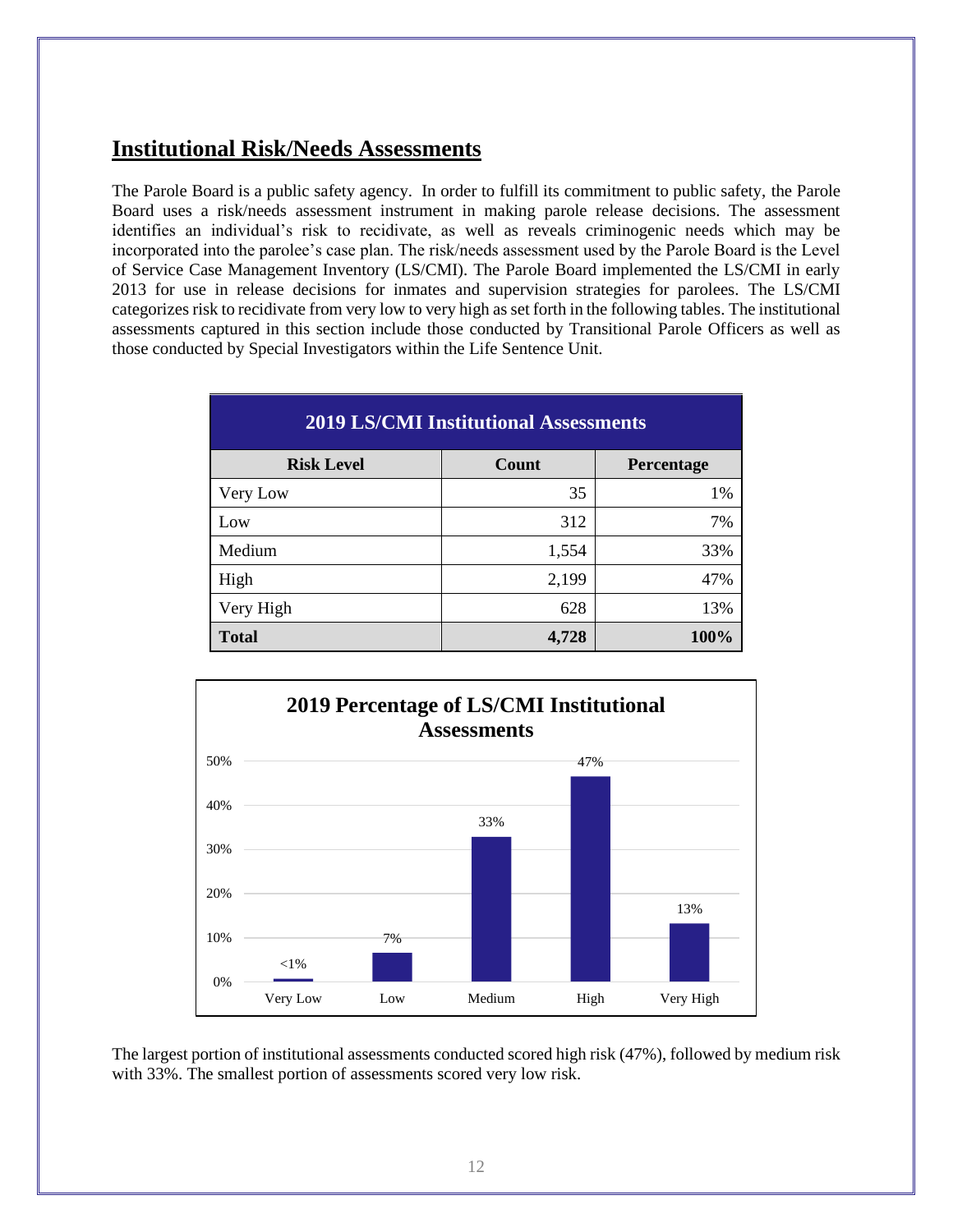### **Institutional Risk/Needs Assessments**

The Parole Board is a public safety agency. In order to fulfill its commitment to public safety, the Parole Board uses a risk/needs assessment instrument in making parole release decisions. The assessment identifies an individual's risk to recidivate, as well as reveals criminogenic needs which may be incorporated into the parolee's case plan. The risk/needs assessment used by the Parole Board is the Level of Service Case Management Inventory (LS/CMI). The Parole Board implemented the LS/CMI in early 2013 for use in release decisions for inmates and supervision strategies for parolees. The LS/CMI categorizes risk to recidivate from very low to very high as set forth in the following tables. The institutional assessments captured in this section include those conducted by Transitional Parole Officers as well as those conducted by Special Investigators within the Life Sentence Unit.

| <b>2019 LS/CMI Institutional Assessments</b> |       |            |  |
|----------------------------------------------|-------|------------|--|
| <b>Risk Level</b>                            | Count | Percentage |  |
| Very Low                                     | 35    | 1%         |  |
| Low                                          | 312   | 7%         |  |
| Medium                                       | 1,554 | 33%        |  |
| High                                         | 2,199 | 47%        |  |
| Very High                                    | 628   | 13%        |  |
| <b>Total</b>                                 | 4,728 | 100%       |  |



The largest portion of institutional assessments conducted scored high risk (47%), followed by medium risk with 33%. The smallest portion of assessments scored very low risk.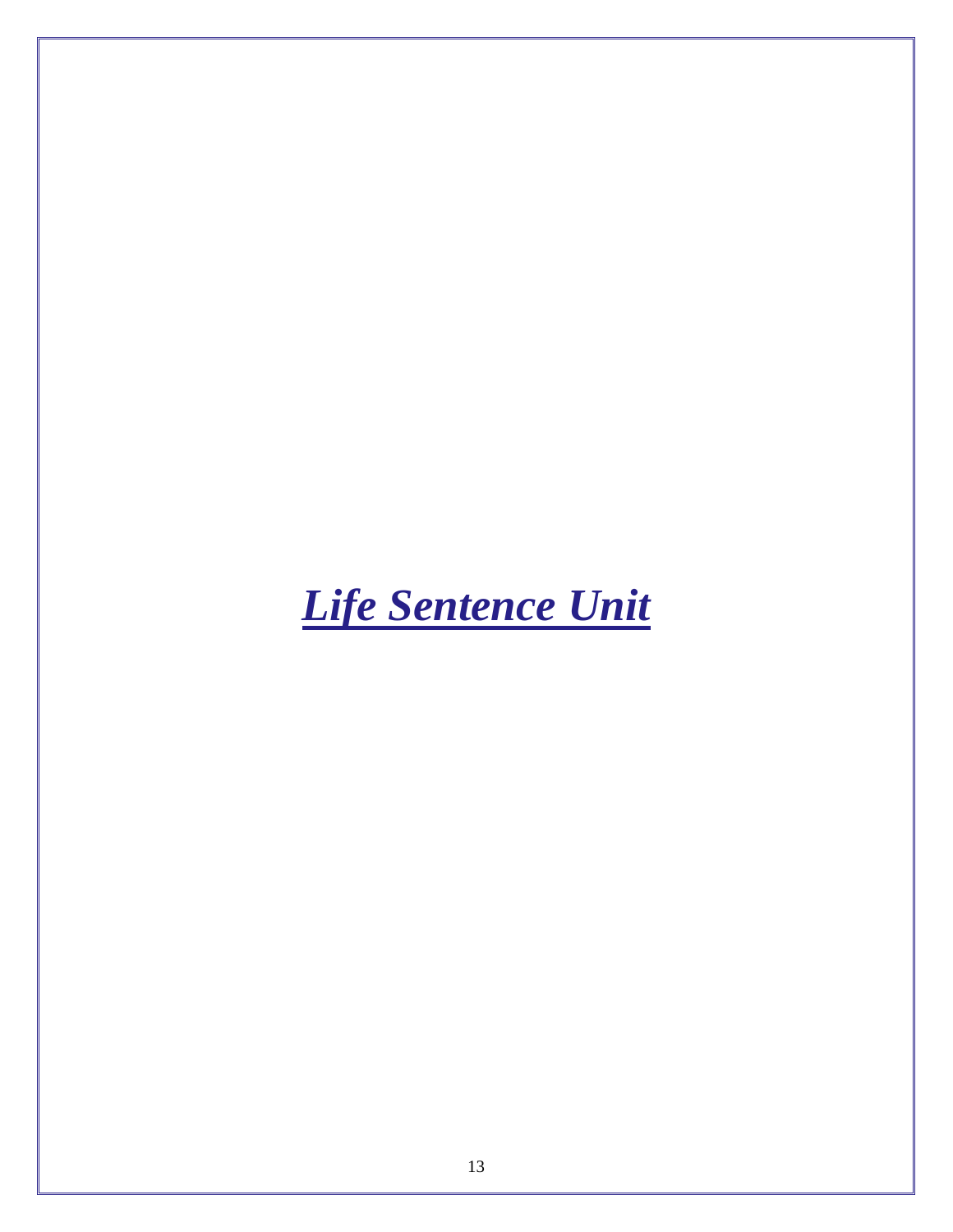# <span id="page-15-0"></span>*Life Sentence Unit*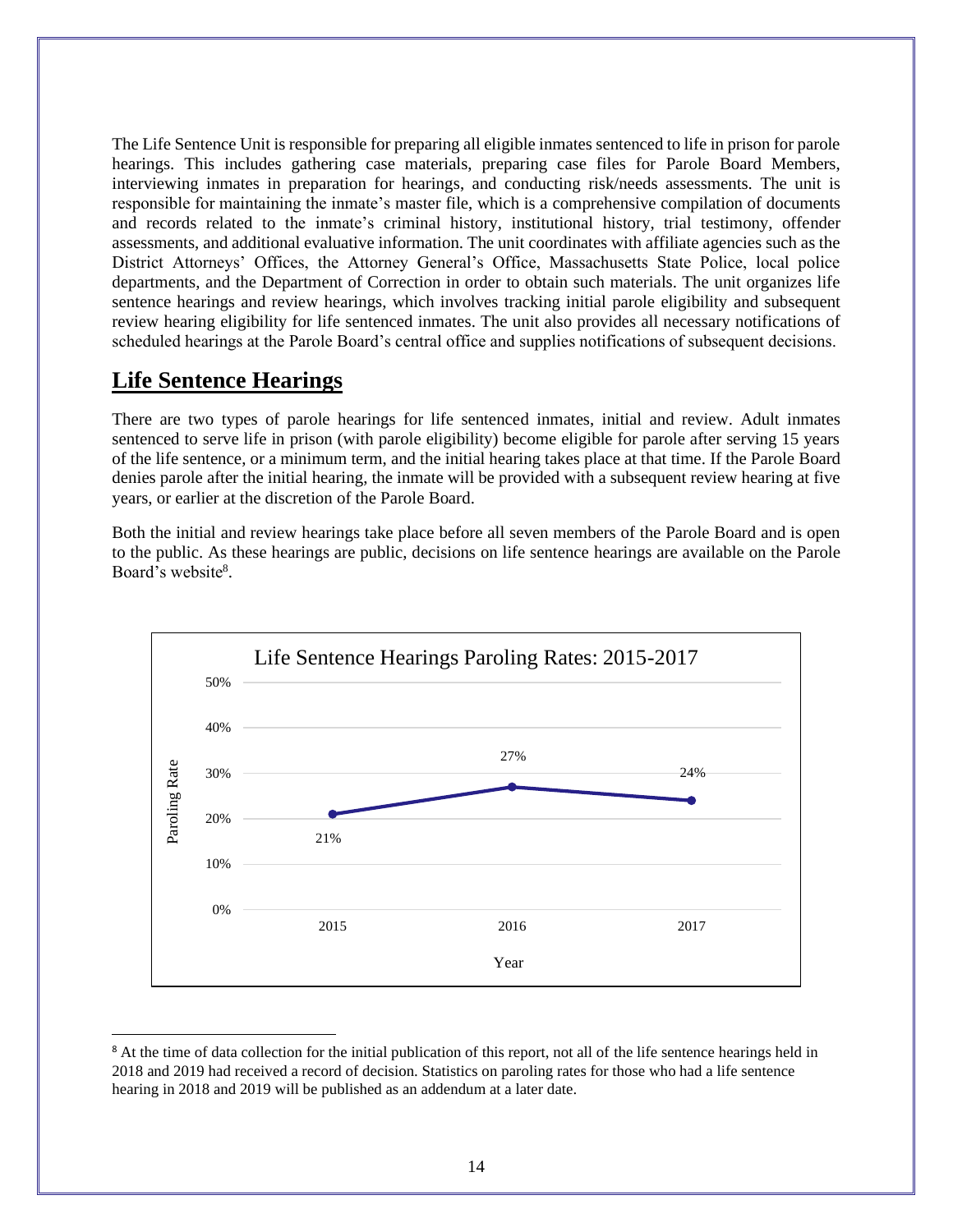The Life Sentence Unit is responsible for preparing all eligible inmates sentenced to life in prison for parole hearings. This includes gathering case materials, preparing case files for Parole Board Members, interviewing inmates in preparation for hearings, and conducting risk/needs assessments. The unit is responsible for maintaining the inmate's master file, which is a comprehensive compilation of documents and records related to the inmate's criminal history, institutional history, trial testimony, offender assessments, and additional evaluative information. The unit coordinates with affiliate agencies such as the District Attorneys' Offices, the Attorney General's Office, Massachusetts State Police, local police departments, and the Department of Correction in order to obtain such materials. The unit organizes life sentence hearings and review hearings, which involves tracking initial parole eligibility and subsequent review hearing eligibility for life sentenced inmates. The unit also provides all necessary notifications of scheduled hearings at the Parole Board's central office and supplies notifications of subsequent decisions.

#### **Life Sentence Hearings**

There are two types of parole hearings for life sentenced inmates, initial and review. Adult inmates sentenced to serve life in prison (with parole eligibility) become eligible for parole after serving 15 years of the life sentence, or a minimum term, and the initial hearing takes place at that time. If the Parole Board denies parole after the initial hearing, the inmate will be provided with a subsequent review hearing at five years, or earlier at the discretion of the Parole Board.

Both the initial and review hearings take place before all seven members of the Parole Board and is open to the public. As these hearings are public, decisions on life sentence hearings are available on the Parole Board's website<sup>8</sup>.



<sup>&</sup>lt;sup>8</sup> At the time of data collection for the initial publication of this report, not all of the life sentence hearings held in 2018 and 2019 had received a record of decision. Statistics on paroling rates for those who had a life sentence hearing in 2018 and 2019 will be published as an addendum at a later date.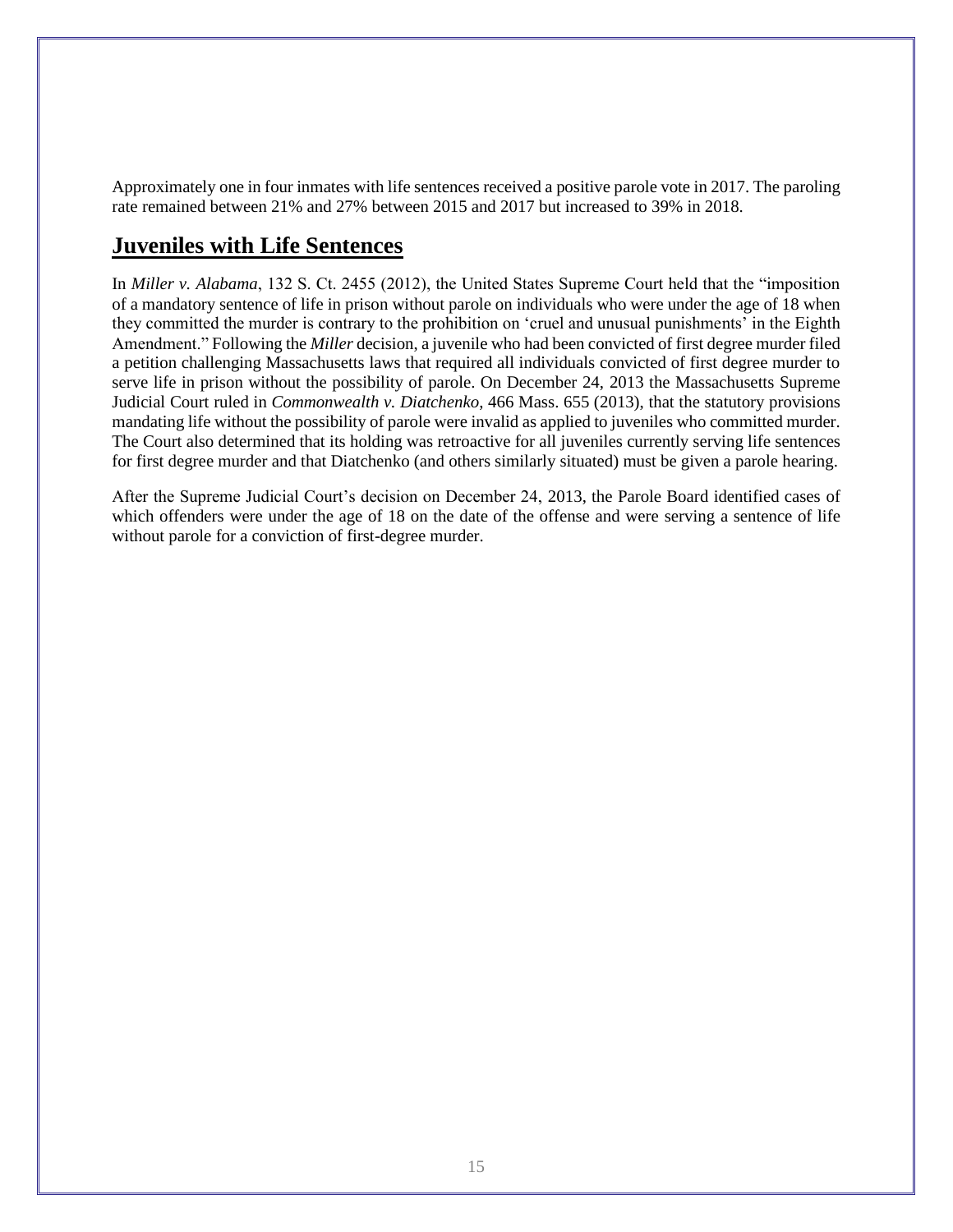Approximately one in four inmates with life sentences received a positive parole vote in 2017. The paroling rate remained between 21% and 27% between 2015 and 2017 but increased to 39% in 2018.

### **Juveniles with Life Sentences**

In *Miller v. Alabama*, 132 S. Ct. 2455 (2012), the United States Supreme Court held that the "imposition of a mandatory sentence of life in prison without parole on individuals who were under the age of 18 when they committed the murder is contrary to the prohibition on 'cruel and unusual punishments' in the Eighth Amendment." Following the *Miller* decision, a juvenile who had been convicted of first degree murder filed a petition challenging Massachusetts laws that required all individuals convicted of first degree murder to serve life in prison without the possibility of parole. On December 24, 2013 the Massachusetts Supreme Judicial Court ruled in *Commonwealth v. Diatchenko*, 466 Mass. 655 (2013), that the statutory provisions mandating life without the possibility of parole were invalid as applied to juveniles who committed murder. The Court also determined that its holding was retroactive for all juveniles currently serving life sentences for first degree murder and that Diatchenko (and others similarly situated) must be given a parole hearing.

After the Supreme Judicial Court's decision on December 24, 2013, the Parole Board identified cases of which offenders were under the age of 18 on the date of the offense and were serving a sentence of life without parole for a conviction of first-degree murder.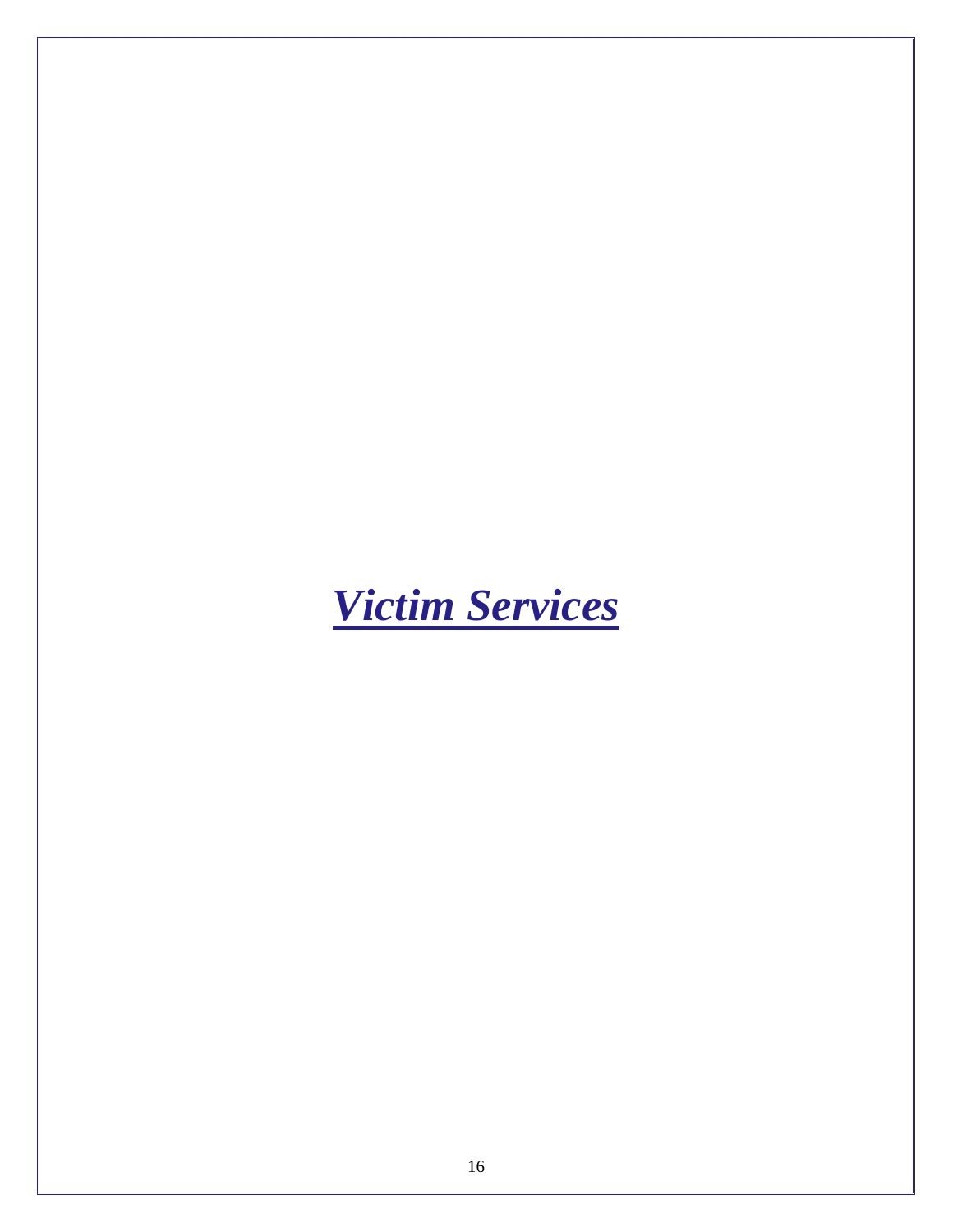<span id="page-18-0"></span>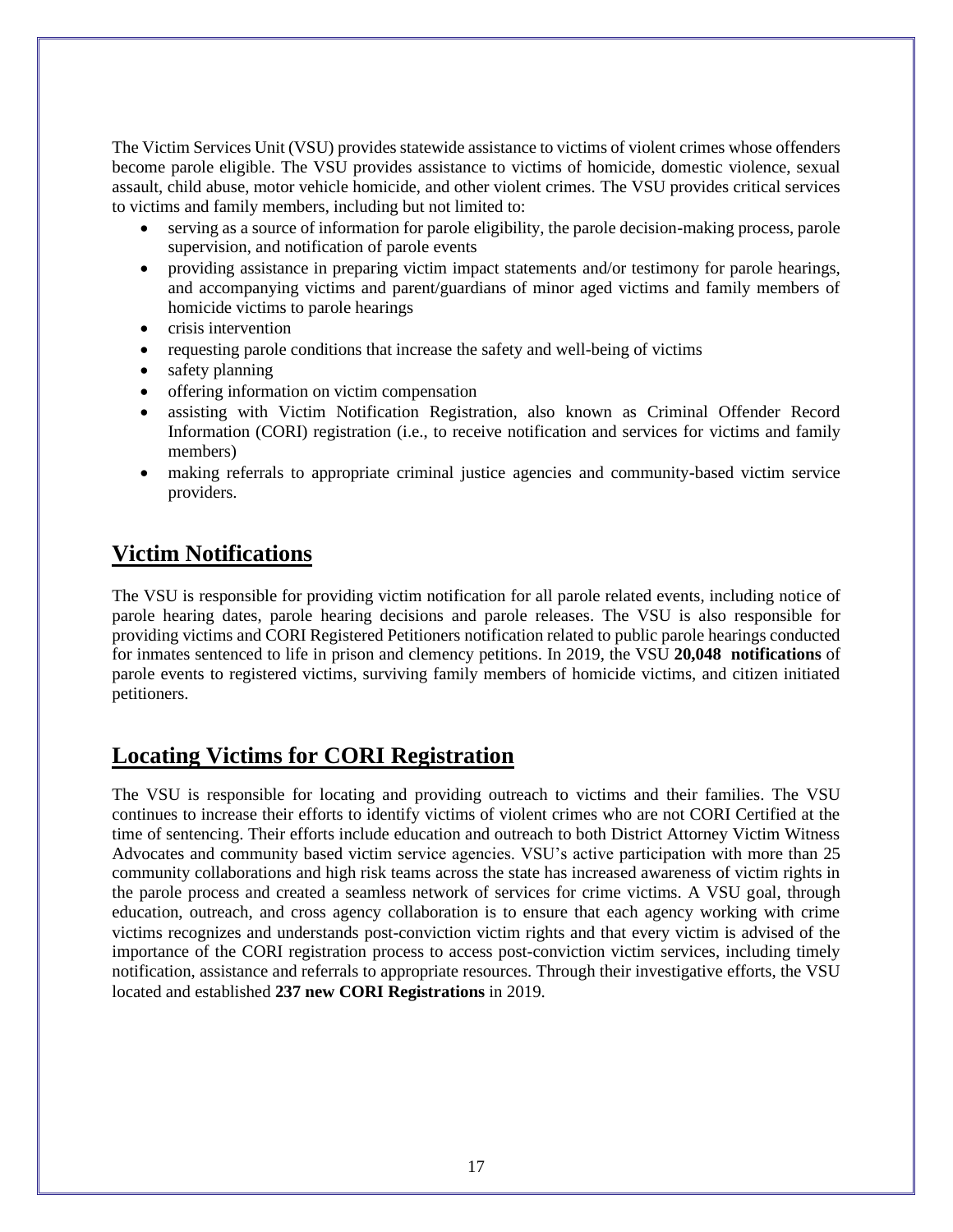The Victim Services Unit (VSU) provides statewide assistance to victims of violent crimes whose offenders become parole eligible. The VSU provides assistance to victims of homicide, domestic violence, sexual assault, child abuse, motor vehicle homicide, and other violent crimes. The VSU provides critical services to victims and family members, including but not limited to:

- serving as a source of information for parole eligibility, the parole decision-making process, parole supervision, and notification of parole events
- providing assistance in preparing victim impact statements and/or testimony for parole hearings, and accompanying victims and parent/guardians of minor aged victims and family members of homicide victims to parole hearings
- crisis intervention
- requesting parole conditions that increase the safety and well-being of victims
- safety planning
- offering information on victim compensation
- assisting with Victim Notification Registration, also known as Criminal Offender Record Information (CORI) registration (i.e., to receive notification and services for victims and family members)
- making referrals to appropriate criminal justice agencies and community-based victim service providers.

# **Victim Notifications**

The VSU is responsible for providing victim notification for all parole related events, including notice of parole hearing dates, parole hearing decisions and parole releases. The VSU is also responsible for providing victims and CORI Registered Petitioners notification related to public parole hearings conducted for inmates sentenced to life in prison and clemency petitions. In 2019, the VSU **20,048 notifications** of parole events to registered victims, surviving family members of homicide victims, and citizen initiated petitioners.

# **Locating Victims for CORI Registration**

The VSU is responsible for locating and providing outreach to victims and their families. The VSU continues to increase their efforts to identify victims of violent crimes who are not CORI Certified at the time of sentencing. Their efforts include education and outreach to both District Attorney Victim Witness Advocates and community based victim service agencies. VSU's active participation with more than 25 community collaborations and high risk teams across the state has increased awareness of victim rights in the parole process and created a seamless network of services for crime victims. A VSU goal, through education, outreach, and cross agency collaboration is to ensure that each agency working with crime victims recognizes and understands post-conviction victim rights and that every victim is advised of the importance of the CORI registration process to access post-conviction victim services, including timely notification, assistance and referrals to appropriate resources. Through their investigative efforts, the VSU located and established **237 new CORI Registrations** in 2019.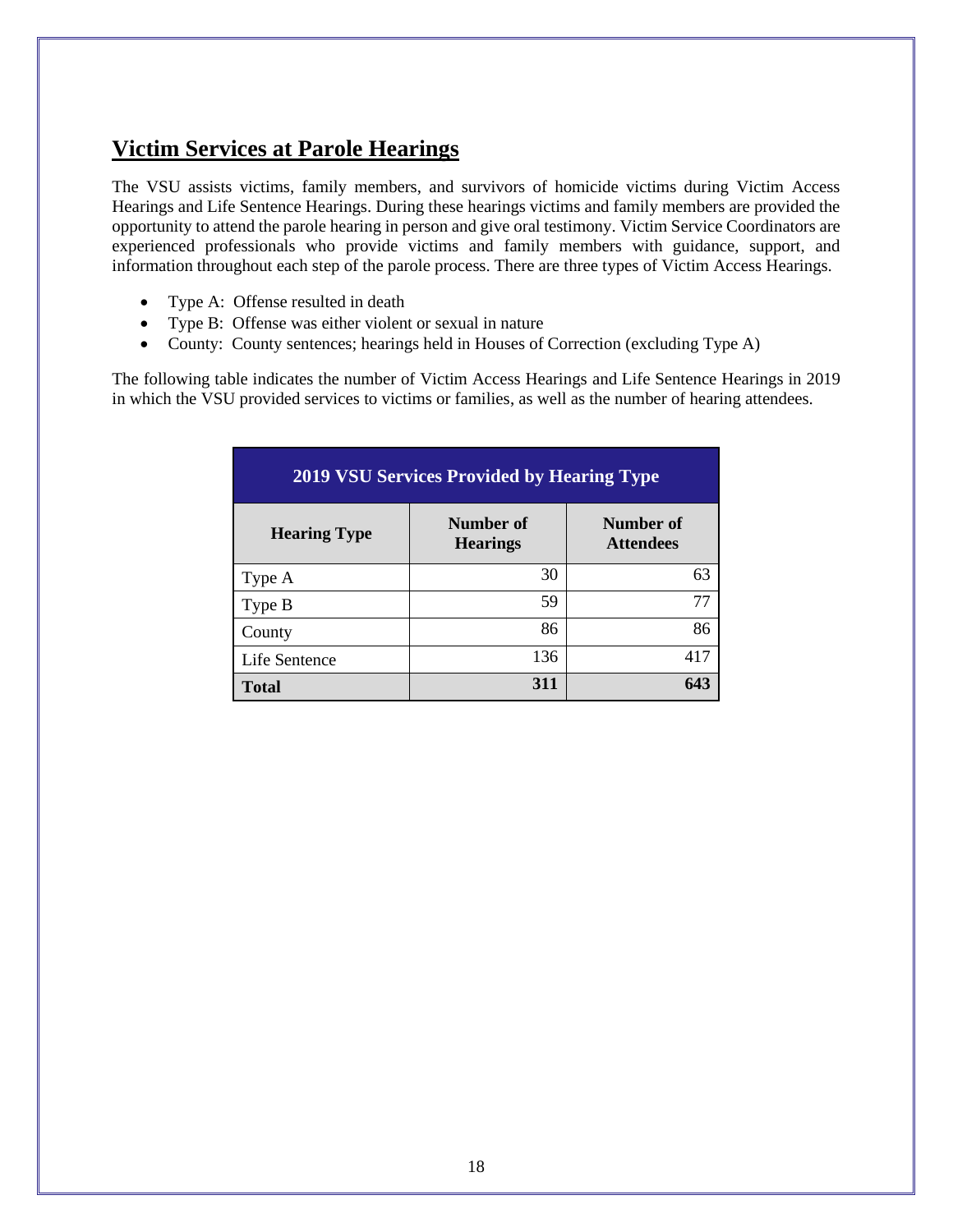# **Victim Services at Parole Hearings**

The VSU assists victims, family members, and survivors of homicide victims during Victim Access Hearings and Life Sentence Hearings. During these hearings victims and family members are provided the opportunity to attend the parole hearing in person and give oral testimony. Victim Service Coordinators are experienced professionals who provide victims and family members with guidance, support, and information throughout each step of the parole process. There are three types of Victim Access Hearings.

- Type A: Offense resulted in death
- Type B: Offense was either violent or sexual in nature
- County: County sentences; hearings held in Houses of Correction (excluding Type A)

The following table indicates the number of Victim Access Hearings and Life Sentence Hearings in 2019 in which the VSU provided services to victims or families, as well as the number of hearing attendees.

| <b>2019 VSU Services Provided by Hearing Type</b> |                              |                               |  |
|---------------------------------------------------|------------------------------|-------------------------------|--|
| <b>Hearing Type</b>                               | Number of<br><b>Hearings</b> | Number of<br><b>Attendees</b> |  |
| Type A                                            | 30                           | 63                            |  |
| Type B                                            | 59                           | 77                            |  |
| County                                            | 86                           | 86                            |  |
| Life Sentence                                     | 136                          | 417                           |  |
| <b>Total</b>                                      | 311                          | 643                           |  |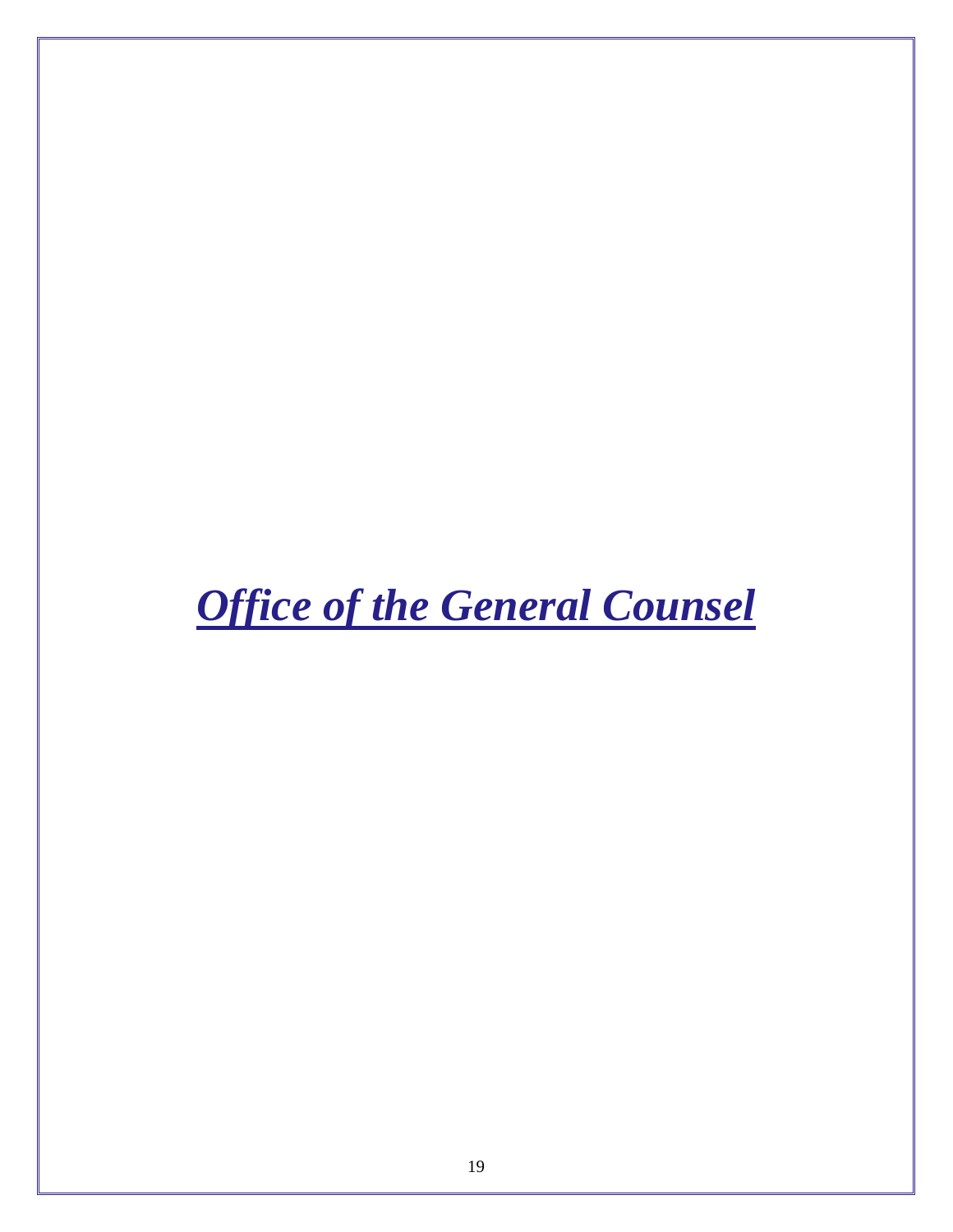<span id="page-21-0"></span>*Office of the General Counsel*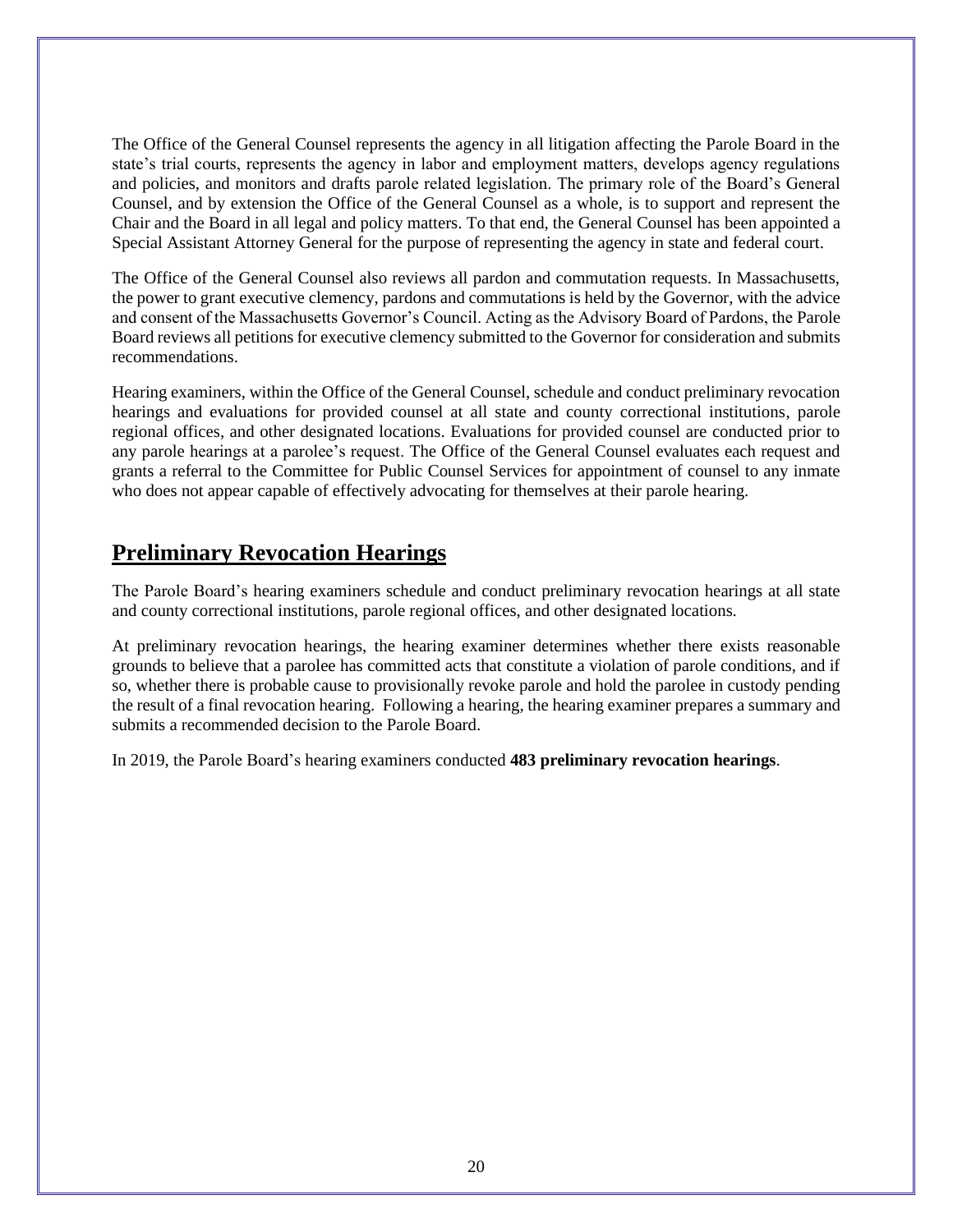The Office of the General Counsel represents the agency in all litigation affecting the Parole Board in the state's trial courts, represents the agency in labor and employment matters, develops agency regulations and policies, and monitors and drafts parole related legislation. The primary role of the Board's General Counsel, and by extension the Office of the General Counsel as a whole, is to support and represent the Chair and the Board in all legal and policy matters. To that end, the General Counsel has been appointed a Special Assistant Attorney General for the purpose of representing the agency in state and federal court.

The Office of the General Counsel also reviews all pardon and commutation requests. In Massachusetts, the power to grant executive clemency, pardons and commutations is held by the Governor, with the advice and consent of the Massachusetts Governor's Council. Acting as the Advisory Board of Pardons, the Parole Board reviews all petitions for executive clemency submitted to the Governor for consideration and submits recommendations.

Hearing examiners, within the Office of the General Counsel, schedule and conduct preliminary revocation hearings and evaluations for provided counsel at all state and county correctional institutions, parole regional offices, and other designated locations. Evaluations for provided counsel are conducted prior to any parole hearings at a parolee's request. The Office of the General Counsel evaluates each request and grants a referral to the Committee for Public Counsel Services for appointment of counsel to any inmate who does not appear capable of effectively advocating for themselves at their parole hearing.

#### **Preliminary Revocation Hearings**

The Parole Board's hearing examiners schedule and conduct preliminary revocation hearings at all state and county correctional institutions, parole regional offices, and other designated locations.

At preliminary revocation hearings, the hearing examiner determines whether there exists reasonable grounds to believe that a parolee has committed acts that constitute a violation of parole conditions, and if so, whether there is probable cause to provisionally revoke parole and hold the parolee in custody pending the result of a final revocation hearing. Following a hearing, the hearing examiner prepares a summary and submits a recommended decision to the Parole Board.

In 2019, the Parole Board's hearing examiners conducted **483 preliminary revocation hearings**.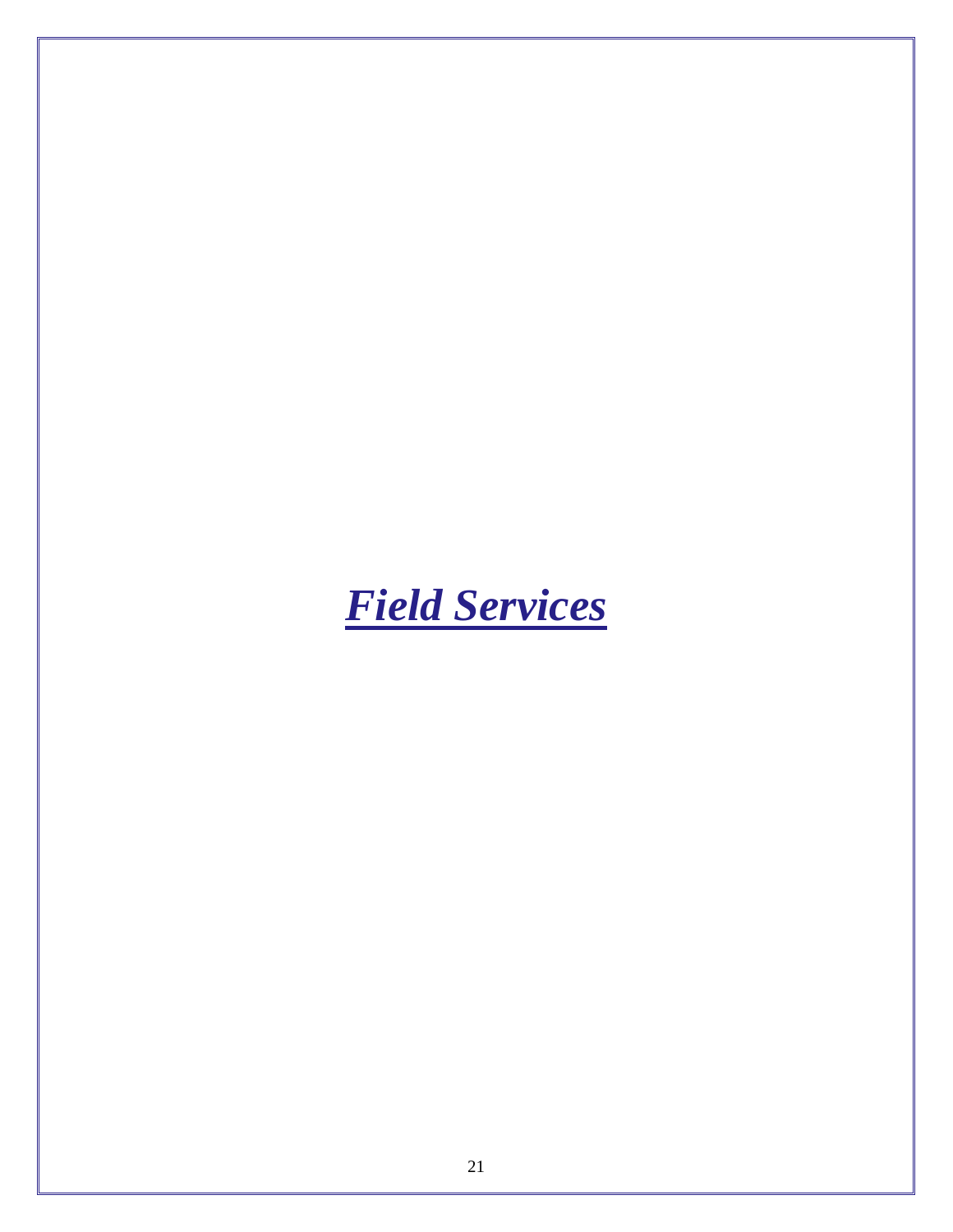<span id="page-23-0"></span>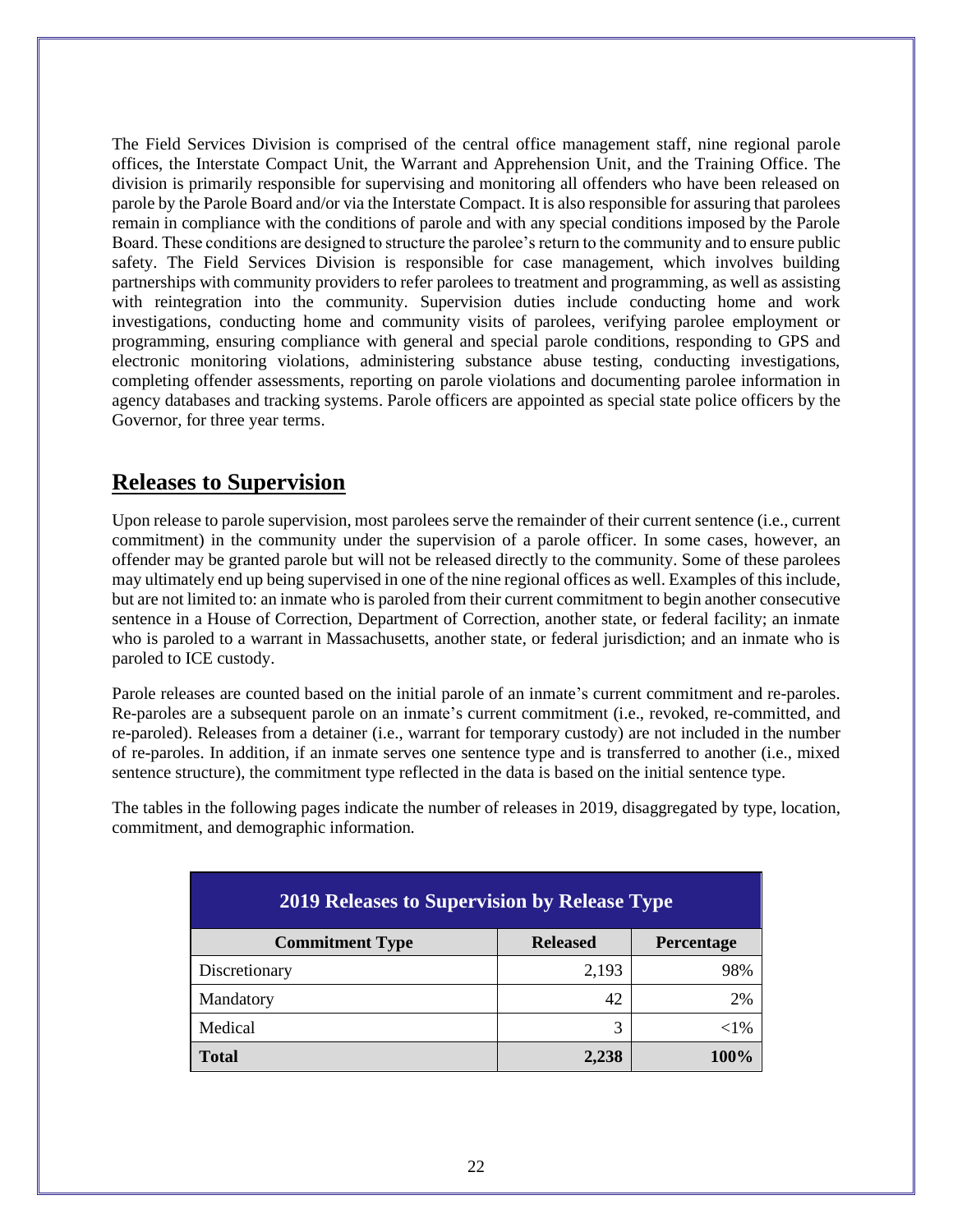The Field Services Division is comprised of the central office management staff, nine regional parole offices, the Interstate Compact Unit, the Warrant and Apprehension Unit, and the Training Office. The division is primarily responsible for supervising and monitoring all offenders who have been released on parole by the Parole Board and/or via the Interstate Compact. It is also responsible for assuring that parolees remain in compliance with the conditions of parole and with any special conditions imposed by the Parole Board. These conditions are designed to structure the parolee's return to the community and to ensure public safety. The Field Services Division is responsible for case management, which involves building partnerships with community providers to refer parolees to treatment and programming, as well as assisting with reintegration into the community. Supervision duties include conducting home and work investigations, conducting home and community visits of parolees, verifying parolee employment or programming, ensuring compliance with general and special parole conditions, responding to GPS and electronic monitoring violations, administering substance abuse testing, conducting investigations, completing offender assessments, reporting on parole violations and documenting parolee information in agency databases and tracking systems. Parole officers are appointed as special state police officers by the Governor, for three year terms.

### **Releases to Supervision**

Upon release to parole supervision, most parolees serve the remainder of their current sentence (i.e., current commitment) in the community under the supervision of a parole officer. In some cases, however, an offender may be granted parole but will not be released directly to the community. Some of these parolees may ultimately end up being supervised in one of the nine regional offices as well. Examples of this include, but are not limited to: an inmate who is paroled from their current commitment to begin another consecutive sentence in a House of Correction, Department of Correction, another state, or federal facility; an inmate who is paroled to a warrant in Massachusetts, another state, or federal jurisdiction; and an inmate who is paroled to ICE custody.

Parole releases are counted based on the initial parole of an inmate's current commitment and re-paroles. Re-paroles are a subsequent parole on an inmate's current commitment (i.e., revoked, re-committed, and re-paroled). Releases from a detainer (i.e., warrant for temporary custody) are not included in the number of re-paroles. In addition, if an inmate serves one sentence type and is transferred to another (i.e., mixed sentence structure), the commitment type reflected in the data is based on the initial sentence type.

The tables in the following pages indicate the number of releases in 2019, disaggregated by type, location, commitment, and demographic information.

| <b>2019 Releases to Supervision by Release Type</b> |                 |            |  |
|-----------------------------------------------------|-----------------|------------|--|
| <b>Commitment Type</b>                              | <b>Released</b> | Percentage |  |
| Discretionary                                       | 2,193           | 98%        |  |
| Mandatory                                           | 42              | 2%         |  |
| Medical                                             | 3               | $<$ 1%     |  |
| Total                                               | 2,238           | 100%       |  |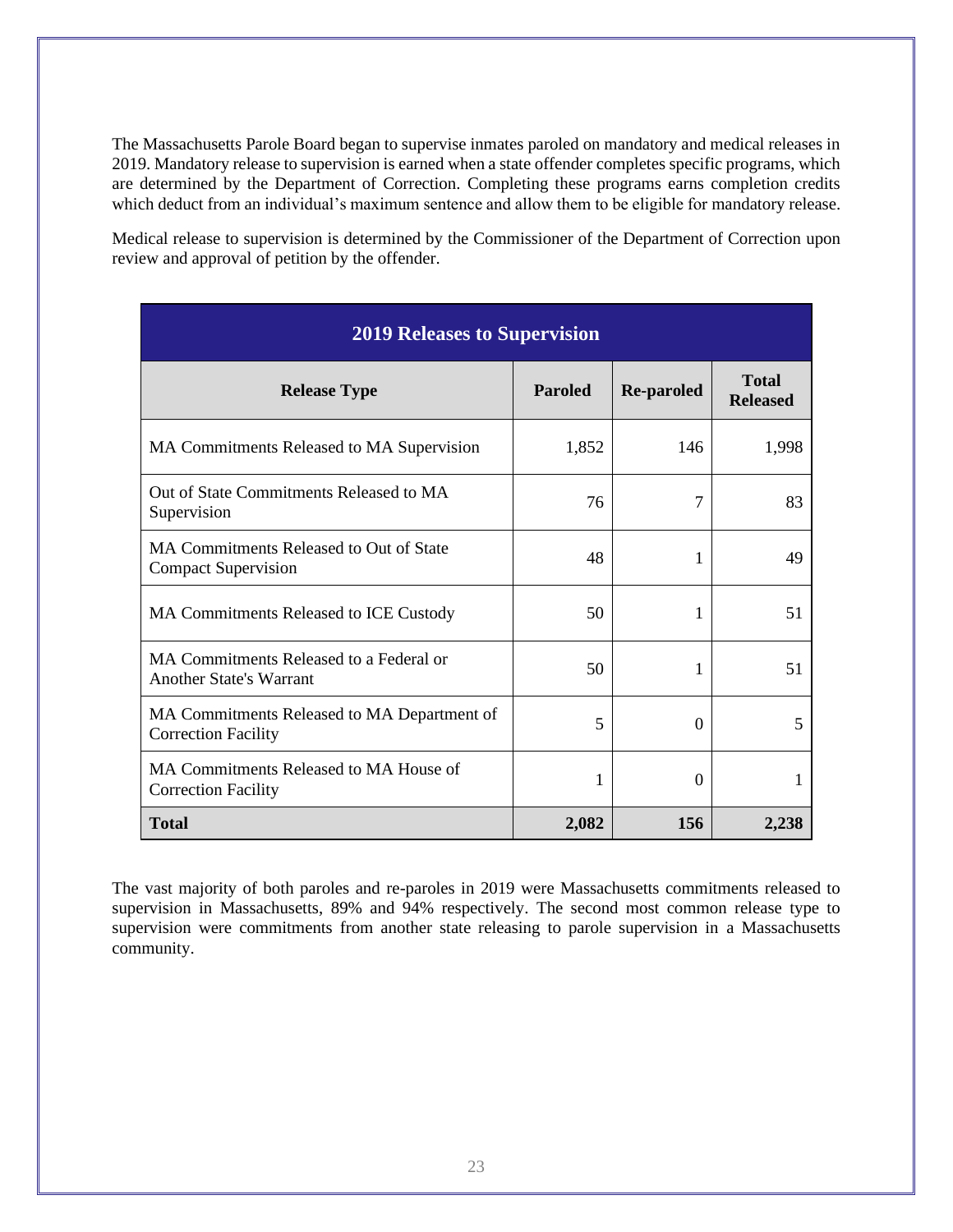The Massachusetts Parole Board began to supervise inmates paroled on mandatory and medical releases in 2019. Mandatory release to supervision is earned when a state offender completes specific programs, which are determined by the Department of Correction. Completing these programs earns completion credits which deduct from an individual's maximum sentence and allow them to be eligible for mandatory release.

Medical release to supervision is determined by the Commissioner of the Department of Correction upon review and approval of petition by the offender.

| <b>2019 Releases to Supervision</b>                                       |                |                   |                                 |  |
|---------------------------------------------------------------------------|----------------|-------------------|---------------------------------|--|
| <b>Release Type</b>                                                       | <b>Paroled</b> | <b>Re-paroled</b> | <b>Total</b><br><b>Released</b> |  |
| MA Commitments Released to MA Supervision                                 | 1,852          | 146               | 1,998                           |  |
| Out of State Commitments Released to MA<br>Supervision                    | 76             | 7                 | 83                              |  |
| MA Commitments Released to Out of State<br><b>Compact Supervision</b>     | 48             | 1                 | 49                              |  |
| MA Commitments Released to ICE Custody                                    | 50             | 1                 | 51                              |  |
| MA Commitments Released to a Federal or<br><b>Another State's Warrant</b> | 50             | 1                 | 51                              |  |
| MA Commitments Released to MA Department of<br><b>Correction Facility</b> | 5              | $\Omega$          | 5                               |  |
| MA Commitments Released to MA House of<br><b>Correction Facility</b>      | 1              | $\Omega$          |                                 |  |
| <b>Total</b>                                                              | 2,082          | 156               | 2,238                           |  |

The vast majority of both paroles and re-paroles in 2019 were Massachusetts commitments released to supervision in Massachusetts, 89% and 94% respectively. The second most common release type to supervision were commitments from another state releasing to parole supervision in a Massachusetts community.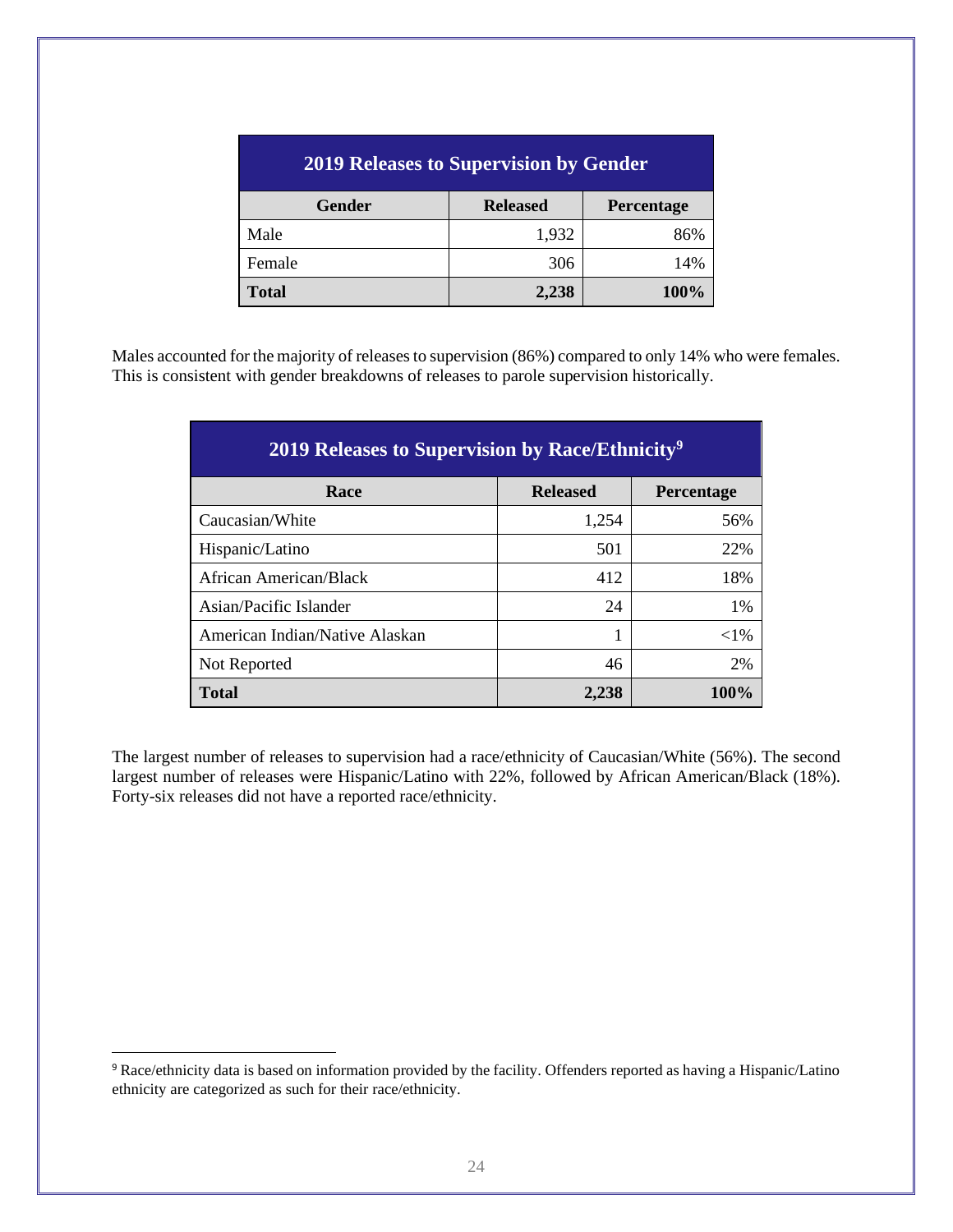| <b>2019 Releases to Supervision by Gender</b> |                 |                   |
|-----------------------------------------------|-----------------|-------------------|
| <b>Gender</b>                                 | <b>Released</b> | <b>Percentage</b> |
| Male                                          | 1,932           | 86%               |
| Female                                        | 306             | 14%               |
| <b>Total</b>                                  | 2,238           | 100%              |

Males accounted for the majority of releases to supervision (86%) compared to only 14% who were females. This is consistent with gender breakdowns of releases to parole supervision historically.

| <b>2019 Releases to Supervision by Race/Ethnicity<sup>9</sup></b> |                 |                   |  |
|-------------------------------------------------------------------|-----------------|-------------------|--|
| Race                                                              | <b>Released</b> | <b>Percentage</b> |  |
| Caucasian/White                                                   | 1,254           | 56%               |  |
| Hispanic/Latino                                                   | 501             | 22%               |  |
| African American/Black                                            | 412             | 18%               |  |
| Asian/Pacific Islander                                            | 24              | $1\%$             |  |
| American Indian/Native Alaskan                                    | 1               | ${<}1\%$          |  |
| Not Reported                                                      | 46              | 2%                |  |
| <b>Total</b>                                                      | 2,238           | $100\%$           |  |

The largest number of releases to supervision had a race/ethnicity of Caucasian/White (56%). The second largest number of releases were Hispanic/Latino with 22%, followed by African American/Black (18%). Forty-six releases did not have a reported race/ethnicity.

<sup>9</sup> Race/ethnicity data is based on information provided by the facility. Offenders reported as having a Hispanic/Latino ethnicity are categorized as such for their race/ethnicity.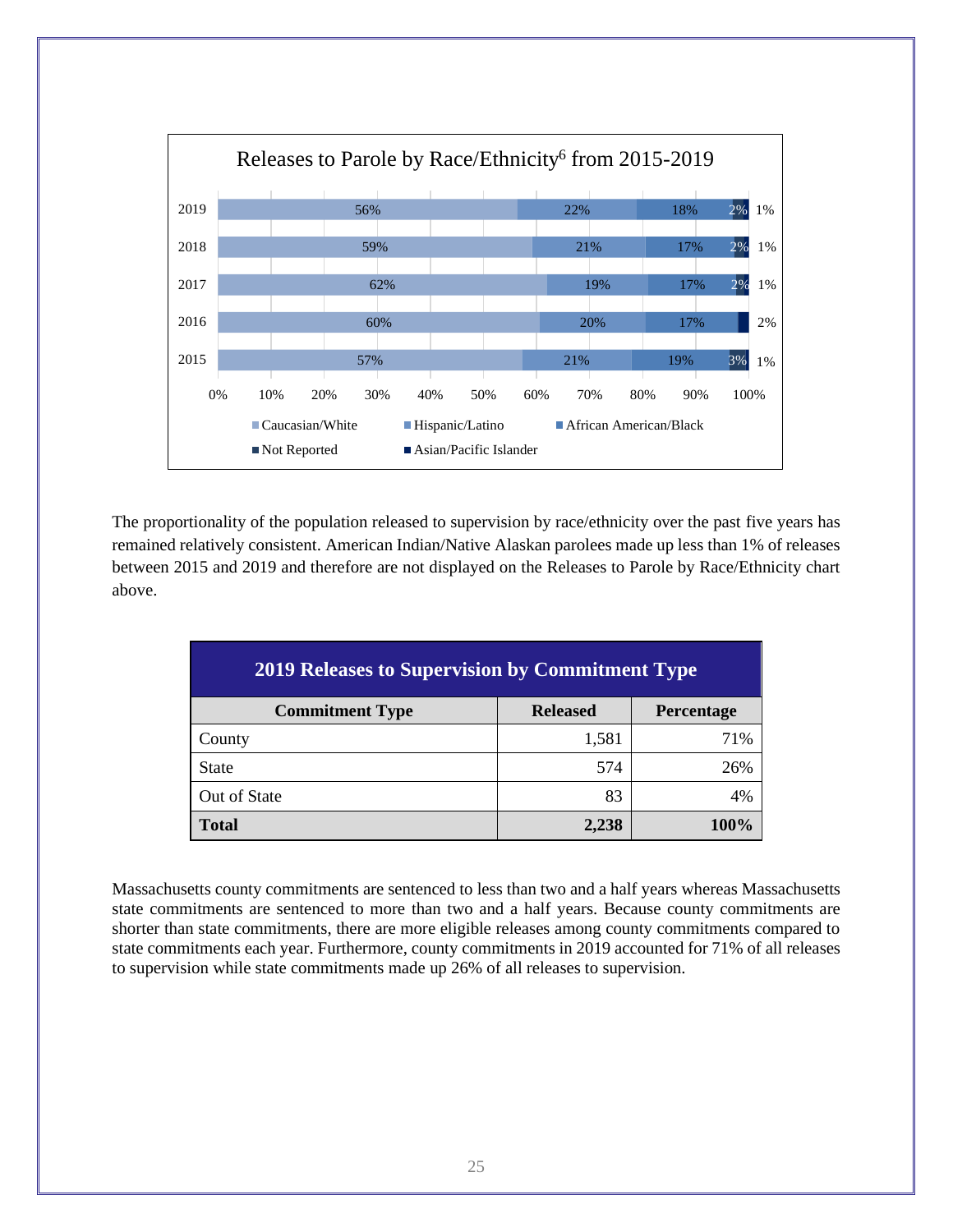

The proportionality of the population released to supervision by race/ethnicity over the past five years has remained relatively consistent. American Indian/Native Alaskan parolees made up less than 1% of releases between 2015 and 2019 and therefore are not displayed on the Releases to Parole by Race/Ethnicity chart above.

| <b>2019 Releases to Supervision by Commitment Type</b>  |       |     |  |  |  |
|---------------------------------------------------------|-------|-----|--|--|--|
| <b>Released</b><br><b>Commitment Type</b><br>Percentage |       |     |  |  |  |
| County                                                  | 1,581 | 71% |  |  |  |
| <b>State</b>                                            | 574   | 26% |  |  |  |
| Out of State                                            | 83    | 4%  |  |  |  |
| <b>Total</b><br>100%<br>2,238                           |       |     |  |  |  |

Massachusetts county commitments are sentenced to less than two and a half years whereas Massachusetts state commitments are sentenced to more than two and a half years. Because county commitments are shorter than state commitments, there are more eligible releases among county commitments compared to state commitments each year. Furthermore, county commitments in 2019 accounted for 71% of all releases to supervision while state commitments made up 26% of all releases to supervision.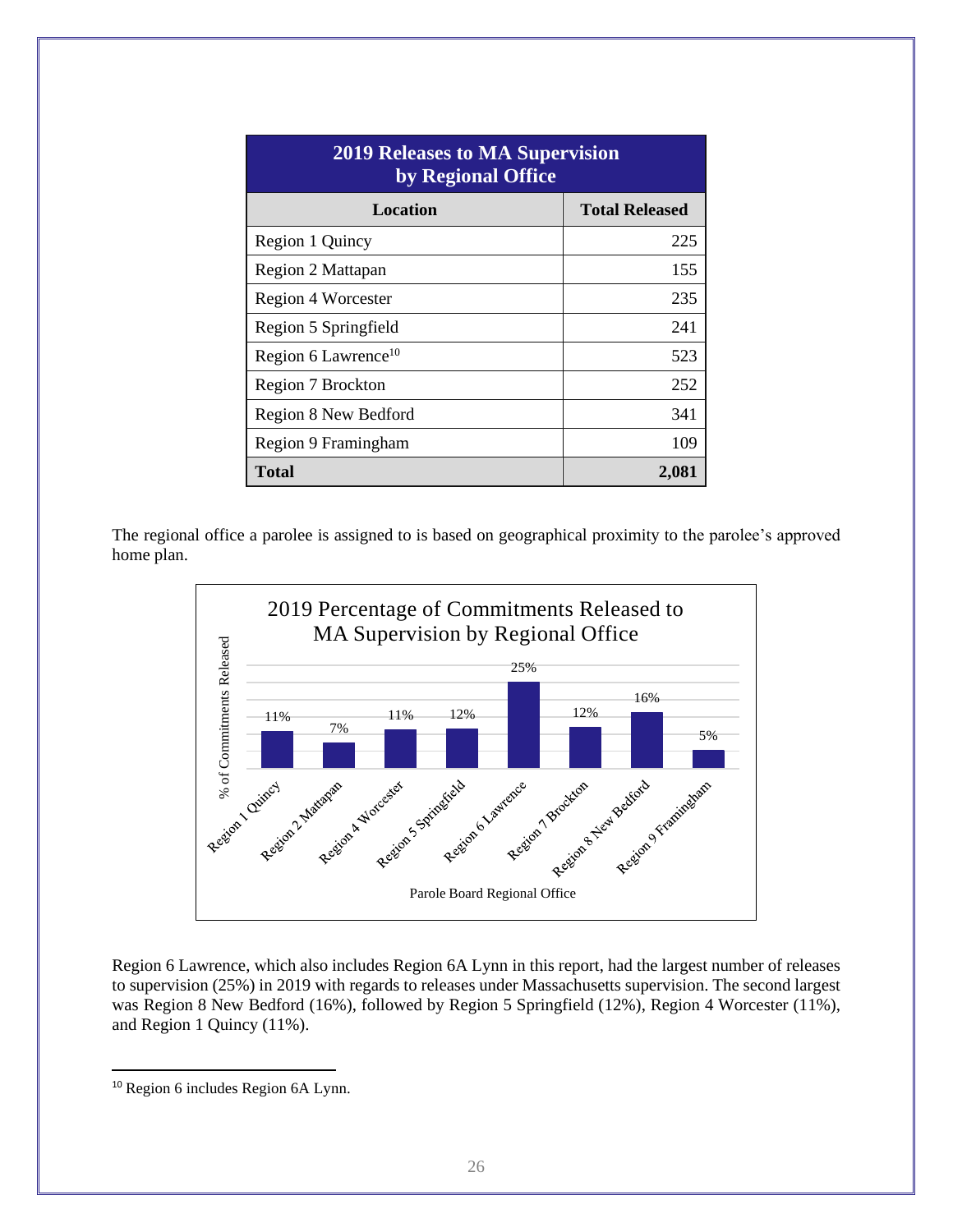| <b>2019 Releases to MA Supervision</b><br>by Regional Office |                       |  |
|--------------------------------------------------------------|-----------------------|--|
| Location                                                     | <b>Total Released</b> |  |
| Region 1 Quincy                                              | 225                   |  |
| Region 2 Mattapan                                            | 155                   |  |
| Region 4 Worcester                                           | 235                   |  |
| Region 5 Springfield                                         | 241                   |  |
| Region 6 Lawrence <sup>10</sup>                              | 523                   |  |
| Region 7 Brockton                                            | 252                   |  |
| Region 8 New Bedford                                         | 341                   |  |
| Region 9 Framingham                                          | 109                   |  |
| Total                                                        | 2,081                 |  |

The regional office a parolee is assigned to is based on geographical proximity to the parolee's approved home plan.



Region 6 Lawrence, which also includes Region 6A Lynn in this report, had the largest number of releases to supervision (25%) in 2019 with regards to releases under Massachusetts supervision. The second largest was Region 8 New Bedford (16%), followed by Region 5 Springfield (12%), Region 4 Worcester (11%), and Region 1 Quincy (11%).

<sup>10</sup> Region 6 includes Region 6A Lynn.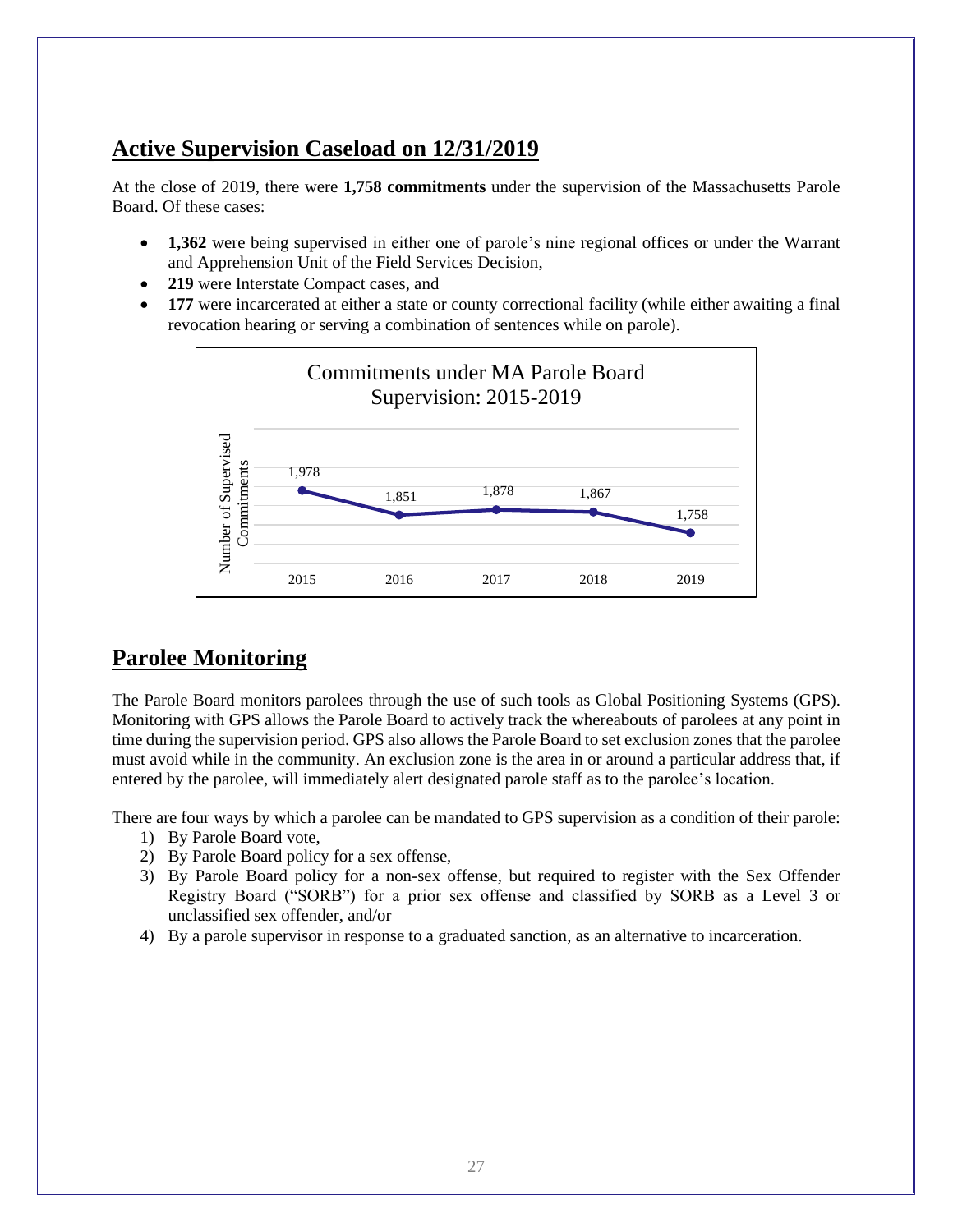# **Active Supervision Caseload on 12/31/2019**

At the close of 2019, there were **1,758 commitments** under the supervision of the Massachusetts Parole Board. Of these cases:

- **1,362** were being supervised in either one of parole's nine regional offices or under the Warrant and Apprehension Unit of the Field Services Decision,
- **219** were Interstate Compact cases, and
- **177** were incarcerated at either a state or county correctional facility (while either awaiting a final revocation hearing or serving a combination of sentences while on parole).



# **Parolee Monitoring**

The Parole Board monitors parolees through the use of such tools as Global Positioning Systems (GPS). Monitoring with GPS allows the Parole Board to actively track the whereabouts of parolees at any point in time during the supervision period. GPS also allows the Parole Board to set exclusion zones that the parolee must avoid while in the community. An exclusion zone is the area in or around a particular address that, if entered by the parolee, will immediately alert designated parole staff as to the parolee's location.

There are four ways by which a parolee can be mandated to GPS supervision as a condition of their parole:

- 1) By Parole Board vote,
- 2) By Parole Board policy for a sex offense,
- 3) By Parole Board policy for a non-sex offense, but required to register with the Sex Offender Registry Board ("SORB") for a prior sex offense and classified by SORB as a Level 3 or unclassified sex offender, and/or
- 4) By a parole supervisor in response to a graduated sanction, as an alternative to incarceration.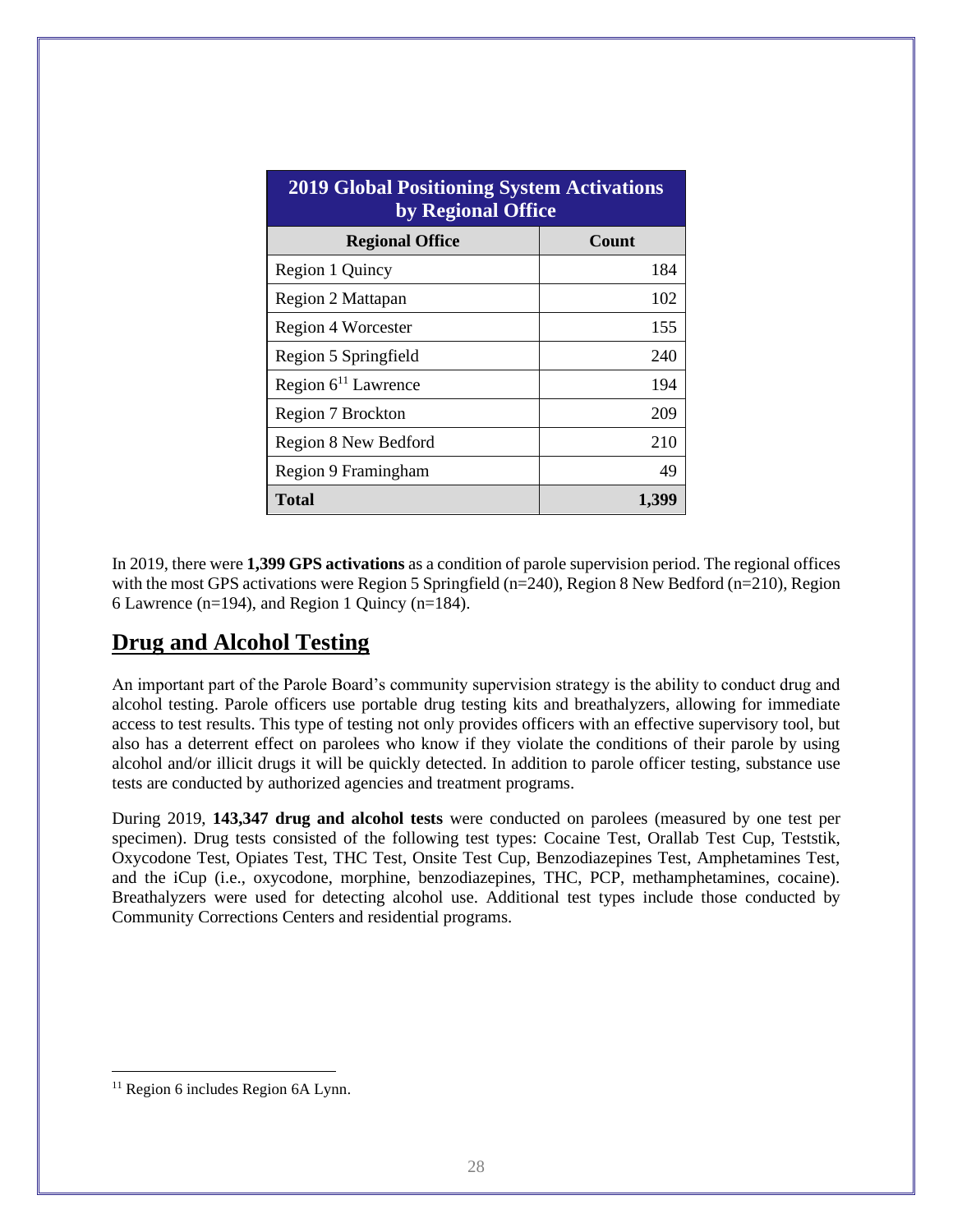| <b>2019 Global Positioning System Activations</b><br>by Regional Office |              |  |
|-------------------------------------------------------------------------|--------------|--|
| <b>Regional Office</b>                                                  | <b>Count</b> |  |
| Region 1 Quincy                                                         | 184          |  |
| Region 2 Mattapan                                                       | 102          |  |
| Region 4 Worcester                                                      | 155          |  |
| Region 5 Springfield                                                    | 240          |  |
| Region $6^{11}$ Lawrence                                                | 194          |  |
| Region 7 Brockton                                                       | 209          |  |
| Region 8 New Bedford                                                    | 210          |  |
| Region 9 Framingham                                                     | 49           |  |
| <b>Total</b>                                                            | 1,399        |  |

In 2019, there were **1,399 GPS activations** as a condition of parole supervision period. The regional offices with the most GPS activations were Region 5 Springfield (n=240), Region 8 New Bedford (n=210), Region 6 Lawrence (n=194), and Region 1 Quincy (n=184).

# **Drug and Alcohol Testing**

An important part of the Parole Board's community supervision strategy is the ability to conduct drug and alcohol testing. Parole officers use portable drug testing kits and breathalyzers, allowing for immediate access to test results. This type of testing not only provides officers with an effective supervisory tool, but also has a deterrent effect on parolees who know if they violate the conditions of their parole by using alcohol and/or illicit drugs it will be quickly detected. In addition to parole officer testing, substance use tests are conducted by authorized agencies and treatment programs.

During 2019, **143,347 drug and alcohol tests** were conducted on parolees (measured by one test per specimen). Drug tests consisted of the following test types: Cocaine Test, Orallab Test Cup, Teststik, Oxycodone Test, Opiates Test, THC Test, Onsite Test Cup, Benzodiazepines Test, Amphetamines Test, and the iCup (i.e., oxycodone, morphine, benzodiazepines, THC, PCP, methamphetamines, cocaine). Breathalyzers were used for detecting alcohol use. Additional test types include those conducted by Community Corrections Centers and residential programs.

<sup>&</sup>lt;sup>11</sup> Region 6 includes Region 6A Lynn.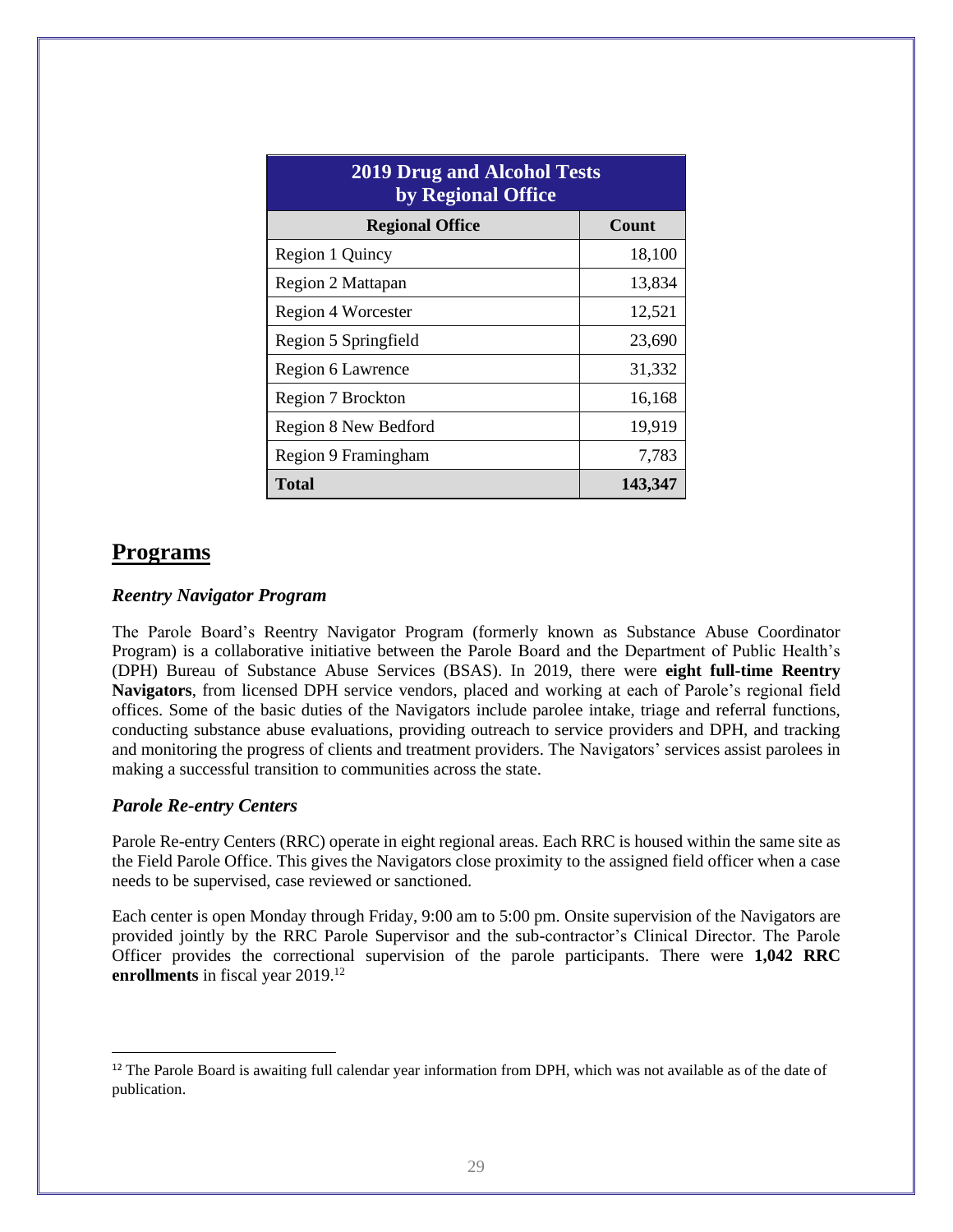| <b>2019 Drug and Alcohol Tests</b><br>by Regional Office |         |
|----------------------------------------------------------|---------|
| <b>Regional Office</b>                                   | Count   |
| Region 1 Quincy                                          | 18,100  |
| Region 2 Mattapan                                        | 13,834  |
| Region 4 Worcester                                       | 12,521  |
| Region 5 Springfield                                     | 23,690  |
| Region 6 Lawrence                                        | 31,332  |
| Region 7 Brockton                                        | 16,168  |
| Region 8 New Bedford                                     | 19,919  |
| Region 9 Framingham                                      | 7,783   |
| Total                                                    | 143,347 |

#### **Programs**

#### *Reentry Navigator Program*

The Parole Board's Reentry Navigator Program (formerly known as Substance Abuse Coordinator Program) is a collaborative initiative between the Parole Board and the Department of Public Health's (DPH) Bureau of Substance Abuse Services (BSAS). In 2019, there were **eight full-time Reentry Navigators**, from licensed DPH service vendors, placed and working at each of Parole's regional field offices. Some of the basic duties of the Navigators include parolee intake, triage and referral functions, conducting substance abuse evaluations, providing outreach to service providers and DPH, and tracking and monitoring the progress of clients and treatment providers. The Navigators' services assist parolees in making a successful transition to communities across the state.

#### *Parole Re-entry Centers*

Parole Re-entry Centers (RRC) operate in eight regional areas. Each RRC is housed within the same site as the Field Parole Office. This gives the Navigators close proximity to the assigned field officer when a case needs to be supervised, case reviewed or sanctioned.

Each center is open Monday through Friday, 9:00 am to 5:00 pm. Onsite supervision of the Navigators are provided jointly by the RRC Parole Supervisor and the sub-contractor's Clinical Director. The Parole Officer provides the correctional supervision of the parole participants. There were **1,042 RRC enrollments** in fiscal year 2019.<sup>12</sup>

<sup>&</sup>lt;sup>12</sup> The Parole Board is awaiting full calendar year information from DPH, which was not available as of the date of publication.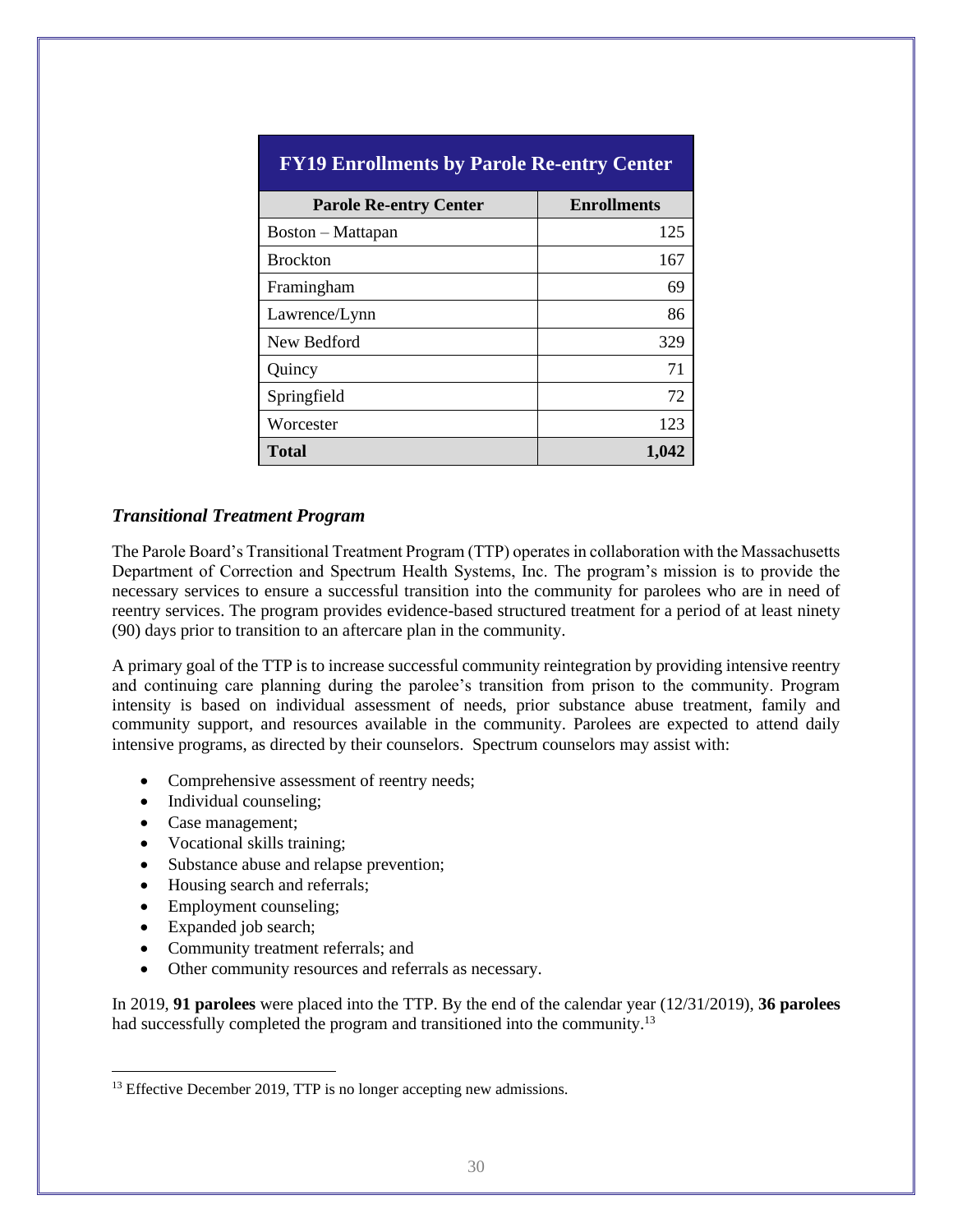| <b>FY19 Enrollments by Parole Re-entry Center</b> |                    |  |
|---------------------------------------------------|--------------------|--|
| <b>Parole Re-entry Center</b>                     | <b>Enrollments</b> |  |
| Boston - Mattapan                                 | 125                |  |
| <b>Brockton</b>                                   | 167                |  |
| Framingham                                        | 69                 |  |
| Lawrence/Lynn                                     | 86                 |  |
| New Bedford                                       | 329                |  |
| Quincy                                            | 71                 |  |
| Springfield                                       | 72                 |  |
| Worcester                                         | 123                |  |
| <b>Total</b>                                      | 1,042              |  |

#### *Transitional Treatment Program*

The Parole Board's Transitional Treatment Program (TTP) operates in collaboration with the Massachusetts Department of Correction and Spectrum Health Systems, Inc. The program's mission is to provide the necessary services to ensure a successful transition into the community for parolees who are in need of reentry services. The program provides evidence-based structured treatment for a period of at least ninety (90) days prior to transition to an aftercare plan in the community.

A primary goal of the TTP is to increase successful community reintegration by providing intensive reentry and continuing care planning during the parolee's transition from prison to the community. Program intensity is based on individual assessment of needs, prior substance abuse treatment, family and community support, and resources available in the community. Parolees are expected to attend daily intensive programs, as directed by their counselors. Spectrum counselors may assist with:

- Comprehensive assessment of reentry needs;
- Individual counseling;
- Case management;
- Vocational skills training;
- Substance abuse and relapse prevention;
- Housing search and referrals;
- Employment counseling;
- Expanded job search;
- Community treatment referrals; and
- Other community resources and referrals as necessary.

In 2019, **91 parolees** were placed into the TTP. By the end of the calendar year (12/31/2019), **36 parolees** had successfully completed the program and transitioned into the community.<sup>13</sup>

<sup>&</sup>lt;sup>13</sup> Effective December 2019, TTP is no longer accepting new admissions.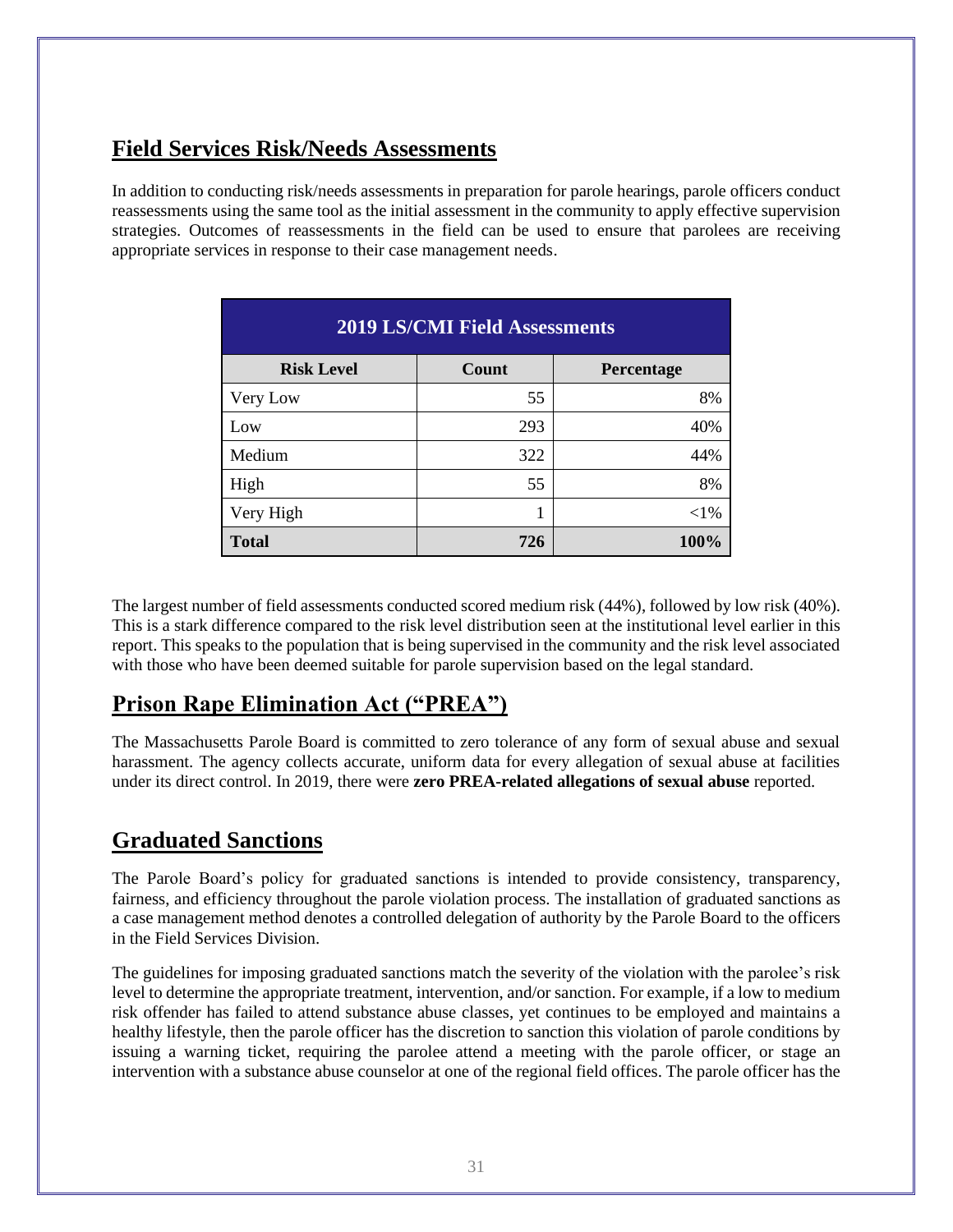# **Field Services Risk/Needs Assessments**

In addition to conducting risk/needs assessments in preparation for parole hearings, parole officers conduct reassessments using the same tool as the initial assessment in the community to apply effective supervision strategies. Outcomes of reassessments in the field can be used to ensure that parolees are receiving appropriate services in response to their case management needs.

| <b>2019 LS/CMI Field Assessments</b>     |     |        |  |
|------------------------------------------|-----|--------|--|
| Count<br><b>Risk Level</b><br>Percentage |     |        |  |
| Very Low                                 | 55  | 8%     |  |
| Low                                      | 293 | 40%    |  |
| Medium                                   | 322 | 44%    |  |
| High                                     | 55  | 8%     |  |
| Very High                                |     | $<$ 1% |  |
| <b>Total</b>                             | 726 | 100%   |  |

The largest number of field assessments conducted scored medium risk (44%), followed by low risk (40%). This is a stark difference compared to the risk level distribution seen at the institutional level earlier in this report. This speaks to the population that is being supervised in the community and the risk level associated with those who have been deemed suitable for parole supervision based on the legal standard.

# **Prison Rape Elimination Act ("PREA")**

The Massachusetts Parole Board is committed to zero tolerance of any form of sexual abuse and sexual harassment. The agency collects accurate, uniform data for every allegation of sexual abuse at facilities under its direct control. In 2019, there were **zero PREA-related allegations of sexual abuse** reported.

# **Graduated Sanctions**

The Parole Board's policy for graduated sanctions is intended to provide consistency, transparency, fairness, and efficiency throughout the parole violation process. The installation of graduated sanctions as a case management method denotes a controlled delegation of authority by the Parole Board to the officers in the Field Services Division.

The guidelines for imposing graduated sanctions match the severity of the violation with the parolee's risk level to determine the appropriate treatment, intervention, and/or sanction. For example, if a low to medium risk offender has failed to attend substance abuse classes, yet continues to be employed and maintains a healthy lifestyle, then the parole officer has the discretion to sanction this violation of parole conditions by issuing a warning ticket, requiring the parolee attend a meeting with the parole officer, or stage an intervention with a substance abuse counselor at one of the regional field offices. The parole officer has the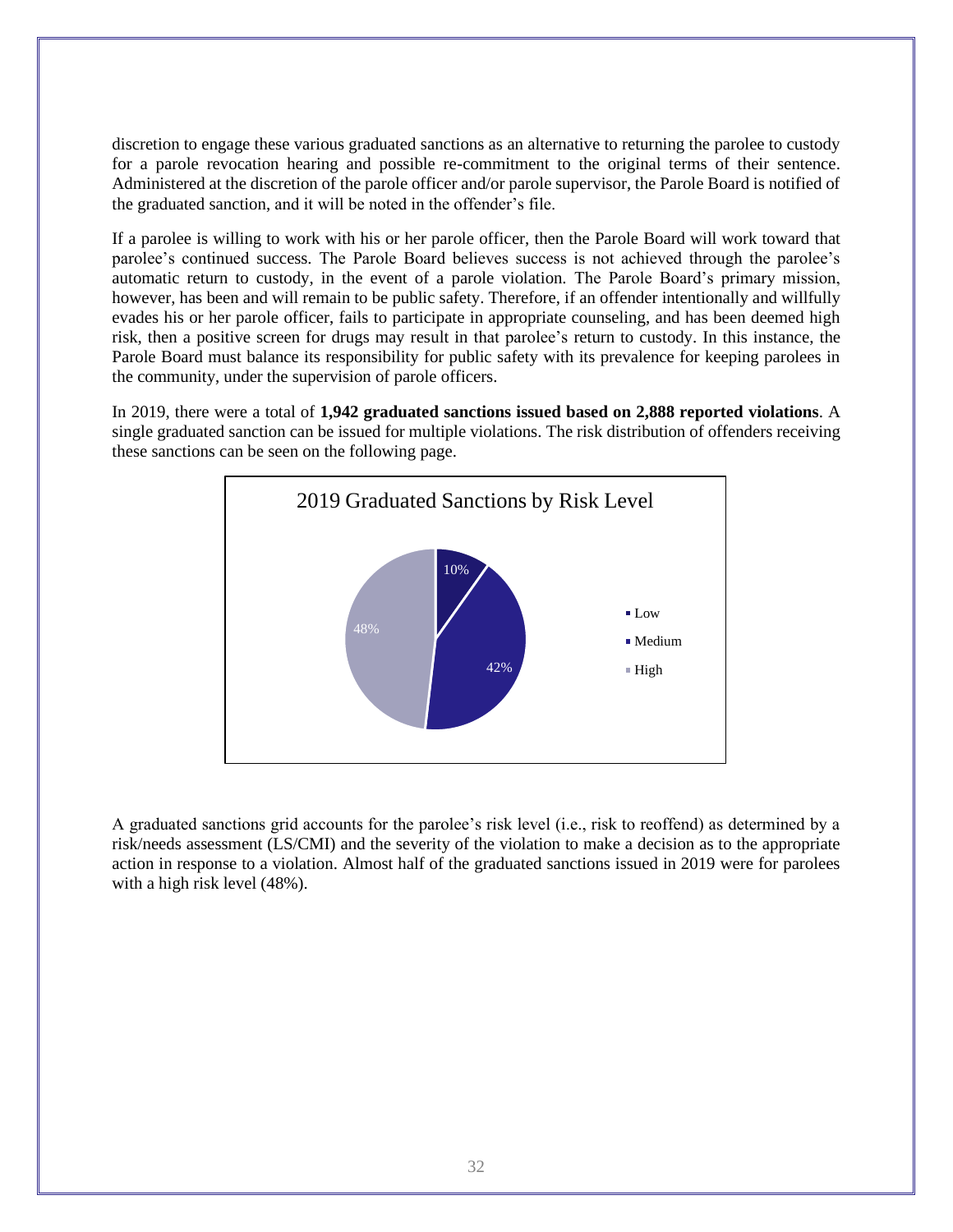discretion to engage these various graduated sanctions as an alternative to returning the parolee to custody for a parole revocation hearing and possible re-commitment to the original terms of their sentence. Administered at the discretion of the parole officer and/or parole supervisor, the Parole Board is notified of the graduated sanction, and it will be noted in the offender's file.

If a parolee is willing to work with his or her parole officer, then the Parole Board will work toward that parolee's continued success. The Parole Board believes success is not achieved through the parolee's automatic return to custody, in the event of a parole violation. The Parole Board's primary mission, however, has been and will remain to be public safety. Therefore, if an offender intentionally and willfully evades his or her parole officer, fails to participate in appropriate counseling, and has been deemed high risk, then a positive screen for drugs may result in that parolee's return to custody. In this instance, the Parole Board must balance its responsibility for public safety with its prevalence for keeping parolees in the community, under the supervision of parole officers.

In 2019, there were a total of **1,942 graduated sanctions issued based on 2,888 reported violations**. A single graduated sanction can be issued for multiple violations. The risk distribution of offenders receiving these sanctions can be seen on the following page.



A graduated sanctions grid accounts for the parolee's risk level (i.e., risk to reoffend) as determined by a risk/needs assessment (LS/CMI) and the severity of the violation to make a decision as to the appropriate action in response to a violation. Almost half of the graduated sanctions issued in 2019 were for parolees with a high risk level (48%).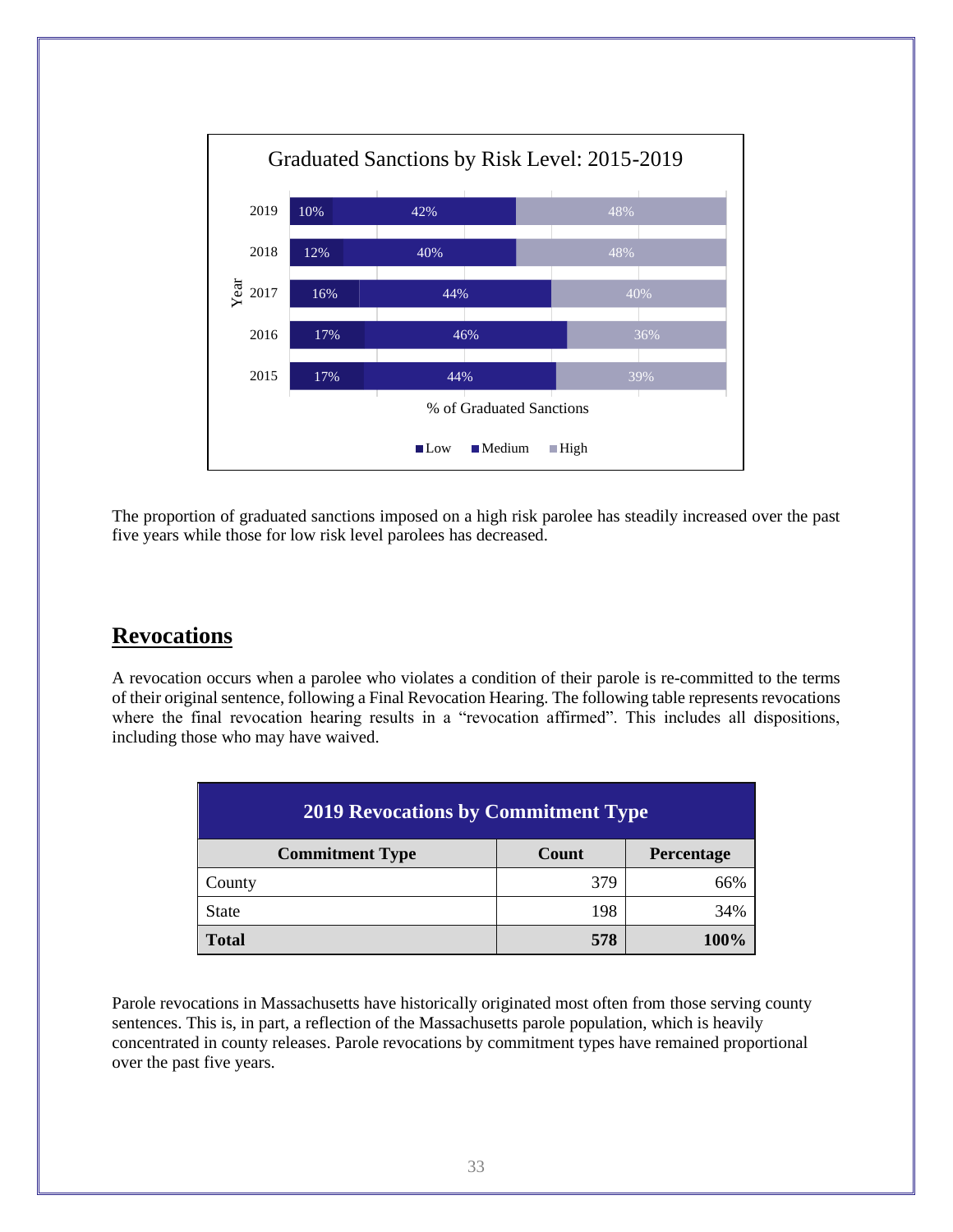

The proportion of graduated sanctions imposed on a high risk parolee has steadily increased over the past five years while those for low risk level parolees has decreased.

# **Revocations**

A revocation occurs when a parolee who violates a condition of their parole is re-committed to the terms of their original sentence, following a Final Revocation Hearing. The following table represents revocations where the final revocation hearing results in a "revocation affirmed". This includes all dispositions, including those who may have waived.

| <b>2019 Revocations by Commitment Type</b>    |     |     |  |  |
|-----------------------------------------------|-----|-----|--|--|
| Count<br><b>Commitment Type</b><br>Percentage |     |     |  |  |
| County                                        | 379 | 66% |  |  |
| <b>State</b>                                  | 198 | 34% |  |  |
| 578<br>Total<br>100%                          |     |     |  |  |

Parole revocations in Massachusetts have historically originated most often from those serving county sentences. This is, in part, a reflection of the Massachusetts parole population, which is heavily concentrated in county releases. Parole revocations by commitment types have remained proportional over the past five years.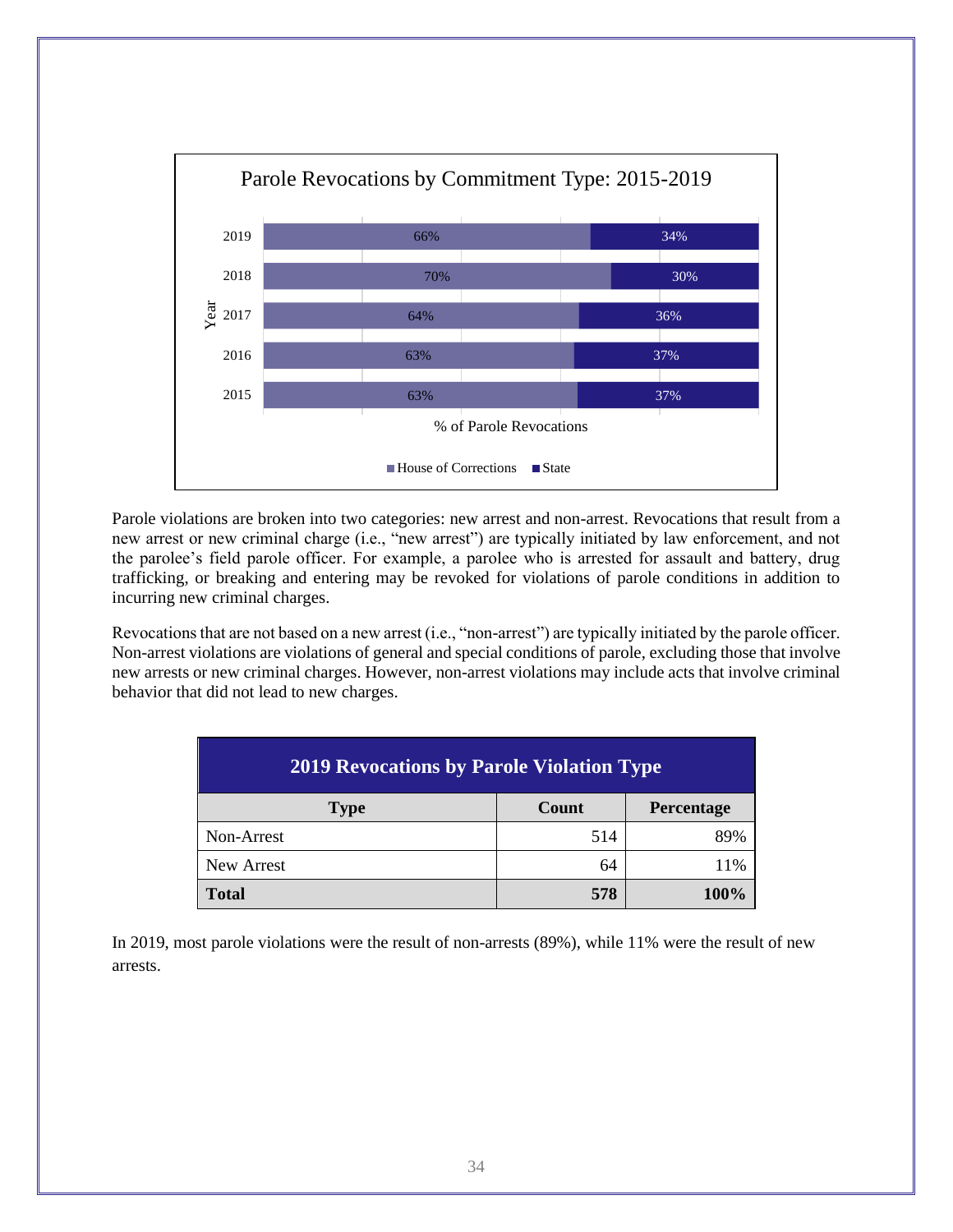

Parole violations are broken into two categories: new arrest and non-arrest. Revocations that result from a new arrest or new criminal charge (i.e., "new arrest") are typically initiated by law enforcement, and not the parolee's field parole officer. For example, a parolee who is arrested for assault and battery, drug trafficking, or breaking and entering may be revoked for violations of parole conditions in addition to incurring new criminal charges.

Revocations that are not based on a new arrest (i.e., "non-arrest") are typically initiated by the parole officer. Non-arrest violations are violations of general and special conditions of parole, excluding those that involve new arrests or new criminal charges. However, non-arrest violations may include acts that involve criminal behavior that did not lead to new charges.

| <b>2019 Revocations by Parole Violation Type</b> |     |     |  |  |
|--------------------------------------------------|-----|-----|--|--|
| Count<br>Percentage<br><b>Type</b>               |     |     |  |  |
| Non-Arrest                                       | 514 | 89% |  |  |
| New Arrest                                       | 64  | 11% |  |  |
| 578<br><b>Total</b><br>100%                      |     |     |  |  |

In 2019, most parole violations were the result of non-arrests (89%), while 11% were the result of new arrests.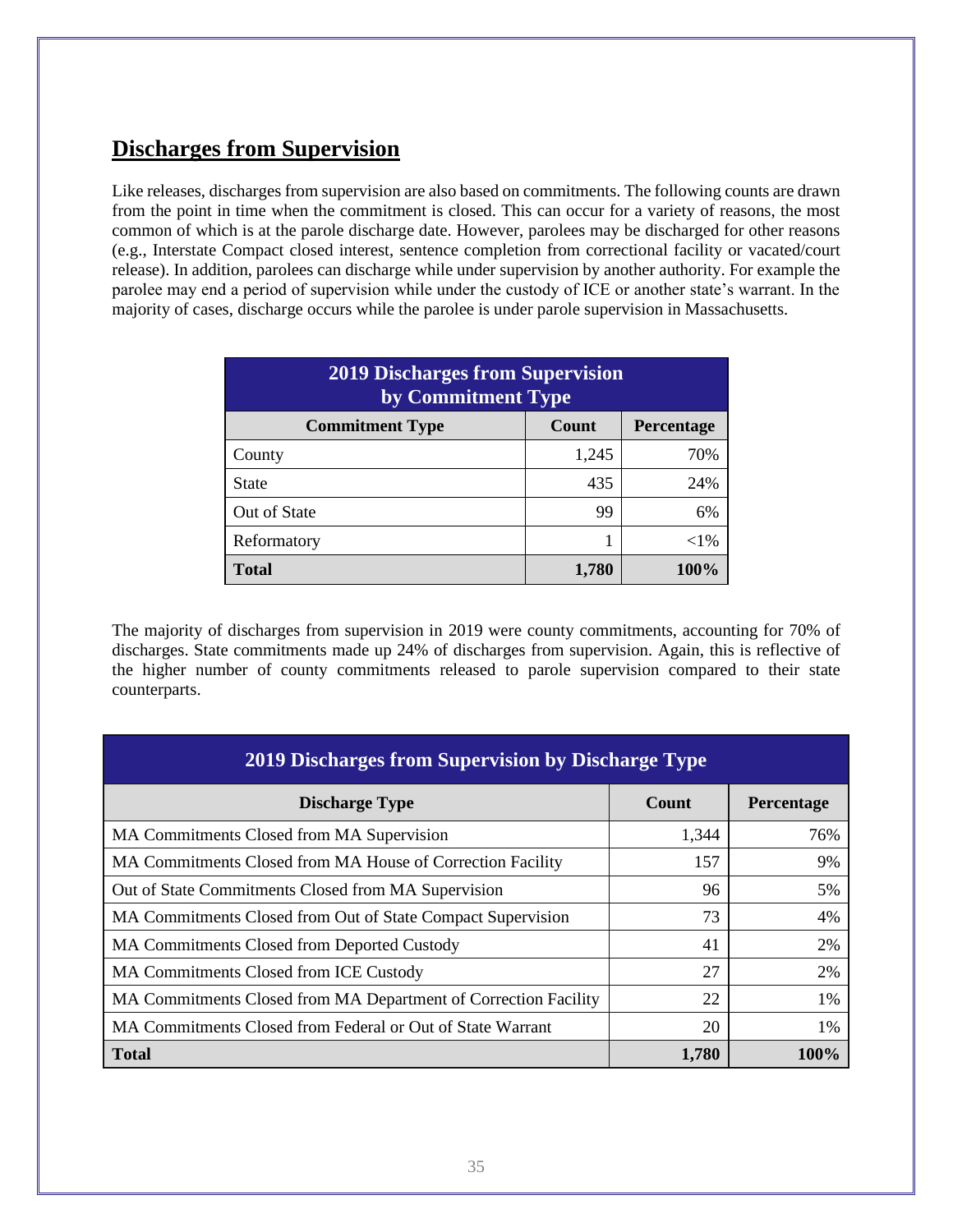# **Discharges from Supervision**

Like releases, discharges from supervision are also based on commitments. The following counts are drawn from the point in time when the commitment is closed. This can occur for a variety of reasons, the most common of which is at the parole discharge date. However, parolees may be discharged for other reasons (e.g., Interstate Compact closed interest, sentence completion from correctional facility or vacated/court release). In addition, parolees can discharge while under supervision by another authority. For example the parolee may end a period of supervision while under the custody of ICE or another state's warrant. In the majority of cases, discharge occurs while the parolee is under parole supervision in Massachusetts.

| <b>2019 Discharges from Supervision</b><br>by Commitment Type |       |        |  |  |
|---------------------------------------------------------------|-------|--------|--|--|
| Count<br>Percentage<br><b>Commitment Type</b>                 |       |        |  |  |
| County                                                        | 1,245 | 70%    |  |  |
| <b>State</b>                                                  | 435   | 24%    |  |  |
| Out of State                                                  | 99    | 6%     |  |  |
| Reformatory                                                   |       | $<$ 1% |  |  |
| <b>Total</b><br>100%<br>1,780                                 |       |        |  |  |

The majority of discharges from supervision in 2019 were county commitments, accounting for 70% of discharges. State commitments made up 24% of discharges from supervision. Again, this is reflective of the higher number of county commitments released to parole supervision compared to their state counterparts.

| 2019 Discharges from Supervision by Discharge Type              |       |            |  |
|-----------------------------------------------------------------|-------|------------|--|
| <b>Discharge Type</b>                                           | Count | Percentage |  |
| MA Commitments Closed from MA Supervision                       | 1,344 | 76%        |  |
| MA Commitments Closed from MA House of Correction Facility      | 157   | 9%         |  |
| Out of State Commitments Closed from MA Supervision             | 96    | 5%         |  |
| MA Commitments Closed from Out of State Compact Supervision     | 73    | 4%         |  |
| MA Commitments Closed from Deported Custody                     | 41    | 2%         |  |
| <b>MA Commitments Closed from ICE Custody</b>                   | 27    | 2%         |  |
| MA Commitments Closed from MA Department of Correction Facility | 22    | $1\%$      |  |
| MA Commitments Closed from Federal or Out of State Warrant      | 20    | $1\%$      |  |
| <b>Total</b>                                                    | 1,780 | 100%       |  |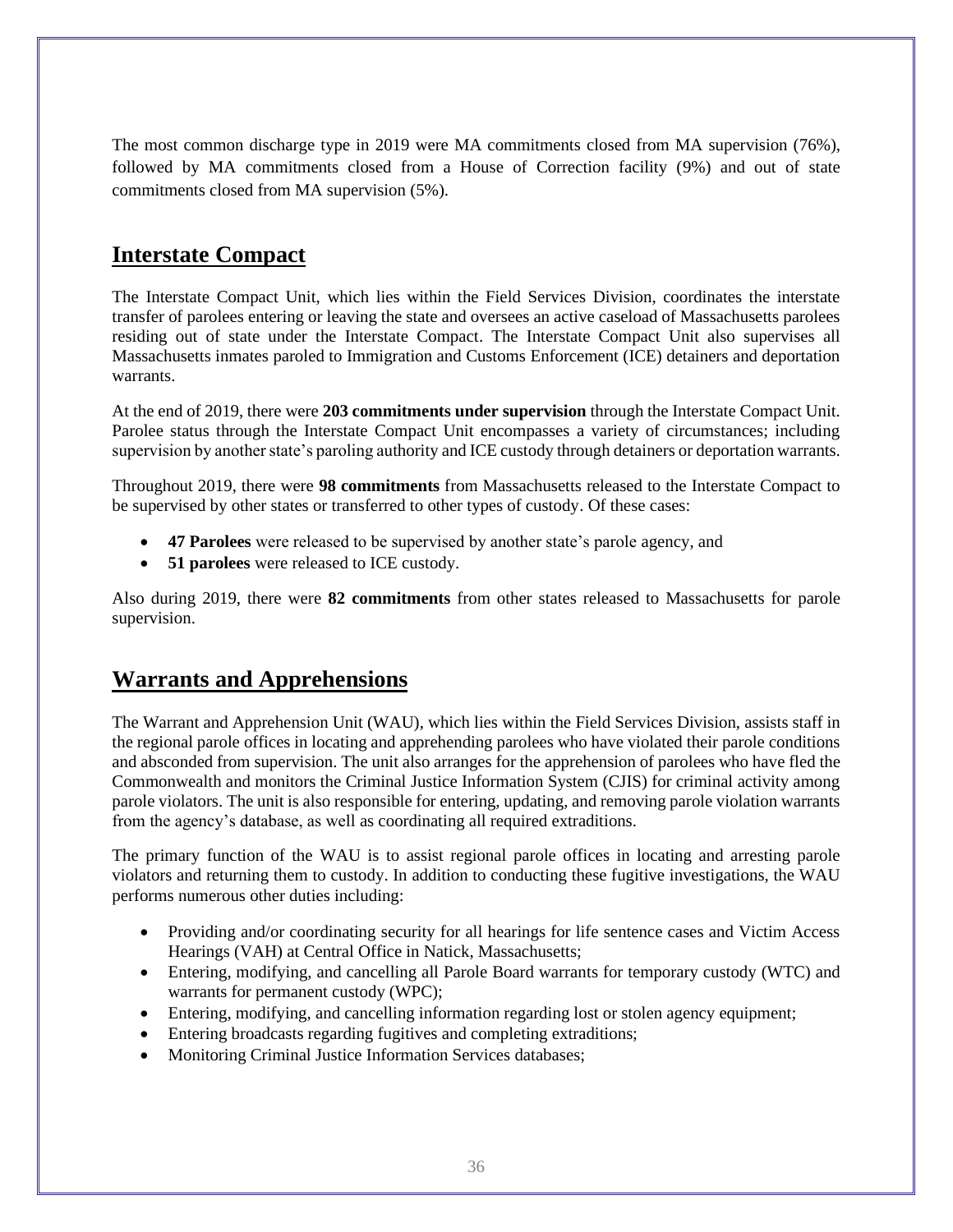The most common discharge type in 2019 were MA commitments closed from MA supervision (76%), followed by MA commitments closed from a House of Correction facility (9%) and out of state commitments closed from MA supervision (5%).

# **Interstate Compact**

The Interstate Compact Unit, which lies within the Field Services Division, coordinates the interstate transfer of parolees entering or leaving the state and oversees an active caseload of Massachusetts parolees residing out of state under the Interstate Compact. The Interstate Compact Unit also supervises all Massachusetts inmates paroled to Immigration and Customs Enforcement (ICE) detainers and deportation warrants.

At the end of 2019, there were **203 commitments under supervision** through the Interstate Compact Unit. Parolee status through the Interstate Compact Unit encompasses a variety of circumstances; including supervision by another state's paroling authority and ICE custody through detainers or deportation warrants.

Throughout 2019, there were **98 commitments** from Massachusetts released to the Interstate Compact to be supervised by other states or transferred to other types of custody. Of these cases:

- **47 Parolees** were released to be supervised by another state's parole agency, and
- **51 parolees** were released to ICE custody.

Also during 2019, there were **82 commitments** from other states released to Massachusetts for parole supervision.

#### **Warrants and Apprehensions**

The Warrant and Apprehension Unit (WAU), which lies within the Field Services Division, assists staff in the regional parole offices in locating and apprehending parolees who have violated their parole conditions and absconded from supervision. The unit also arranges for the apprehension of parolees who have fled the Commonwealth and monitors the Criminal Justice Information System (CJIS) for criminal activity among parole violators. The unit is also responsible for entering, updating, and removing parole violation warrants from the agency's database, as well as coordinating all required extraditions.

The primary function of the WAU is to assist regional parole offices in locating and arresting parole violators and returning them to custody. In addition to conducting these fugitive investigations, the WAU performs numerous other duties including:

- Providing and/or coordinating security for all hearings for life sentence cases and Victim Access Hearings (VAH) at Central Office in Natick, Massachusetts;
- Entering, modifying, and cancelling all Parole Board warrants for temporary custody (WTC) and warrants for permanent custody (WPC);
- Entering, modifying, and cancelling information regarding lost or stolen agency equipment;
- Entering broadcasts regarding fugitives and completing extraditions;
- Monitoring Criminal Justice Information Services databases: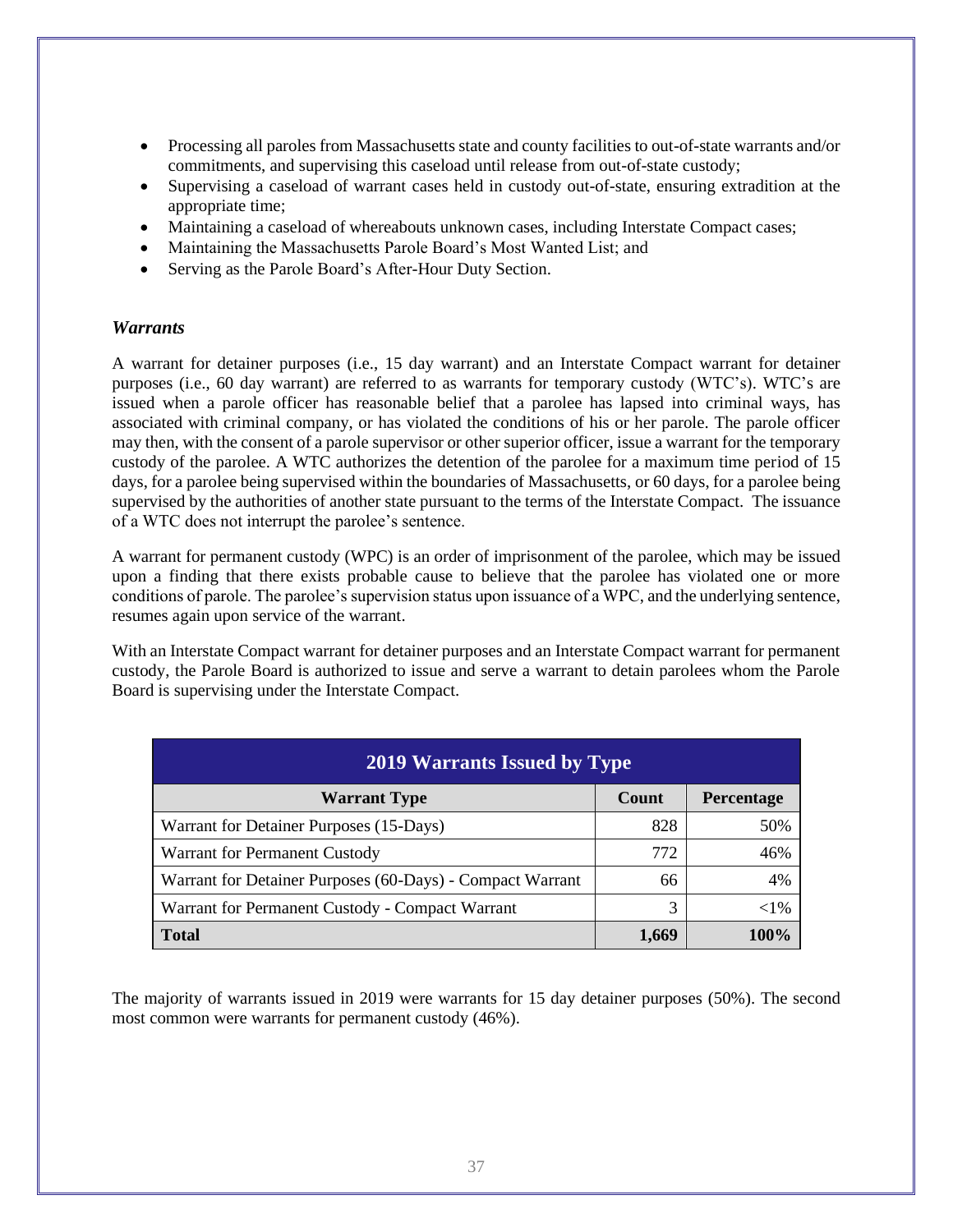- Processing all paroles from Massachusetts state and county facilities to out-of-state warrants and/or commitments, and supervising this caseload until release from out-of-state custody;
- Supervising a caseload of warrant cases held in custody out-of-state, ensuring extradition at the appropriate time;
- Maintaining a caseload of whereabouts unknown cases, including Interstate Compact cases;
- Maintaining the Massachusetts Parole Board's Most Wanted List; and
- Serving as the Parole Board's After-Hour Duty Section.

#### *Warrants*

A warrant for detainer purposes (i.e., 15 day warrant) and an Interstate Compact warrant for detainer purposes (i.e., 60 day warrant) are referred to as warrants for temporary custody (WTC's). WTC's are issued when a parole officer has reasonable belief that a parolee has lapsed into criminal ways, has associated with criminal company, or has violated the conditions of his or her parole. The parole officer may then, with the consent of a parole supervisor or other superior officer, issue a warrant for the temporary custody of the parolee. A WTC authorizes the detention of the parolee for a maximum time period of 15 days, for a parolee being supervised within the boundaries of Massachusetts, or 60 days, for a parolee being supervised by the authorities of another state pursuant to the terms of the Interstate Compact. The issuance of a WTC does not interrupt the parolee's sentence.

A warrant for permanent custody (WPC) is an order of imprisonment of the parolee, which may be issued upon a finding that there exists probable cause to believe that the parolee has violated one or more conditions of parole. The parolee's supervision status upon issuance of a WPC, and the underlying sentence, resumes again upon service of the warrant.

With an Interstate Compact warrant for detainer purposes and an Interstate Compact warrant for permanent custody, the Parole Board is authorized to issue and serve a warrant to detain parolees whom the Parole Board is supervising under the Interstate Compact.

| <b>2019 Warrants Issued by Type</b>                       |       |            |  |  |
|-----------------------------------------------------------|-------|------------|--|--|
| <b>Warrant Type</b>                                       | Count | Percentage |  |  |
| Warrant for Detainer Purposes (15-Days)                   | 828   | 50%        |  |  |
| Warrant for Permanent Custody                             | 772   | 46%        |  |  |
| Warrant for Detainer Purposes (60-Days) - Compact Warrant | 66    | 4%         |  |  |
| Warrant for Permanent Custody - Compact Warrant           | 3     | $<$ 1%     |  |  |
| <b>Total</b>                                              | 1,669 | 100%       |  |  |

The majority of warrants issued in 2019 were warrants for 15 day detainer purposes (50%). The second most common were warrants for permanent custody (46%).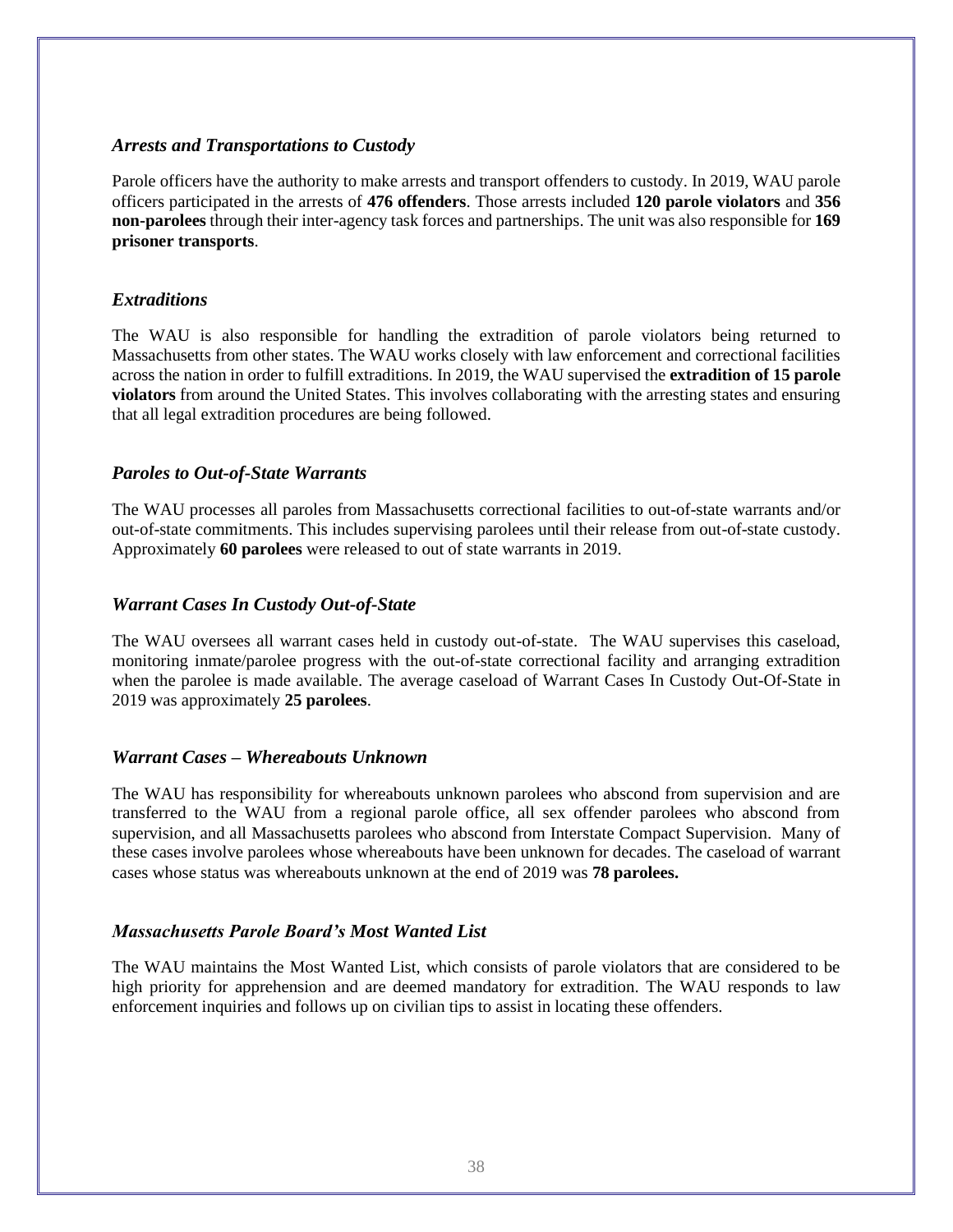#### *Arrests and Transportations to Custody*

Parole officers have the authority to make arrests and transport offenders to custody. In 2019, WAU parole officers participated in the arrests of **476 offenders**. Those arrests included **120 parole violators** and **356 non-parolees** through their inter-agency task forces and partnerships. The unit was also responsible for **169 prisoner transports**.

#### *Extraditions*

The WAU is also responsible for handling the extradition of parole violators being returned to Massachusetts from other states. The WAU works closely with law enforcement and correctional facilities across the nation in order to fulfill extraditions. In 2019, the WAU supervised the **extradition of 15 parole violators** from around the United States. This involves collaborating with the arresting states and ensuring that all legal extradition procedures are being followed.

#### *Paroles to Out-of-State Warrants*

The WAU processes all paroles from Massachusetts correctional facilities to out-of-state warrants and/or out-of-state commitments. This includes supervising parolees until their release from out-of-state custody. Approximately **60 parolees** were released to out of state warrants in 2019.

#### *Warrant Cases In Custody Out-of-State*

The WAU oversees all warrant cases held in custody out-of-state. The WAU supervises this caseload, monitoring inmate/parolee progress with the out-of-state correctional facility and arranging extradition when the parolee is made available. The average caseload of Warrant Cases In Custody Out-Of-State in 2019 was approximately **25 parolees**.

#### *Warrant Cases – Whereabouts Unknown*

The WAU has responsibility for whereabouts unknown parolees who abscond from supervision and are transferred to the WAU from a regional parole office, all sex offender parolees who abscond from supervision, and all Massachusetts parolees who abscond from Interstate Compact Supervision. Many of these cases involve parolees whose whereabouts have been unknown for decades. The caseload of warrant cases whose status was whereabouts unknown at the end of 2019 was **78 parolees.**

#### *Massachusetts Parole Board's Most Wanted List*

The WAU maintains the Most Wanted List, which consists of parole violators that are considered to be high priority for apprehension and are deemed mandatory for extradition. The WAU responds to law enforcement inquiries and follows up on civilian tips to assist in locating these offenders.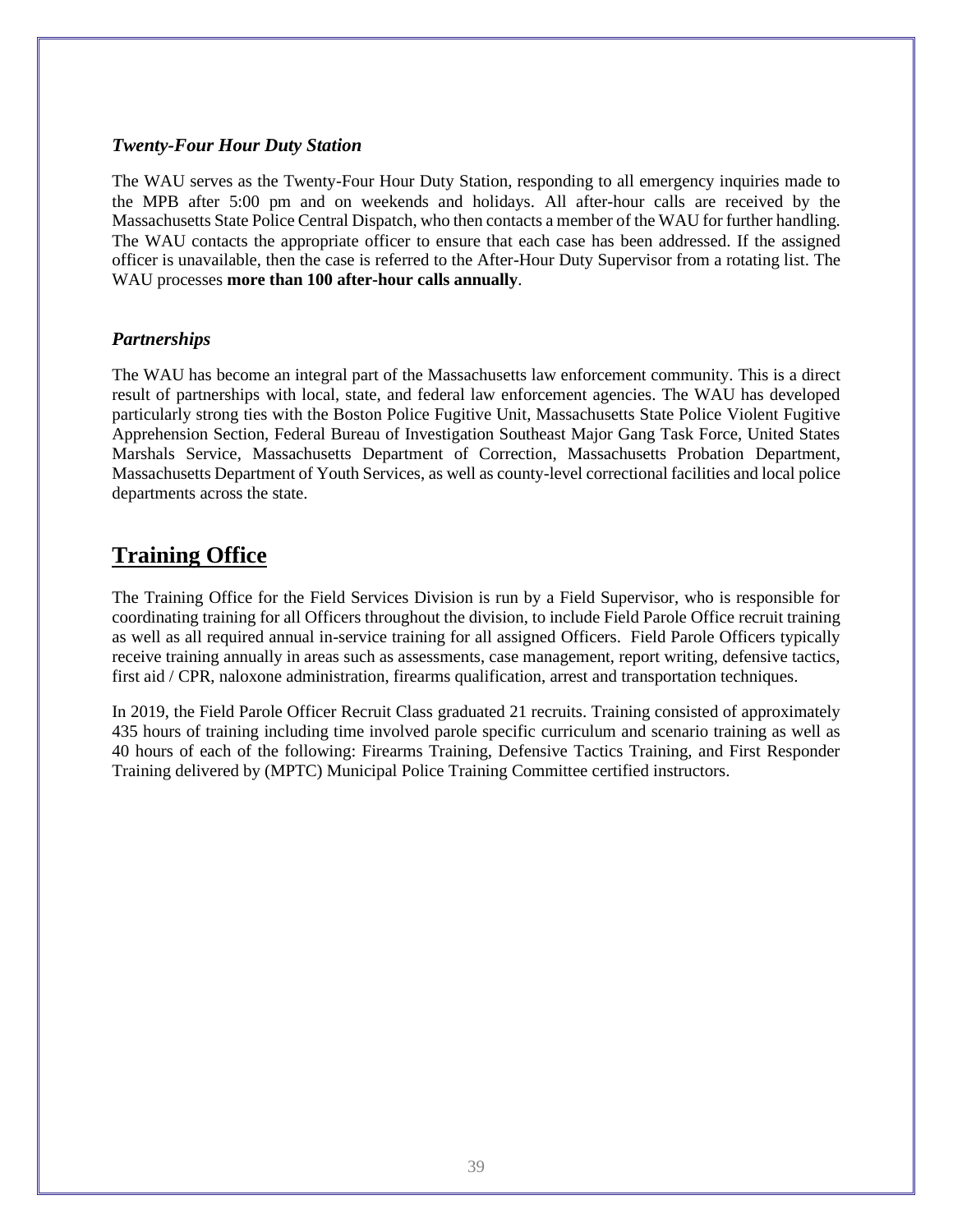#### *Twenty-Four Hour Duty Station*

The WAU serves as the Twenty-Four Hour Duty Station, responding to all emergency inquiries made to the MPB after 5:00 pm and on weekends and holidays. All after-hour calls are received by the Massachusetts State Police Central Dispatch, who then contacts a member of the WAU for further handling. The WAU contacts the appropriate officer to ensure that each case has been addressed. If the assigned officer is unavailable, then the case is referred to the After-Hour Duty Supervisor from a rotating list. The WAU processes **more than 100 after-hour calls annually**.

#### *Partnerships*

The WAU has become an integral part of the Massachusetts law enforcement community. This is a direct result of partnerships with local, state, and federal law enforcement agencies. The WAU has developed particularly strong ties with the Boston Police Fugitive Unit, Massachusetts State Police Violent Fugitive Apprehension Section, Federal Bureau of Investigation Southeast Major Gang Task Force, United States Marshals Service, Massachusetts Department of Correction, Massachusetts Probation Department, Massachusetts Department of Youth Services, as well as county-level correctional facilities and local police departments across the state.

#### **Training Office**

The Training Office for the Field Services Division is run by a Field Supervisor, who is responsible for coordinating training for all Officers throughout the division, to include Field Parole Office recruit training as well as all required annual in-service training for all assigned Officers. Field Parole Officers typically receive training annually in areas such as assessments, case management, report writing, defensive tactics, first aid / CPR, naloxone administration, firearms qualification, arrest and transportation techniques.

In 2019, the Field Parole Officer Recruit Class graduated 21 recruits. Training consisted of approximately 435 hours of training including time involved parole specific curriculum and scenario training as well as 40 hours of each of the following: Firearms Training, Defensive Tactics Training, and First Responder Training delivered by (MPTC) Municipal Police Training Committee certified instructors.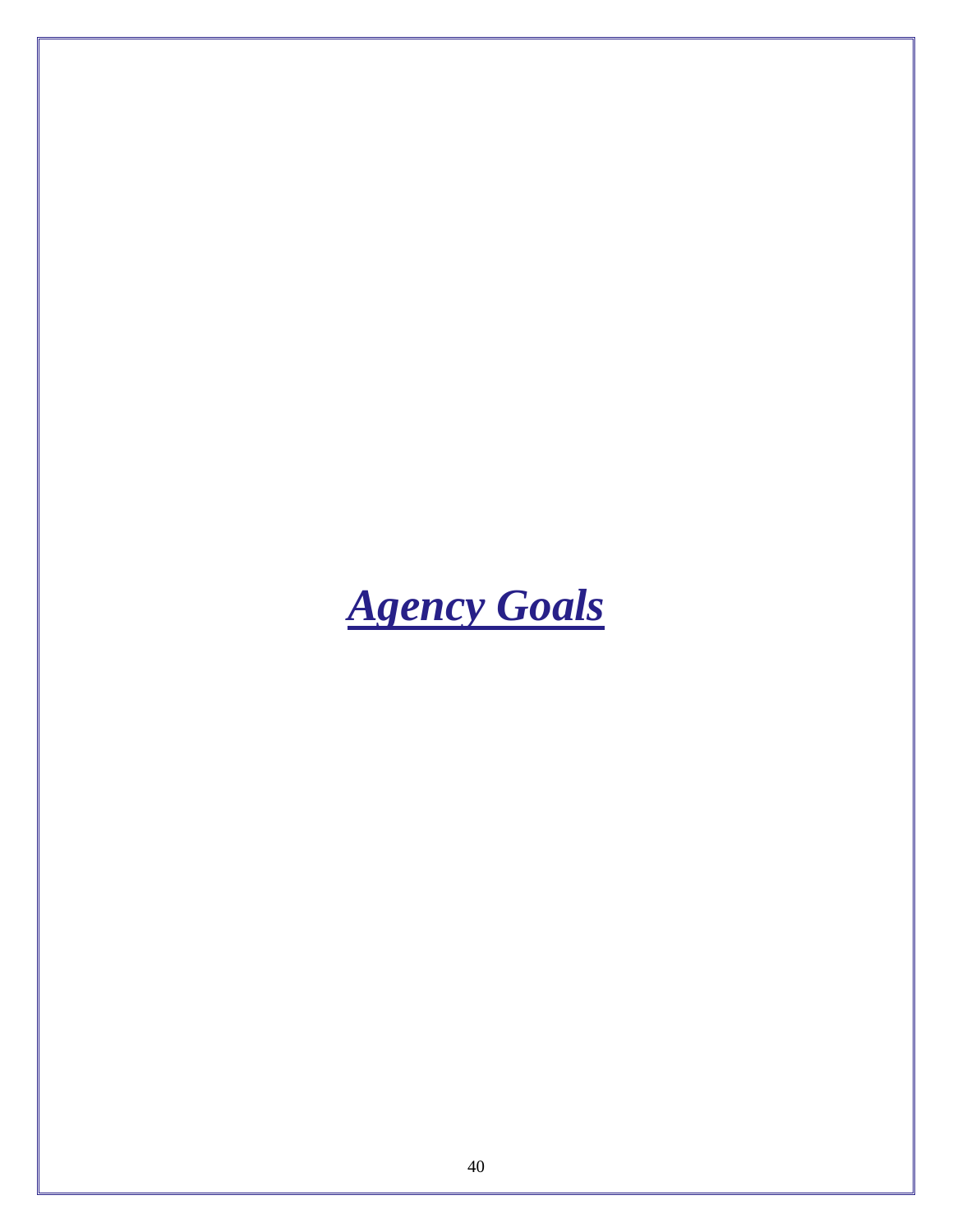<span id="page-42-0"></span>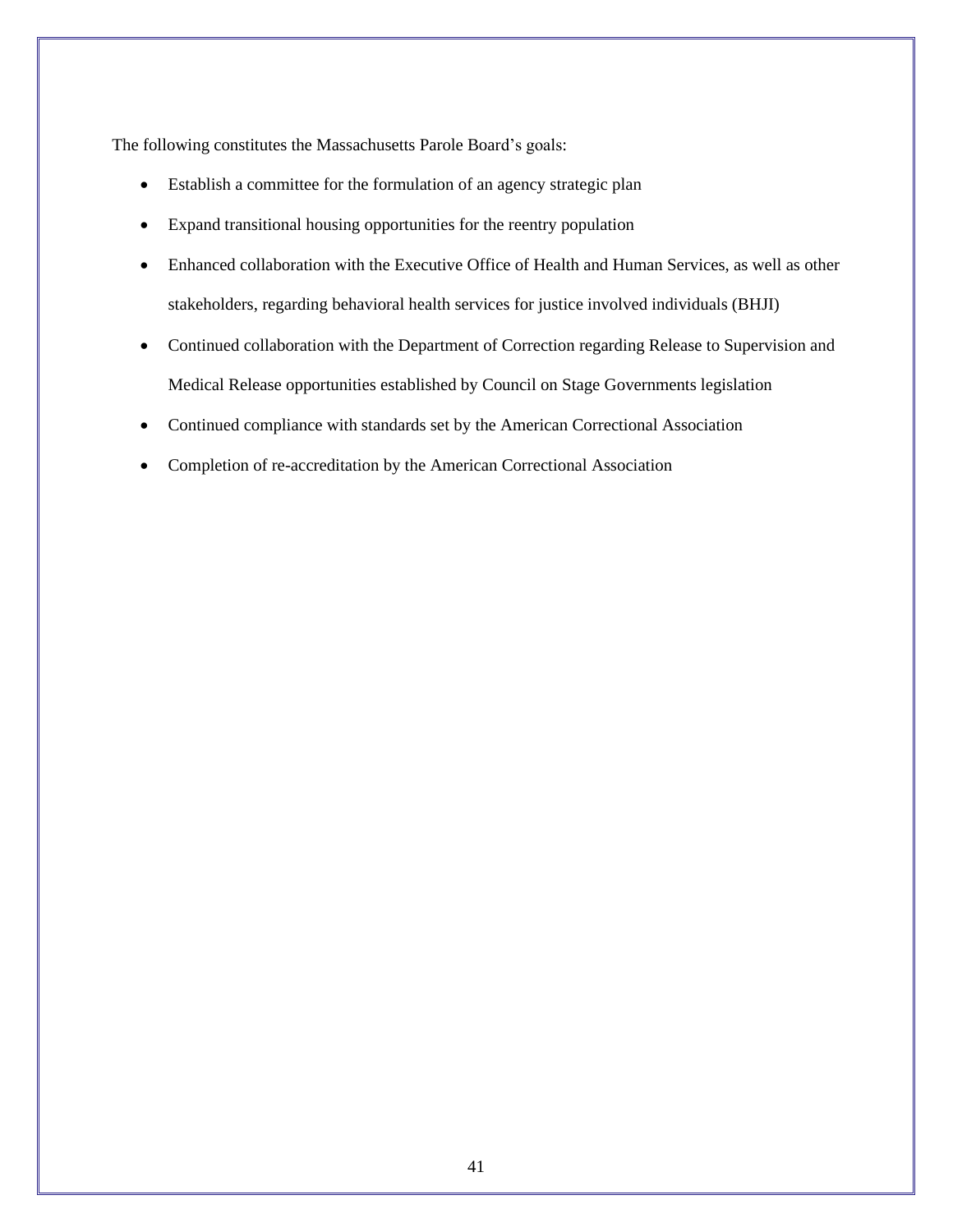The following constitutes the Massachusetts Parole Board's goals:

- Establish a committee for the formulation of an agency strategic plan
- Expand transitional housing opportunities for the reentry population
- Enhanced collaboration with the Executive Office of Health and Human Services, as well as other stakeholders, regarding behavioral health services for justice involved individuals (BHJI)
- Continued collaboration with the Department of Correction regarding Release to Supervision and Medical Release opportunities established by Council on Stage Governments legislation
- Continued compliance with standards set by the American Correctional Association
- Completion of re-accreditation by the American Correctional Association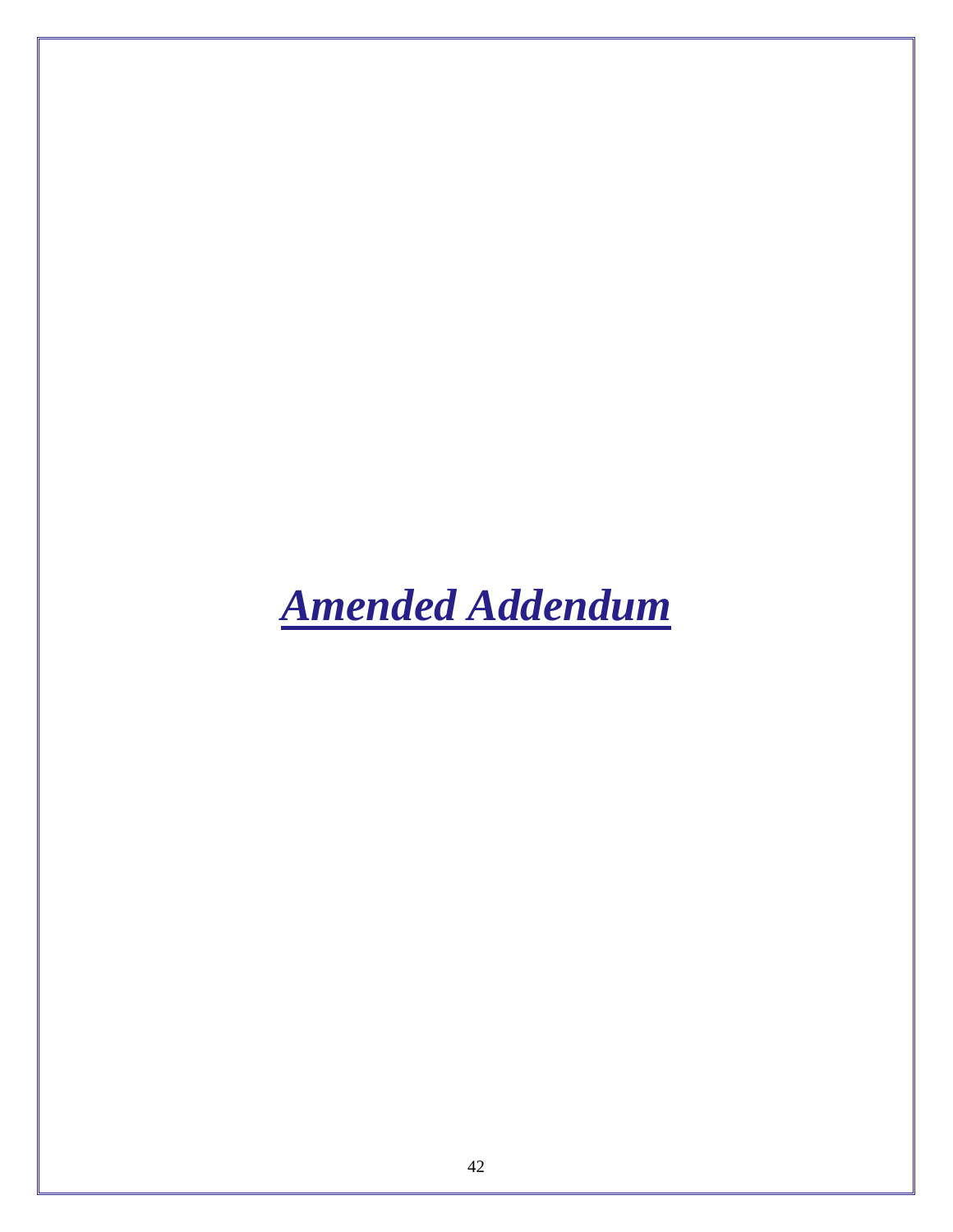<span id="page-44-0"></span>*Amended Addendum*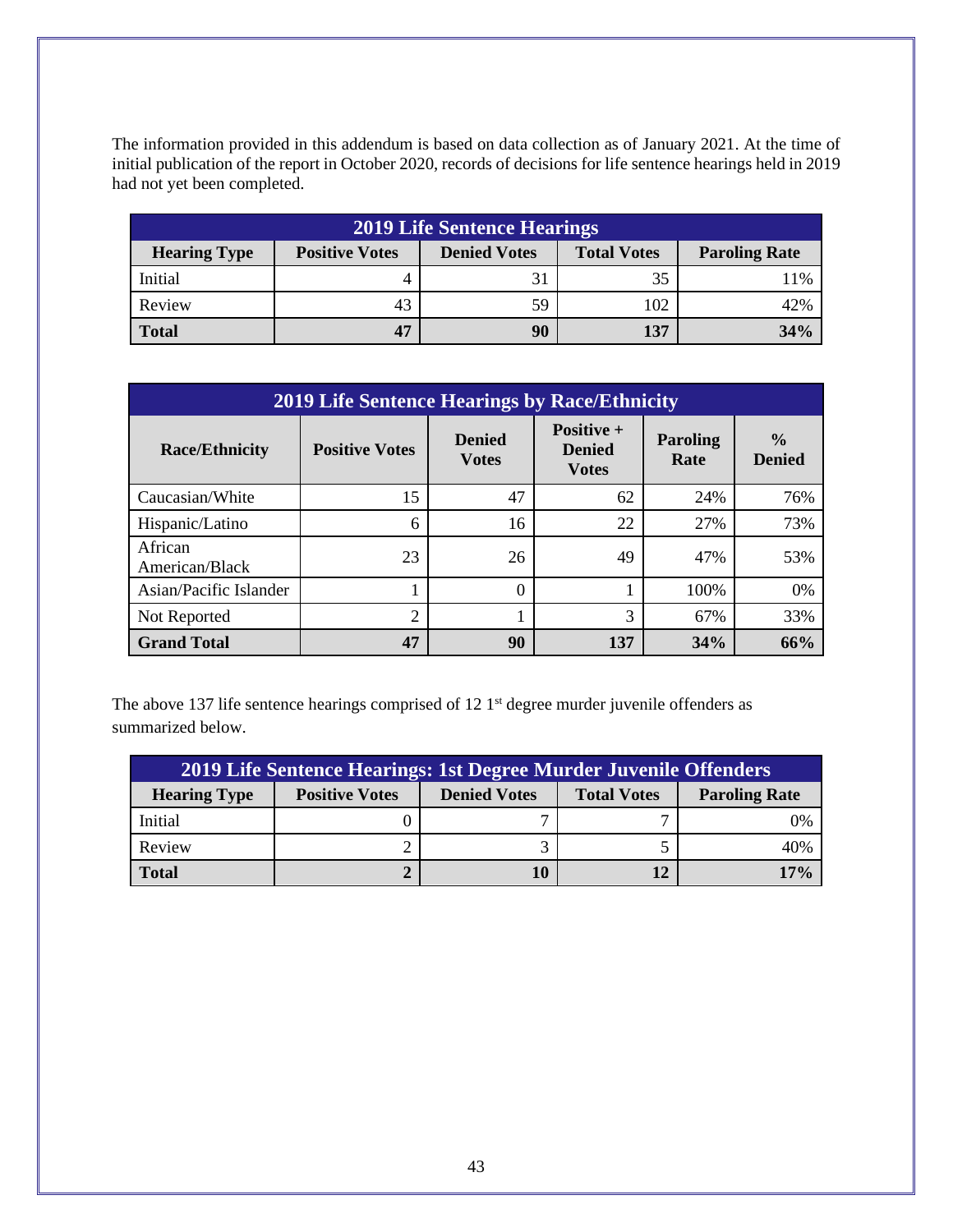The information provided in this addendum is based on data collection as of January 2021. At the time of initial publication of the report in October 2020, records of decisions for life sentence hearings held in 2019 had not yet been completed.

| <b>2019 Life Sentence Hearings</b> |                       |                     |                    |                      |
|------------------------------------|-----------------------|---------------------|--------------------|----------------------|
| <b>Hearing Type</b>                | <b>Positive Votes</b> | <b>Denied Votes</b> | <b>Total Votes</b> | <b>Paroling Rate</b> |
| Initial                            | 4                     | 31                  | 35                 | 11%                  |
| Review                             | 43                    | 59                  | 102                | 42%                  |
| <b>Total</b>                       | 47                    | 90                  | 137                | 34%                  |

| <b>2019 Life Sentence Hearings by Race/Ethnicity</b> |                       |                                |                                                    |                  |                                |  |
|------------------------------------------------------|-----------------------|--------------------------------|----------------------------------------------------|------------------|--------------------------------|--|
| <b>Race/Ethnicity</b>                                | <b>Positive Votes</b> | <b>Denied</b><br><b>V</b> otes | <b>Positive +</b><br><b>Denied</b><br><b>Votes</b> | Paroling<br>Rate | $\frac{0}{0}$<br><b>Denied</b> |  |
| Caucasian/White                                      | 15                    | 47                             | 62                                                 | 24%              | 76%                            |  |
| Hispanic/Latino                                      | 6                     | 16                             | 22                                                 | 27%              | 73%                            |  |
| African<br>American/Black                            | 23                    | 26                             | 49                                                 | 47%              | 53%                            |  |
| Asian/Pacific Islander                               |                       | 0                              |                                                    | 100%             | 0%                             |  |
| Not Reported                                         | $\overline{2}$        |                                | 3                                                  | 67%              | 33%                            |  |
| <b>Grand Total</b>                                   | 47                    | 90                             | 137                                                | 34%              | 66%                            |  |

The above 137 life sentence hearings comprised of 12 1<sup>st</sup> degree murder juvenile offenders as summarized below.

| 2019 Life Sentence Hearings: 1st Degree Murder Juvenile Offenders |                       |                     |                    |                      |
|-------------------------------------------------------------------|-----------------------|---------------------|--------------------|----------------------|
| <b>Hearing Type</b>                                               | <b>Positive Votes</b> | <b>Denied Votes</b> | <b>Total Votes</b> | <b>Paroling Rate</b> |
| Initial                                                           |                       |                     |                    | 0%                   |
| Review                                                            |                       |                     |                    | 40%                  |
| <b>Total</b>                                                      |                       | 10                  | 12                 | $17\%$               |